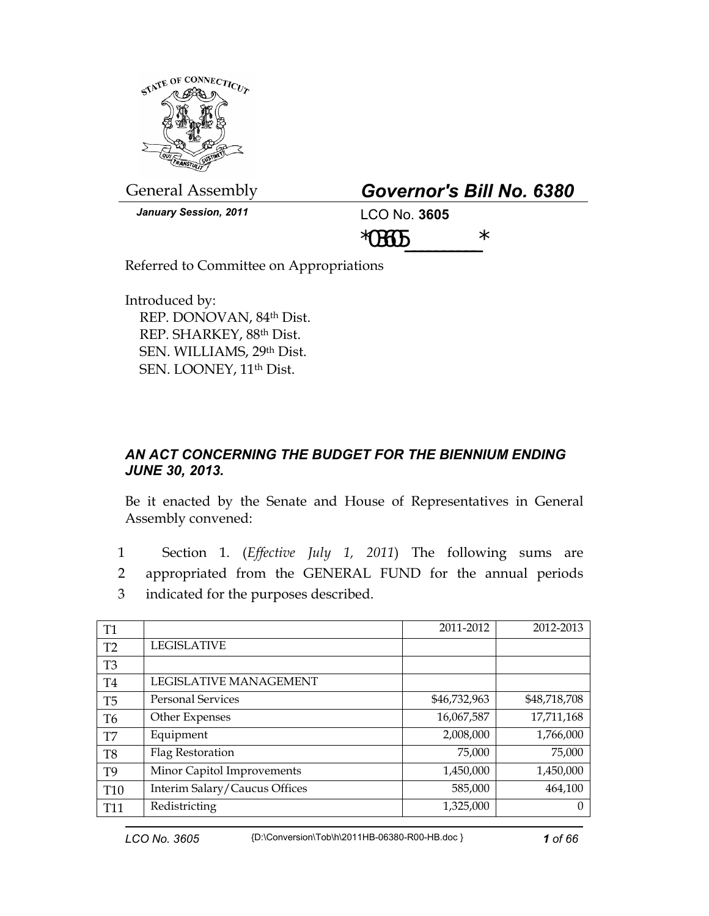

General Assembly *Governor's Bill No. 6380* 

*January Session, 2011* LCO No. **3605**

 $*03605$  \*

Referred to Committee on Appropriations

Introduced by: REP. DONOVAN, 84th Dist. REP. SHARKEY, 88th Dist. SEN. WILLIAMS, 29th Dist. SEN. LOONEY, 11<sup>th</sup> Dist.

## *AN ACT CONCERNING THE BUDGET FOR THE BIENNIUM ENDING JUNE 30, 2013.*

Be it enacted by the Senate and House of Representatives in General Assembly convened:

1 Section 1. (*Effective July 1, 2011*) The following sums are 2 appropriated from the GENERAL FUND for the annual periods 3 indicated for the purposes described.

| T <sub>1</sub> |                               | 2011-2012    | 2012-2013    |
|----------------|-------------------------------|--------------|--------------|
| T <sub>2</sub> | <b>LEGISLATIVE</b>            |              |              |
| T <sub>3</sub> |                               |              |              |
| T4             | LEGISLATIVE MANAGEMENT        |              |              |
| T <sub>5</sub> | <b>Personal Services</b>      | \$46,732,963 | \$48,718,708 |
| T <sub>6</sub> | Other Expenses                | 16,067,587   | 17,711,168   |
| T7             | Equipment                     | 2,008,000    | 1,766,000    |
| T8             | Flag Restoration              | 75,000       | 75,000       |
| T <sub>9</sub> | Minor Capitol Improvements    | 1,450,000    | 1,450,000    |
| <b>T10</b>     | Interim Salary/Caucus Offices | 585,000      | 464,100      |
| <b>T11</b>     | Redistricting                 | 1,325,000    |              |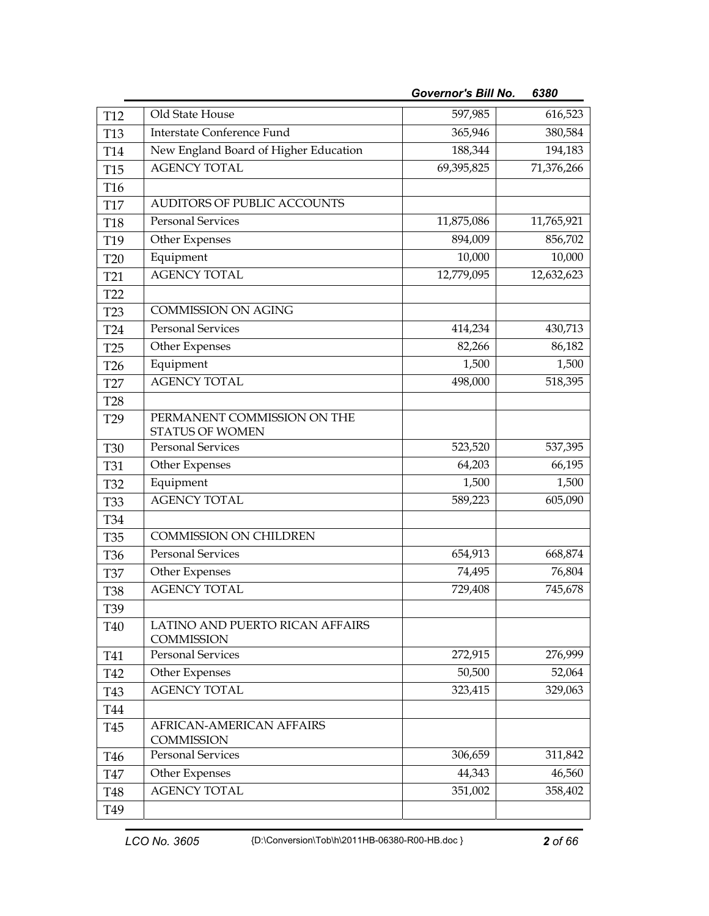| <b>T12</b>      | Old State House                                      | 597,985    | 616,523    |
|-----------------|------------------------------------------------------|------------|------------|
| <b>T13</b>      | <b>Interstate Conference Fund</b>                    | 365,946    | 380,584    |
| T14             | New England Board of Higher Education                | 188,344    | 194,183    |
| <b>T15</b>      | <b>AGENCY TOTAL</b>                                  | 69,395,825 | 71,376,266 |
| T16             |                                                      |            |            |
| <b>T17</b>      | AUDITORS OF PUBLIC ACCOUNTS                          |            |            |
| <b>T18</b>      | <b>Personal Services</b>                             | 11,875,086 | 11,765,921 |
| T19             | Other Expenses                                       | 894,009    | 856,702    |
| <b>T20</b>      | Equipment                                            | 10,000     | 10,000     |
| T <sub>21</sub> | <b>AGENCY TOTAL</b>                                  | 12,779,095 | 12,632,623 |
| T <sub>22</sub> |                                                      |            |            |
| <b>T23</b>      | <b>COMMISSION ON AGING</b>                           |            |            |
| T <sub>24</sub> | <b>Personal Services</b>                             | 414,234    | 430,713    |
| T <sub>25</sub> | Other Expenses                                       | 82,266     | 86,182     |
| T <sub>26</sub> | Equipment                                            | 1,500      | 1,500      |
| T27             | <b>AGENCY TOTAL</b>                                  | 498,000    | 518,395    |
| <b>T28</b>      |                                                      |            |            |
| T <sub>29</sub> | PERMANENT COMMISSION ON THE                          |            |            |
|                 | <b>STATUS OF WOMEN</b>                               |            |            |
| <b>T30</b>      | <b>Personal Services</b>                             | 523,520    | 537,395    |
| <b>T31</b>      | Other Expenses                                       | 64,203     | 66,195     |
| <b>T32</b>      | Equipment                                            | 1,500      | 1,500      |
| <b>T33</b>      | <b>AGENCY TOTAL</b>                                  | 589,223    | 605,090    |
| <b>T34</b>      |                                                      |            |            |
| <b>T35</b>      | <b>COMMISSION ON CHILDREN</b>                        |            |            |
| T <sub>36</sub> | <b>Personal Services</b>                             | 654,913    | 668,874    |
| <b>T37</b>      | Other Expenses                                       | 74,495     | 76,804     |
| <b>T38</b>      | <b>AGENCY TOTAL</b>                                  | 729,408    | 745,678    |
| T39             |                                                      |            |            |
| T40             | LATINO AND PUERTO RICAN AFFAIRS<br><b>COMMISSION</b> |            |            |
| T41             | <b>Personal Services</b>                             | 272,915    | 276,999    |
| T42             | Other Expenses                                       | 50,500     | 52,064     |
| T43             | <b>AGENCY TOTAL</b>                                  | 323,415    | 329,063    |
| T44             |                                                      |            |            |
| T45             | AFRICAN-AMERICAN AFFAIRS<br><b>COMMISSION</b>        |            |            |
| T46             | <b>Personal Services</b>                             | 306,659    | 311,842    |
| <b>T47</b>      | Other Expenses                                       | 44,343     | 46,560     |
| <b>T48</b>      | <b>AGENCY TOTAL</b>                                  | 351,002    | 358,402    |
| T49             |                                                      |            |            |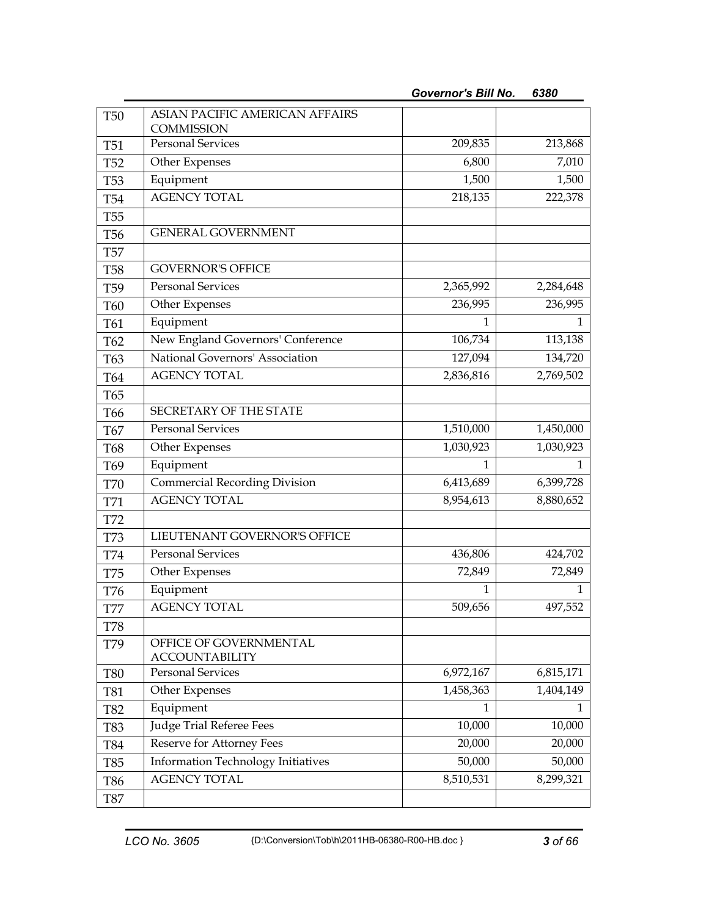| <b>T50</b>      | ASIAN PACIFIC AMERICAN AFFAIRS                    |           |                        |
|-----------------|---------------------------------------------------|-----------|------------------------|
| <b>T51</b>      | <b>COMMISSION</b><br><b>Personal Services</b>     | 209,835   | 213,868                |
| <b>T52</b>      | Other Expenses                                    | 6,800     | 7,010                  |
| <b>T53</b>      | Equipment                                         | 1,500     | 1,500                  |
| <b>T54</b>      | <b>AGENCY TOTAL</b>                               | 218,135   | 222,378                |
| <b>T55</b>      |                                                   |           |                        |
| <b>T56</b>      | <b>GENERAL GOVERNMENT</b>                         |           |                        |
| <b>T57</b>      |                                                   |           |                        |
| <b>T58</b>      | <b>GOVERNOR'S OFFICE</b>                          |           |                        |
| T <sub>59</sub> | <b>Personal Services</b>                          | 2,365,992 | 2,284,648              |
| T60             | Other Expenses                                    | 236,995   | 236,995                |
| T61             | Equipment                                         | 1         | 1                      |
| T62             | New England Governors' Conference                 | 106,734   | 113,138                |
| T63             | National Governors' Association                   | 127,094   | 134,720                |
| T64             | <b>AGENCY TOTAL</b>                               | 2,836,816 | 2,769,502              |
| T65             |                                                   |           |                        |
| T66             | SECRETARY OF THE STATE                            |           |                        |
| T67             | <b>Personal Services</b>                          | 1,510,000 | 1,450,000              |
| <b>T68</b>      | Other Expenses                                    | 1,030,923 | 1,030,923              |
| T69             | Equipment                                         | 1         | 1                      |
| <b>T70</b>      | <b>Commercial Recording Division</b>              | 6,413,689 | 6,399,728              |
| T71             | <b>AGENCY TOTAL</b>                               | 8,954,613 | 8,880,652              |
| T72             |                                                   |           |                        |
| <b>T73</b>      | LIEUTENANT GOVERNOR'S OFFICE                      |           |                        |
| T74             | Personal Services                                 | 436,806   | 424,702                |
| <b>T75</b>      | Other Expenses                                    | 72,849    | 72,849                 |
| T76             | Equipment                                         | 1         | 1                      |
| <b>T77</b>      | <b>AGENCY TOTAL</b>                               | 509,656   | 497,552                |
| T78             |                                                   |           |                        |
| T79             | OFFICE OF GOVERNMENTAL                            |           |                        |
|                 | <b>ACCOUNTABILITY</b><br><b>Personal Services</b> | 6,972,167 |                        |
| <b>T80</b>      |                                                   | 1,458,363 | 6,815,171<br>1,404,149 |
| T81             | Other Expenses<br>Equipment                       | 1         | 1                      |
| T82             | <b>Judge Trial Referee Fees</b>                   | 10,000    | 10,000                 |
| <b>T83</b>      | Reserve for Attorney Fees                         | 20,000    | 20,000                 |
| T84             | Information Technology Initiatives                | 50,000    | 50,000                 |
| T85             | <b>AGENCY TOTAL</b>                               | 8,510,531 | 8,299,321              |
| <b>T86</b>      |                                                   |           |                        |
| <b>T87</b>      |                                                   |           |                        |

*Governor's Bill No. 6380*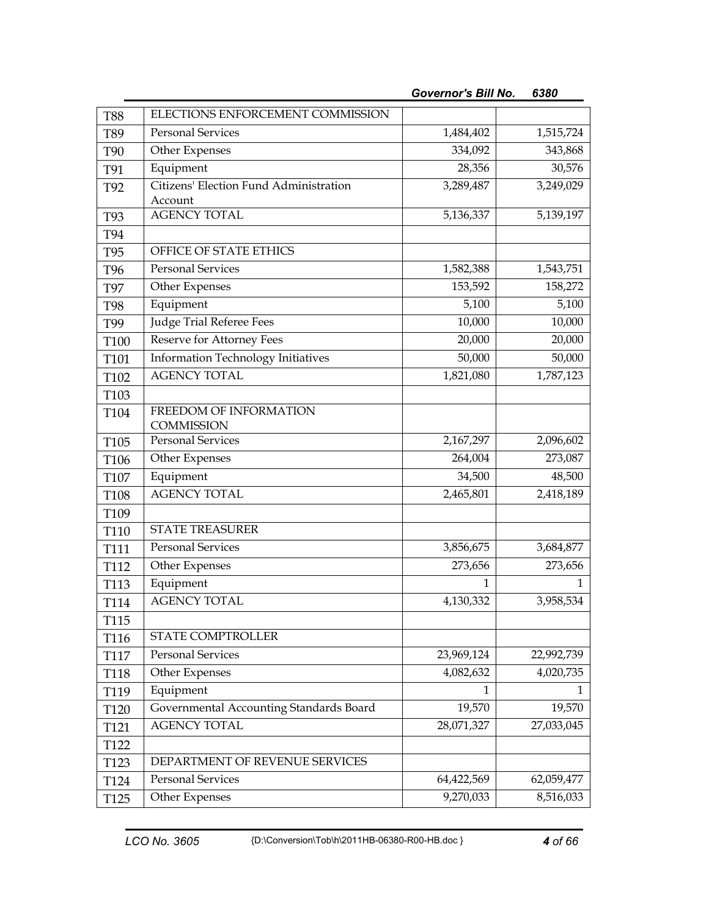|                  | ELECTIONS ENFORCEMENT COMMISSION                  |                   |                   |
|------------------|---------------------------------------------------|-------------------|-------------------|
| <b>T88</b>       | <b>Personal Services</b>                          |                   | 1,515,724         |
| T89              |                                                   | 1,484,402         |                   |
| <b>T90</b>       | Other Expenses<br>Equipment                       | 334,092<br>28,356 | 343,868<br>30,576 |
| T91              |                                                   |                   |                   |
| T92              | Citizens' Election Fund Administration<br>Account | 3,289,487         | 3,249,029         |
| T93              | <b>AGENCY TOTAL</b>                               | 5,136,337         | 5,139,197         |
| T94              |                                                   |                   |                   |
| T95              | OFFICE OF STATE ETHICS                            |                   |                   |
| T96              | <b>Personal Services</b>                          | 1,582,388         | 1,543,751         |
| <b>T97</b>       | Other Expenses                                    | 153,592           | 158,272           |
| <b>T98</b>       | Equipment                                         | 5,100             | 5,100             |
| T99              | <b>Judge Trial Referee Fees</b>                   | 10,000            | 10,000            |
| T100             | <b>Reserve for Attorney Fees</b>                  | 20,000            | 20,000            |
| T101             | <b>Information Technology Initiatives</b>         | 50,000            | 50,000            |
| T102             | <b>AGENCY TOTAL</b>                               | 1,821,080         | 1,787,123         |
| T103             |                                                   |                   |                   |
| T104             | FREEDOM OF INFORMATION                            |                   |                   |
|                  | <b>COMMISSION</b>                                 |                   |                   |
| T105             | <b>Personal Services</b>                          | 2,167,297         | 2,096,602         |
| T106             | Other Expenses                                    | 264,004           | 273,087           |
| T107             | Equipment                                         | 34,500            | 48,500            |
| T108             | <b>AGENCY TOTAL</b>                               | 2,465,801         | 2,418,189         |
| T109             |                                                   |                   |                   |
| T110             | <b>STATE TREASURER</b>                            |                   |                   |
| T111             | <b>Personal Services</b>                          | 3,856,675         | 3,684,877         |
| T112             | Other Expenses                                    | 273,656           | 273,656           |
| T113             | Equipment                                         | 1                 | 1                 |
| T114             | <b>AGENCY TOTAL</b>                               | 4,130,332         | 3,958,534         |
| T115             |                                                   |                   |                   |
| T116             | STATE COMPTROLLER                                 |                   |                   |
| T117             | <b>Personal Services</b>                          | 23,969,124        | 22,992,739        |
| T118             | Other Expenses                                    | 4,082,632         | 4,020,735         |
| T119             | Equipment                                         | 1                 | 1                 |
| T120             | Governmental Accounting Standards Board           | 19,570            | 19,570            |
| T121             | <b>AGENCY TOTAL</b>                               | 28,071,327        | 27,033,045        |
| T122             |                                                   |                   |                   |
| T <sub>123</sub> | DEPARTMENT OF REVENUE SERVICES                    |                   |                   |
| T <sub>124</sub> | <b>Personal Services</b>                          | 64,422,569        | 62,059,477        |
| T <sub>125</sub> | Other Expenses                                    | 9,270,033         | 8,516,033         |

*Governor's Bill No. 6380*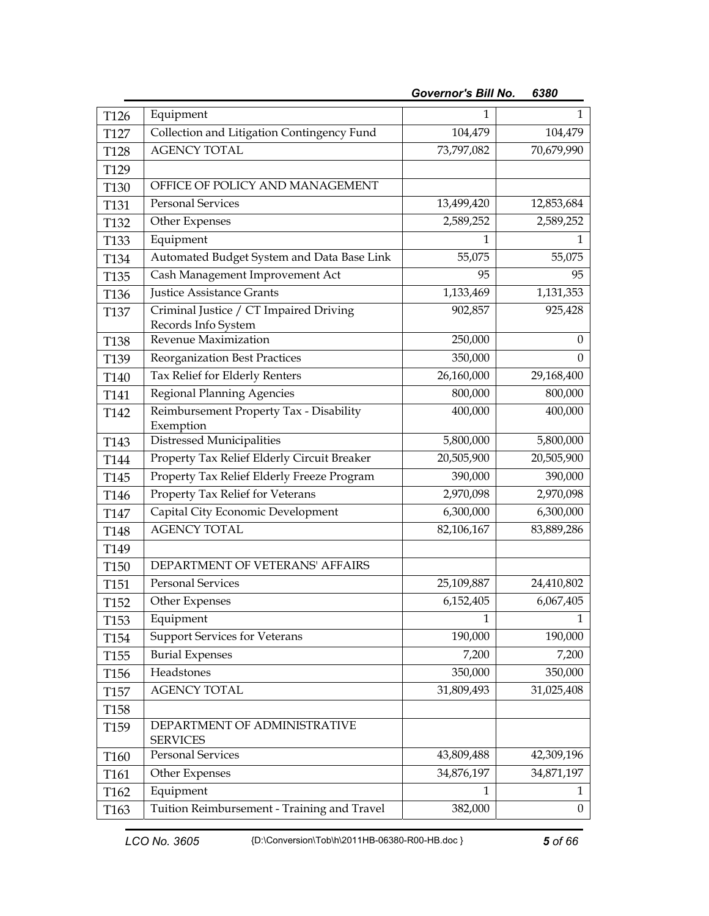| T126             | Equipment                                                     | 1          | 1                |
|------------------|---------------------------------------------------------------|------------|------------------|
| T127             | Collection and Litigation Contingency Fund                    | 104,479    | 104,479          |
| T128             | <b>AGENCY TOTAL</b>                                           | 73,797,082 | 70,679,990       |
| T129             |                                                               |            |                  |
| T130             | OFFICE OF POLICY AND MANAGEMENT                               |            |                  |
| T131             | <b>Personal Services</b>                                      | 13,499,420 | 12,853,684       |
| T132             | Other Expenses                                                | 2,589,252  | 2,589,252        |
| T133             | Equipment                                                     | 1          | 1                |
| T134             | Automated Budget System and Data Base Link                    | 55,075     | 55,075           |
| T <sub>135</sub> | Cash Management Improvement Act                               | 95         | 95               |
| T136             | <b>Justice Assistance Grants</b>                              | 1,133,469  | 1,131,353        |
| <b>T137</b>      | Criminal Justice / CT Impaired Driving<br>Records Info System | 902,857    | 925,428          |
| T138             | Revenue Maximization                                          | 250,000    | $\boldsymbol{0}$ |
| T139             | <b>Reorganization Best Practices</b>                          | 350,000    | 0                |
| T140             | Tax Relief for Elderly Renters                                | 26,160,000 | 29,168,400       |
| T141             | Regional Planning Agencies                                    | 800,000    | 800,000          |
| T <sub>142</sub> | Reimbursement Property Tax - Disability<br>Exemption          | 400,000    | 400,000          |
| T143             | Distressed Municipalities                                     | 5,800,000  | 5,800,000        |
| T144             | Property Tax Relief Elderly Circuit Breaker                   | 20,505,900 | 20,505,900       |
| T145             | Property Tax Relief Elderly Freeze Program                    | 390,000    | 390,000          |
| T146             | Property Tax Relief for Veterans                              | 2,970,098  | 2,970,098        |
| T147             | Capital City Economic Development                             | 6,300,000  | 6,300,000        |
| T148             | <b>AGENCY TOTAL</b>                                           | 82,106,167 | 83,889,286       |
| T149             |                                                               |            |                  |
| T <sub>150</sub> | DEPARTMENT OF VETERANS' AFFAIRS                               |            |                  |
| T <sub>151</sub> | <b>Personal Services</b>                                      | 25,109,887 | 24,410,802       |
| T <sub>152</sub> | Other Expenses                                                | 6,152,405  | 6,067,405        |
| T153             | Equipment                                                     | 1          |                  |
| T154             | <b>Support Services for Veterans</b>                          | 190,000    | 190,000          |
| T <sub>155</sub> | <b>Burial Expenses</b>                                        | 7,200      | 7,200            |
| T156             | Headstones                                                    | 350,000    | 350,000          |
| T <sub>157</sub> | <b>AGENCY TOTAL</b>                                           | 31,809,493 | 31,025,408       |
| T158             |                                                               |            |                  |
| T159             | DEPARTMENT OF ADMINISTRATIVE<br><b>SERVICES</b>               |            |                  |
| T160             | <b>Personal Services</b>                                      | 43,809,488 | 42,309,196       |
| T <sub>161</sub> | Other Expenses                                                | 34,876,197 | 34,871,197       |
| T162             | Equipment                                                     | 1          | $\mathbf{1}$     |
| T163             | Tuition Reimbursement - Training and Travel                   | 382,000    | $\theta$         |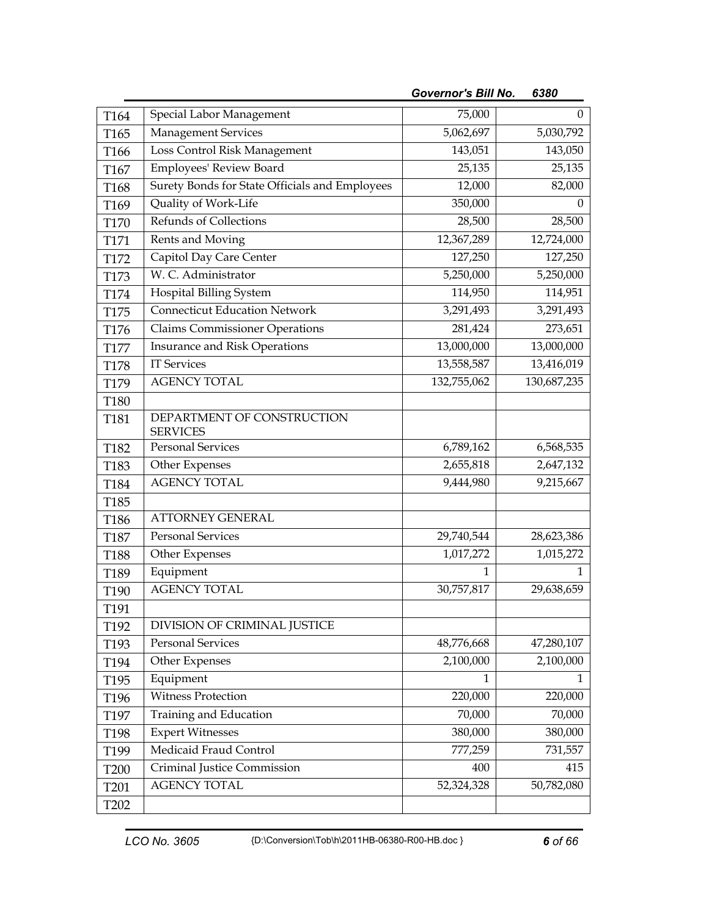| T164             | Special Labor Management                       | 75,000      | $\mathbf{0}$ |
|------------------|------------------------------------------------|-------------|--------------|
| T165             | <b>Management Services</b>                     | 5,062,697   | 5,030,792    |
| T166             | Loss Control Risk Management                   | 143,051     | 143,050      |
| T167             | Employees' Review Board                        | 25,135      | 25,135       |
| T168             | Surety Bonds for State Officials and Employees | 12,000      | 82,000       |
| T169             | Quality of Work-Life                           | 350,000     | 0            |
| T170             | Refunds of Collections                         | 28,500      | 28,500       |
| T171             | Rents and Moving                               | 12,367,289  | 12,724,000   |
| T172             | Capitol Day Care Center                        | 127,250     | 127,250      |
| T173             | W. C. Administrator                            | 5,250,000   | 5,250,000    |
| T174             | Hospital Billing System                        | 114,950     | 114,951      |
| T175             | <b>Connecticut Education Network</b>           | 3,291,493   | 3,291,493    |
| T176             | <b>Claims Commissioner Operations</b>          | 281,424     | 273,651      |
| T177             | Insurance and Risk Operations                  | 13,000,000  | 13,000,000   |
| <b>T178</b>      | <b>IT Services</b>                             | 13,558,587  | 13,416,019   |
| T179             | <b>AGENCY TOTAL</b>                            | 132,755,062 | 130,687,235  |
| <b>T180</b>      |                                                |             |              |
| T181             | DEPARTMENT OF CONSTRUCTION<br><b>SERVICES</b>  |             |              |
| T182             | <b>Personal Services</b>                       | 6,789,162   | 6,568,535    |
| T183             | Other Expenses                                 | 2,655,818   | 2,647,132    |
| T184             | <b>AGENCY TOTAL</b>                            | 9,444,980   | 9,215,667    |
| T185             |                                                |             |              |
| T186             | <b>ATTORNEY GENERAL</b>                        |             |              |
| <b>T187</b>      | <b>Personal Services</b>                       | 29,740,544  | 28,623,386   |
| <b>T188</b>      | Other Expenses                                 | 1,017,272   | 1,015,272    |
| T189             | Equipment                                      | 1           | 1            |
| T190             | <b>AGENCY TOTAL</b>                            | 30,757,817  | 29,638,659   |
| T191             |                                                |             |              |
| T192             | DIVISION OF CRIMINAL JUSTICE                   |             |              |
| T193             | Personal Services                              | 48,776,668  | 47,280,107   |
| T194             | Other Expenses                                 | 2,100,000   | 2,100,000    |
| T195             | Equipment                                      | 1           | 1            |
| T196             | Witness Protection                             | 220,000     | 220,000      |
| T197             | Training and Education                         | 70,000      | 70,000       |
| T198             | <b>Expert Witnesses</b>                        | 380,000     | 380,000      |
| T199             | Medicaid Fraud Control                         | 777,259     | 731,557      |
| <b>T200</b>      | Criminal Justice Commission                    | 400         | 415          |
| T201             | <b>AGENCY TOTAL</b>                            | 52,324,328  | 50,782,080   |
| T <sub>202</sub> |                                                |             |              |

*Governor's Bill No. 6380*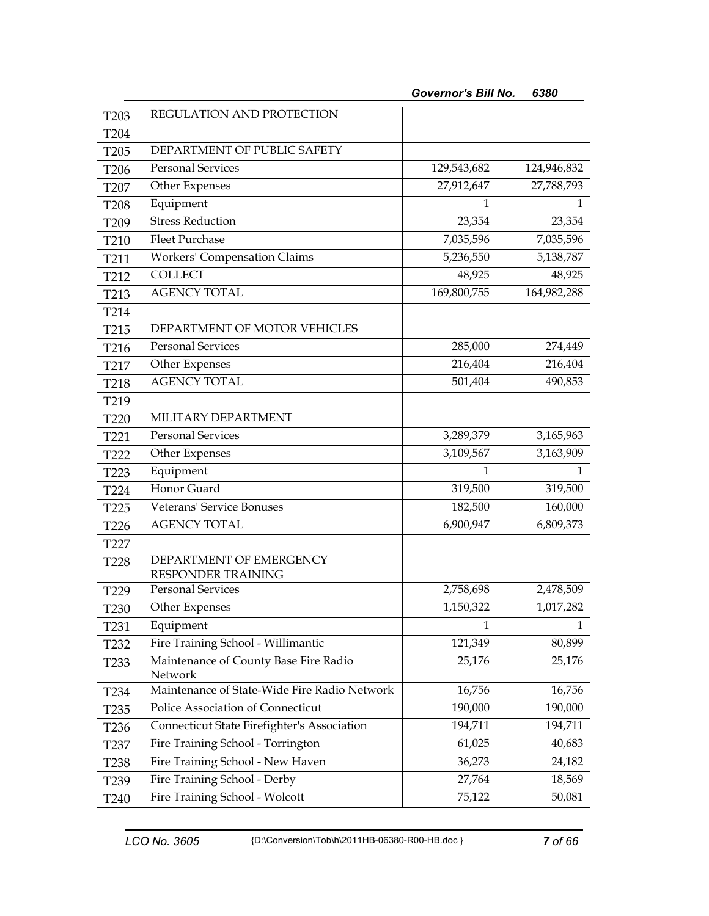| T <sub>203</sub>                     | REGULATION AND PROTECTION                      |              |              |
|--------------------------------------|------------------------------------------------|--------------|--------------|
| T204                                 |                                                |              |              |
| T <sub>205</sub>                     | DEPARTMENT OF PUBLIC SAFETY                    |              |              |
| T206                                 | <b>Personal Services</b>                       | 129,543,682  | 124,946,832  |
| T207                                 | Other Expenses                                 | 27,912,647   | 27,788,793   |
| <b>T208</b>                          | Equipment                                      | 1            | 1            |
| T209                                 | <b>Stress Reduction</b>                        | 23,354       | 23,354       |
| T210                                 | <b>Fleet Purchase</b>                          | 7,035,596    | 7,035,596    |
| T211                                 | Workers' Compensation Claims                   | 5,236,550    | 5,138,787    |
| T212                                 | <b>COLLECT</b>                                 | 48,925       | 48,925       |
| T213                                 | <b>AGENCY TOTAL</b>                            | 169,800,755  | 164,982,288  |
| T214                                 |                                                |              |              |
| T215                                 | DEPARTMENT OF MOTOR VEHICLES                   |              |              |
| T216                                 | <b>Personal Services</b>                       | 285,000      | 274,449      |
| T217                                 | Other Expenses                                 | 216,404      | 216,404      |
| T218                                 | <b>AGENCY TOTAL</b>                            | 501,404      | 490,853      |
| T219                                 |                                                |              |              |
| T220                                 | MILITARY DEPARTMENT                            |              |              |
| T221                                 | <b>Personal Services</b>                       | 3,289,379    | 3,165,963    |
| T222                                 | Other Expenses                                 | 3,109,567    | 3,163,909    |
| T <sub>223</sub>                     | Equipment                                      | 1            | 1            |
| T224                                 | Honor Guard                                    | 319,500      | 319,500      |
| T225                                 | <b>Veterans' Service Bonuses</b>               | 182,500      | 160,000      |
| T226                                 | <b>AGENCY TOTAL</b>                            | 6,900,947    | 6,809,373    |
| T227                                 |                                                |              |              |
| <b>T228</b>                          | DEPARTMENT OF EMERGENCY                        |              |              |
| T229                                 | RESPONDER TRAINING<br><b>Personal Services</b> | 2,758,698    | 2,478,509    |
|                                      | Other Expenses                                 | 1,150,322    | 1,017,282    |
| T <sub>230</sub><br>T <sub>231</sub> | Equipment                                      | $\mathbf{1}$ | $\mathbf{1}$ |
| T232                                 | Fire Training School - Willimantic             | 121,349      | 80,899       |
|                                      | Maintenance of County Base Fire Radio          | 25,176       | 25,176       |
| T <sub>233</sub>                     | Network                                        |              |              |
| T <sub>234</sub>                     | Maintenance of State-Wide Fire Radio Network   | 16,756       | 16,756       |
| T <sub>235</sub>                     | Police Association of Connecticut              | 190,000      | 190,000      |
| T <sub>236</sub>                     | Connecticut State Firefighter's Association    | 194,711      | 194,711      |
| T <sub>237</sub>                     | Fire Training School - Torrington              | 61,025       | 40,683       |
| T <sub>238</sub>                     | Fire Training School - New Haven               | 36,273       | 24,182       |
| T <sub>239</sub>                     | Fire Training School - Derby                   | 27,764       | 18,569       |
| T240                                 | Fire Training School - Wolcott                 | 75,122       | 50,081       |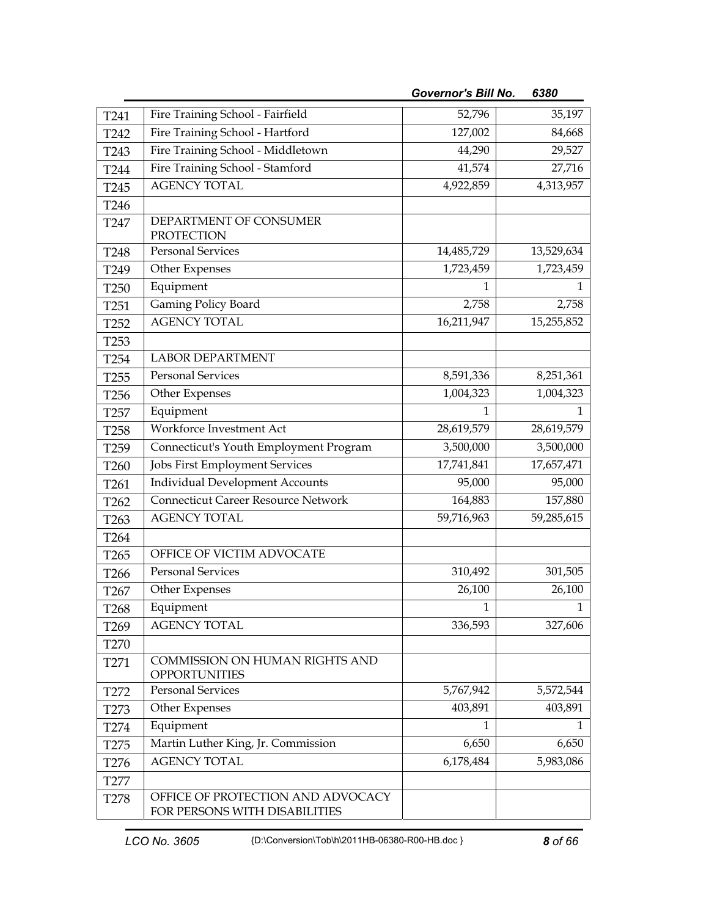| T241             | Fire Training School - Fairfield                                   | 52,796       | 35,197       |
|------------------|--------------------------------------------------------------------|--------------|--------------|
| T242             | Fire Training School - Hartford                                    | 127,002      | 84,668       |
| T243             | Fire Training School - Middletown                                  | 44,290       | 29,527       |
| T244             | Fire Training School - Stamford                                    | 41,574       | 27,716       |
| T245             | <b>AGENCY TOTAL</b>                                                | 4,922,859    | 4,313,957    |
| T246             |                                                                    |              |              |
| T247             | DEPARTMENT OF CONSUMER<br>PROTECTION                               |              |              |
| <b>T248</b>      | <b>Personal Services</b>                                           | 14,485,729   | 13,529,634   |
| T249             | Other Expenses                                                     | 1,723,459    | 1,723,459    |
| T <sub>250</sub> | Equipment                                                          | 1            | Ŧ            |
| T <sub>251</sub> | Gaming Policy Board                                                | 2,758        | 2,758        |
| T <sub>252</sub> | <b>AGENCY TOTAL</b>                                                | 16,211,947   | 15,255,852   |
| T <sub>253</sub> |                                                                    |              |              |
| T <sub>254</sub> | <b>LABOR DEPARTMENT</b>                                            |              |              |
| T <sub>255</sub> | <b>Personal Services</b>                                           | 8,591,336    | 8,251,361    |
| T <sub>256</sub> | Other Expenses                                                     | 1,004,323    | 1,004,323    |
| T <sub>257</sub> | Equipment                                                          | 1            | 1            |
| T <sub>258</sub> | Workforce Investment Act                                           | 28,619,579   | 28,619,579   |
| T <sub>259</sub> | Connecticut's Youth Employment Program                             | 3,500,000    | 3,500,000    |
| T260             | Jobs First Employment Services                                     | 17,741,841   | 17,657,471   |
| T261             | <b>Individual Development Accounts</b>                             | 95,000       | 95,000       |
| T262             | <b>Connecticut Career Resource Network</b>                         | 164,883      | 157,880      |
| T <sub>263</sub> | <b>AGENCY TOTAL</b>                                                | 59,716,963   | 59,285,615   |
| T264             |                                                                    |              |              |
| T <sub>265</sub> | OFFICE OF VICTIM ADVOCATE                                          |              |              |
| T266             | <b>Personal Services</b>                                           | 310,492      | 301,505      |
| T267             | Other Expenses                                                     | 26,100       | 26,100       |
| T <sub>268</sub> | Equipment                                                          | $\mathbf{1}$ | $\mathbf{1}$ |
| T269             | <b>AGENCY TOTAL</b>                                                | 336,593      | 327,606      |
| <b>T270</b>      |                                                                    |              |              |
| T271             | COMMISSION ON HUMAN RIGHTS AND<br><b>OPPORTUNITIES</b>             |              |              |
| T272             | Personal Services                                                  | 5,767,942    | 5,572,544    |
| T <sub>273</sub> | Other Expenses                                                     | 403,891      | 403,891      |
| T274             | Equipment                                                          | 1            | 1            |
| T <sub>275</sub> | Martin Luther King, Jr. Commission                                 | 6,650        | 6,650        |
| T <sub>276</sub> | <b>AGENCY TOTAL</b>                                                | 6,178,484    | 5,983,086    |
| T277             |                                                                    |              |              |
| T <sub>278</sub> | OFFICE OF PROTECTION AND ADVOCACY<br>FOR PERSONS WITH DISABILITIES |              |              |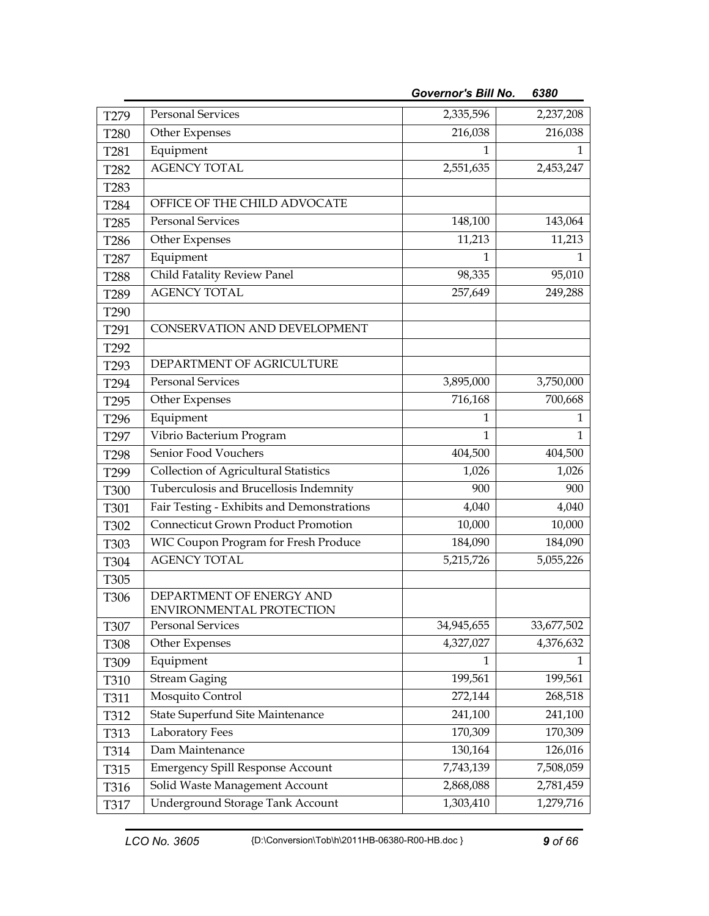| T279             | <b>Personal Services</b>                             | 2,335,596    | 2,237,208    |
|------------------|------------------------------------------------------|--------------|--------------|
| <b>T280</b>      | Other Expenses                                       | 216,038      | 216,038      |
| T <sub>281</sub> | Equipment                                            |              | 1            |
| T <sub>282</sub> | <b>AGENCY TOTAL</b>                                  | 2,551,635    | 2,453,247    |
| T <sub>283</sub> |                                                      |              |              |
| T284             | OFFICE OF THE CHILD ADVOCATE                         |              |              |
| T <sub>285</sub> | <b>Personal Services</b>                             | 148,100      | 143,064      |
| T286             | Other Expenses                                       | 11,213       | 11,213       |
| T <sub>287</sub> | Equipment                                            | 1            | Ŧ            |
| <b>T288</b>      | Child Fatality Review Panel                          | 98,335       | 95,010       |
| T289             | <b>AGENCY TOTAL</b>                                  | 257,649      | 249,288      |
| T290             |                                                      |              |              |
| T291             | CONSERVATION AND DEVELOPMENT                         |              |              |
| T292             |                                                      |              |              |
| T <sub>293</sub> | DEPARTMENT OF AGRICULTURE                            |              |              |
| T294             | <b>Personal Services</b>                             | 3,895,000    | 3,750,000    |
| T <sub>295</sub> | Other Expenses                                       | 716,168      | 700,668      |
| T296             | Equipment                                            | 1            | 1            |
| T <sub>297</sub> | Vibrio Bacterium Program                             | $\mathbf{1}$ | $\mathbf{1}$ |
| T298             | Senior Food Vouchers                                 | 404,500      | 404,500      |
| T <sub>299</sub> | <b>Collection of Agricultural Statistics</b>         | 1,026        | 1,026        |
| <b>T300</b>      | Tuberculosis and Brucellosis Indemnity               | 900          | 900          |
| T301             | Fair Testing - Exhibits and Demonstrations           | 4,040        | 4,040        |
| T302             | <b>Connecticut Grown Product Promotion</b>           | 10,000       | 10,000       |
| T303             | WIC Coupon Program for Fresh Produce                 | 184,090      | 184,090      |
| T304             | <b>AGENCY TOTAL</b>                                  | 5,215,726    | 5,055,226    |
| T305             |                                                      |              |              |
| T306             | DEPARTMENT OF ENERGY AND<br>ENVIRONMENTAL PROTECTION |              |              |
| T307             | <b>Personal Services</b>                             | 34,945,655   | 33,677,502   |
| T308             | Other Expenses                                       | 4,327,027    | 4,376,632    |
| T309             | Equipment                                            | 1            | 1            |
| T310             | <b>Stream Gaging</b>                                 | 199,561      | 199,561      |
| T311             | Mosquito Control                                     | 272,144      | 268,518      |
| T312             | State Superfund Site Maintenance                     | 241,100      | 241,100      |
| T313             | Laboratory Fees                                      | 170,309      | 170,309      |
| T314             | Dam Maintenance                                      | 130,164      | 126,016      |
| T315             | Emergency Spill Response Account                     | 7,743,139    | 7,508,059    |
| T316             | Solid Waste Management Account                       | 2,868,088    | 2,781,459    |
| T317             | <b>Underground Storage Tank Account</b>              | 1,303,410    | 1,279,716    |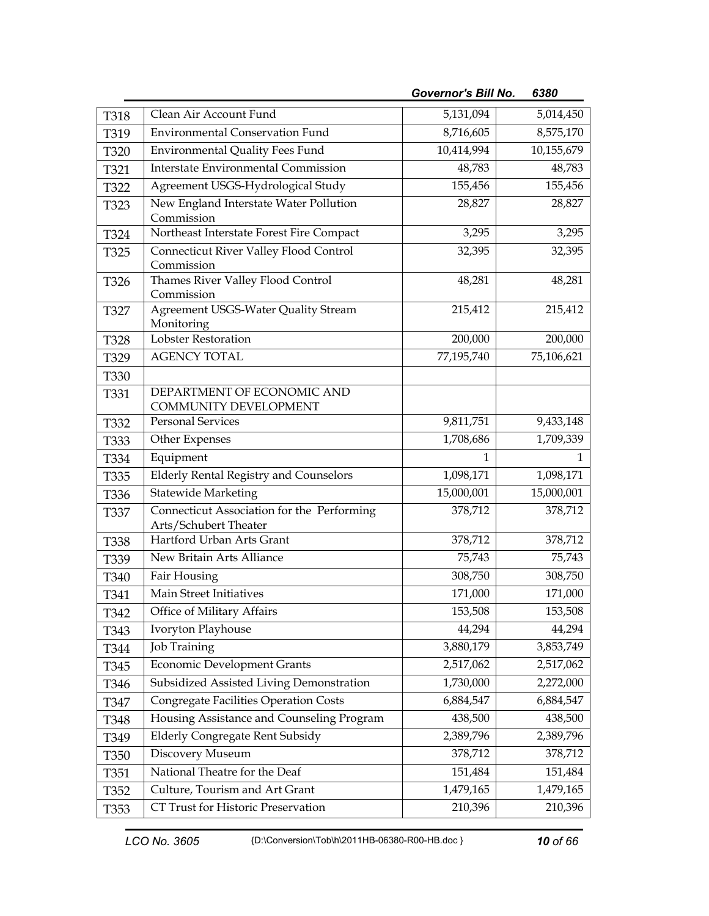|             |                                                                     | <b>Governor's Bill No.</b> | 6380       |
|-------------|---------------------------------------------------------------------|----------------------------|------------|
| T318        | Clean Air Account Fund                                              | 5,131,094                  | 5,014,450  |
| T319        | <b>Environmental Conservation Fund</b>                              | 8,716,605                  | 8,575,170  |
| T320        | <b>Environmental Quality Fees Fund</b>                              | 10,414,994                 | 10,155,679 |
| T321        | Interstate Environmental Commission                                 | 48,783                     | 48,783     |
| T322        | Agreement USGS-Hydrological Study                                   | 155,456                    | 155,456    |
| T323        | New England Interstate Water Pollution<br>Commission                | 28,827                     | 28,827     |
| T324        | Northeast Interstate Forest Fire Compact                            | 3,295                      | 3,295      |
| T325        | <b>Connecticut River Valley Flood Control</b><br>Commission         | 32,395                     | 32,395     |
| T326        | Thames River Valley Flood Control<br>Commission                     | 48,281                     | 48,281     |
| T327        | Agreement USGS-Water Quality Stream<br>Monitoring                   | 215,412                    | 215,412    |
| <b>T328</b> | Lobster Restoration                                                 | 200,000                    | 200,000    |
| T329        | <b>AGENCY TOTAL</b>                                                 | 77,195,740                 | 75,106,621 |
| T330        |                                                                     |                            |            |
| T331        | DEPARTMENT OF ECONOMIC AND<br>COMMUNITY DEVELOPMENT                 |                            |            |
| T332        | <b>Personal Services</b>                                            | 9,811,751                  | 9,433,148  |
| T333        | Other Expenses                                                      | 1,708,686                  | 1,709,339  |
| T334        | Equipment                                                           | 1                          | 1          |
| T335        | <b>Elderly Rental Registry and Counselors</b>                       | 1,098,171                  | 1,098,171  |
| T336        | <b>Statewide Marketing</b>                                          | 15,000,001                 | 15,000,001 |
| T337        | Connecticut Association for the Performing<br>Arts/Schubert Theater | 378,712                    | 378,712    |
| <b>T338</b> | Hartford Urban Arts Grant                                           | 378,712                    | 378,712    |
| T339        | New Britain Arts Alliance                                           | 75,743                     | 75,743     |
| T340        | Fair Housing                                                        | 308,750                    | 308,750    |
| T341        | Main Street Initiatives                                             | 171,000                    | 171,000    |
| T342        | Office of Military Affairs                                          | 153,508                    | 153,508    |
| T343        | Ivoryton Playhouse                                                  | 44,294                     | 44,294     |
| T344        | <b>Job Training</b>                                                 | 3,880,179                  | 3,853,749  |
| T345        | <b>Economic Development Grants</b>                                  | 2,517,062                  | 2,517,062  |
| T346        | Subsidized Assisted Living Demonstration                            | 1,730,000                  | 2,272,000  |
| T347        | <b>Congregate Facilities Operation Costs</b>                        | 6,884,547                  | 6,884,547  |
| T348        | Housing Assistance and Counseling Program                           | 438,500                    | 438,500    |
| T349        | <b>Elderly Congregate Rent Subsidy</b>                              | 2,389,796                  | 2,389,796  |
| T350        | Discovery Museum                                                    | 378,712                    | 378,712    |
| T351        | National Theatre for the Deaf                                       | 151,484                    | 151,484    |
| T352        | Culture, Tourism and Art Grant                                      | 1,479,165                  | 1,479,165  |
| T353        | CT Trust for Historic Preservation                                  | 210,396                    | 210,396    |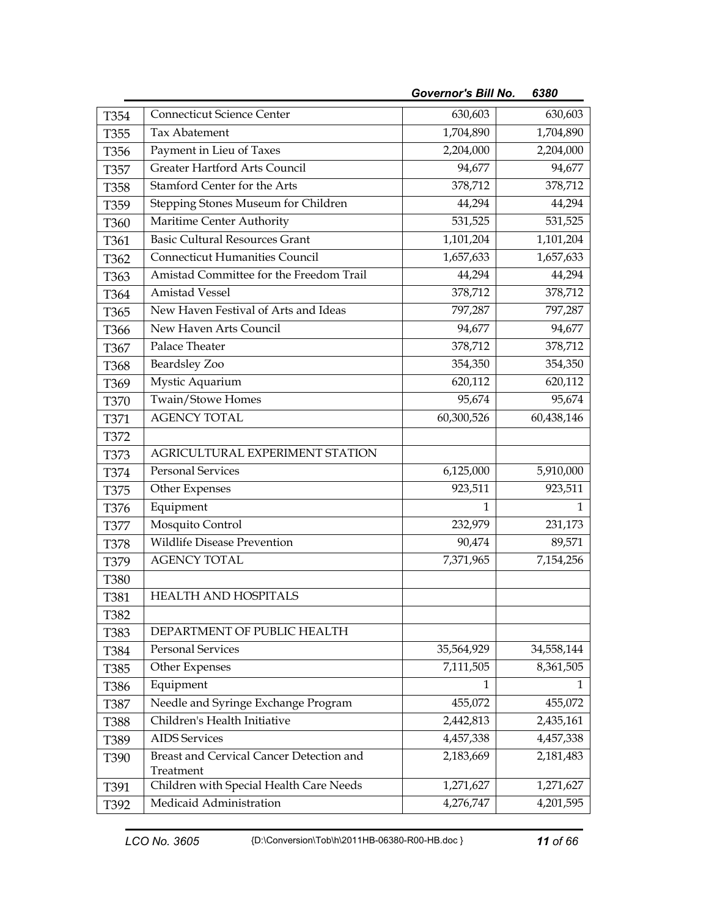|                  |                                                       | <b>Governor's Bill No.</b> | 6380       |
|------------------|-------------------------------------------------------|----------------------------|------------|
| T354             | <b>Connecticut Science Center</b>                     | 630,603                    | 630,603    |
| T355             | Tax Abatement                                         | 1,704,890                  | 1,704,890  |
| T356             | Payment in Lieu of Taxes                              | 2,204,000                  | 2,204,000  |
| T357             | Greater Hartford Arts Council                         | 94,677                     | 94,677     |
| <b>T358</b>      | Stamford Center for the Arts                          | 378,712                    | 378,712    |
| T359             | Stepping Stones Museum for Children                   | 44,294                     | 44,294     |
| T360             | Maritime Center Authority                             | 531,525                    | 531,525    |
| T361             | <b>Basic Cultural Resources Grant</b>                 | 1,101,204                  | 1,101,204  |
| T362             | <b>Connecticut Humanities Council</b>                 | 1,657,633                  | 1,657,633  |
| T363             | Amistad Committee for the Freedom Trail               | 44,294                     | 44,294     |
| T <sub>364</sub> | <b>Amistad Vessel</b>                                 | 378,712                    | 378,712    |
| T365             | New Haven Festival of Arts and Ideas                  | 797,287                    | 797,287    |
| T <sub>366</sub> | New Haven Arts Council                                | 94,677                     | 94,677     |
| T367             | Palace Theater                                        | 378,712                    | 378,712    |
| T368             | <b>Beardsley Zoo</b>                                  | 354,350                    | 354,350    |
| T369             | Mystic Aquarium                                       | 620,112                    | 620,112    |
| <b>T370</b>      | Twain/Stowe Homes                                     | 95,674                     | 95,674     |
| T371             | <b>AGENCY TOTAL</b>                                   | 60,300,526                 | 60,438,146 |
| T372             |                                                       |                            |            |
| T373             | AGRICULTURAL EXPERIMENT STATION                       |                            |            |
| T374             | <b>Personal Services</b>                              | 6,125,000                  | 5,910,000  |
| T375             | Other Expenses                                        | 923,511                    | 923,511    |
| T376             | Equipment                                             | 1                          | 1          |
| <b>T377</b>      | Mosquito Control                                      | 232,979                    | 231,173    |
| <b>T378</b>      | <b>Wildlife Disease Prevention</b>                    | 90,474                     | 89,571     |
| T379             | <b>AGENCY TOTAL</b>                                   | 7,371,965                  | 7,154,256  |
| <b>T380</b>      |                                                       |                            |            |
| T381             | HEALTH AND HOSPITALS                                  |                            |            |
| T382             |                                                       |                            |            |
| T383             | DEPARTMENT OF PUBLIC HEALTH                           |                            |            |
| T384             | <b>Personal Services</b>                              | 35,564,929                 | 34,558,144 |
| T385             | Other Expenses                                        | 7,111,505                  | 8,361,505  |
| T386             | Equipment                                             | Ŧ                          | Ŧ          |
| T387             | Needle and Syringe Exchange Program                   | 455,072                    | 455,072    |
| <b>T388</b>      | Children's Health Initiative                          | 2,442,813                  | 2,435,161  |
| T389             | <b>AIDS</b> Services                                  | 4,457,338                  | 4,457,338  |
| T390             | Breast and Cervical Cancer Detection and<br>Treatment | 2,183,669                  | 2,181,483  |
| T391             | Children with Special Health Care Needs               | 1,271,627                  | 1,271,627  |
| T392             | Medicaid Administration                               | 4,276,747                  | 4,201,595  |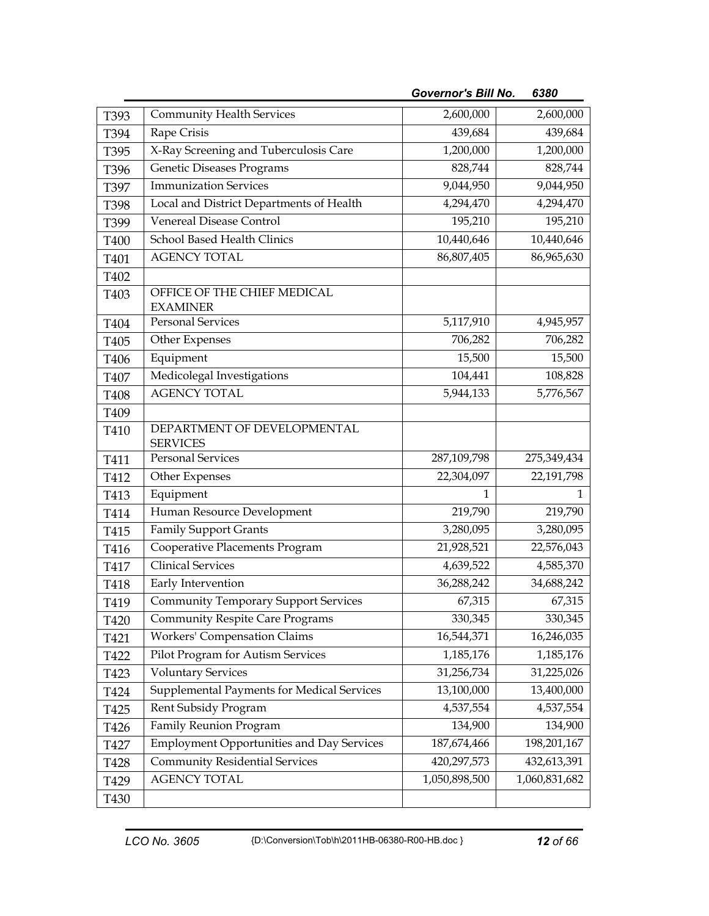| T393 | <b>Community Health Services</b>                 | 2,600,000     | 2,600,000     |
|------|--------------------------------------------------|---------------|---------------|
| T394 | Rape Crisis                                      | 439,684       | 439,684       |
| T395 | X-Ray Screening and Tuberculosis Care            | 1,200,000     | 1,200,000     |
| T396 | Genetic Diseases Programs                        | 828,744       | 828,744       |
| T397 | <b>Immunization Services</b>                     | 9,044,950     | 9,044,950     |
| T398 | Local and District Departments of Health         | 4,294,470     | 4,294,470     |
| T399 | <b>Venereal Disease Control</b>                  | 195,210       | 195,210       |
| T400 | School Based Health Clinics                      | 10,440,646    | 10,440,646    |
| T401 | <b>AGENCY TOTAL</b>                              | 86,807,405    | 86,965,630    |
| T402 |                                                  |               |               |
| T403 | OFFICE OF THE CHIEF MEDICAL<br><b>EXAMINER</b>   |               |               |
| T404 | <b>Personal Services</b>                         | 5,117,910     | 4,945,957     |
| T405 | Other Expenses                                   | 706,282       | 706,282       |
| T406 | Equipment                                        | 15,500        | 15,500        |
| T407 | Medicolegal Investigations                       | 104,441       | 108,828       |
| T408 | <b>AGENCY TOTAL</b>                              | 5,944,133     | 5,776,567     |
| T409 |                                                  |               |               |
| T410 | DEPARTMENT OF DEVELOPMENTAL<br><b>SERVICES</b>   |               |               |
| T411 | Personal Services                                | 287,109,798   | 275,349,434   |
| T412 | Other Expenses                                   | 22,304,097    | 22,191,798    |
| T413 | Equipment                                        | 1             | 1             |
| T414 | Human Resource Development                       | 219,790       | 219,790       |
| T415 | <b>Family Support Grants</b>                     | 3,280,095     | 3,280,095     |
| T416 | Cooperative Placements Program                   | 21,928,521    | 22,576,043    |
| T417 | <b>Clinical Services</b>                         | 4,639,522     | 4,585,370     |
| T418 | Early Intervention                               | 36,288,242    | 34,688,242    |
| T419 | <b>Community Temporary Support Services</b>      | 67,315        | 67,315        |
| T420 | <b>Community Respite Care Programs</b>           | 330,345       | 330,345       |
| T421 | <b>Workers' Compensation Claims</b>              | 16,544,371    | 16,246,035    |
| T422 | Pilot Program for Autism Services                | 1,185,176     | 1,185,176     |
| T423 | <b>Voluntary Services</b>                        | 31,256,734    | 31,225,026    |
| T424 | Supplemental Payments for Medical Services       | 13,100,000    | 13,400,000    |
| T425 | Rent Subsidy Program                             | 4,537,554     | 4,537,554     |
| T426 | Family Reunion Program                           | 134,900       | 134,900       |
| T427 | <b>Employment Opportunities and Day Services</b> | 187,674,466   | 198,201,167   |
| T428 | Community Residential Services                   | 420, 297, 573 | 432,613,391   |
| T429 | <b>AGENCY TOTAL</b>                              | 1,050,898,500 | 1,060,831,682 |
| T430 |                                                  |               |               |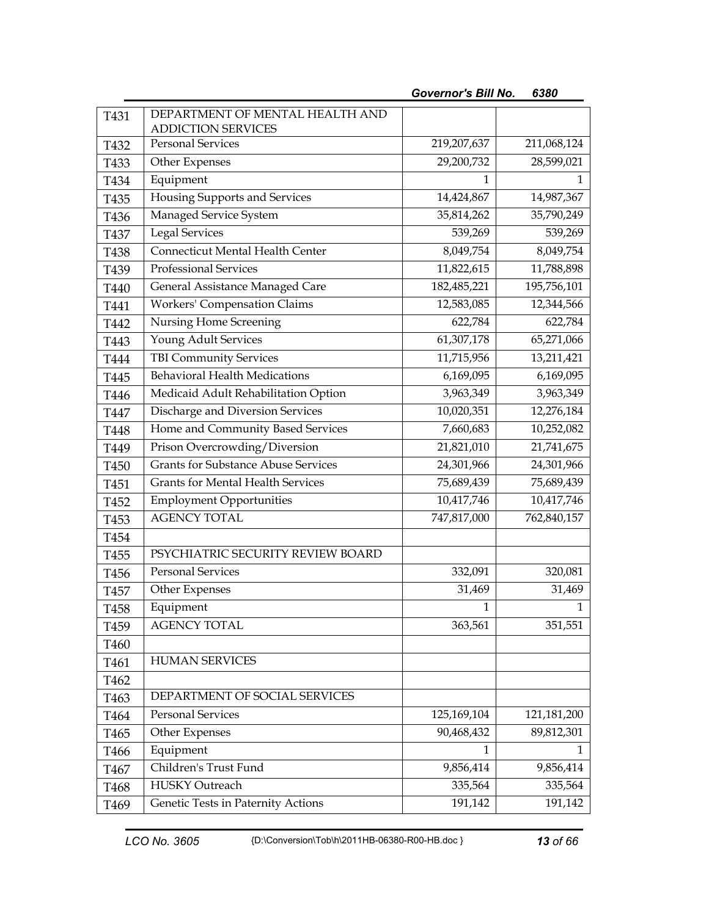| T431             | DEPARTMENT OF MENTAL HEALTH AND<br><b>ADDICTION SERVICES</b> |             |             |
|------------------|--------------------------------------------------------------|-------------|-------------|
| T432             | <b>Personal Services</b>                                     | 219,207,637 | 211,068,124 |
| T433             | Other Expenses                                               | 29,200,732  | 28,599,021  |
| T434             | Equipment                                                    | 1           | Ŧ           |
| T435             | Housing Supports and Services                                | 14,424,867  | 14,987,367  |
| T436             | Managed Service System                                       | 35,814,262  | 35,790,249  |
| T437             | <b>Legal Services</b>                                        | 539,269     | 539,269     |
| T438             | Connecticut Mental Health Center                             | 8,049,754   | 8,049,754   |
| T439             | Professional Services                                        | 11,822,615  | 11,788,898  |
| T440             | General Assistance Managed Care                              | 182,485,221 | 195,756,101 |
| T441             | Workers' Compensation Claims                                 | 12,583,085  | 12,344,566  |
| T442             | Nursing Home Screening                                       | 622,784     | 622,784     |
| T443             | Young Adult Services                                         | 61,307,178  | 65,271,066  |
| T444             | <b>TBI Community Services</b>                                | 11,715,956  | 13,211,421  |
| T445             | <b>Behavioral Health Medications</b>                         | 6,169,095   | 6,169,095   |
| T446             | Medicaid Adult Rehabilitation Option                         | 3,963,349   | 3,963,349   |
| T447             | Discharge and Diversion Services                             | 10,020,351  | 12,276,184  |
| T448             | Home and Community Based Services                            | 7,660,683   | 10,252,082  |
| T449             | Prison Overcrowding/Diversion                                | 21,821,010  | 21,741,675  |
| T450             | <b>Grants for Substance Abuse Services</b>                   | 24,301,966  | 24,301,966  |
| T <sub>451</sub> | <b>Grants for Mental Health Services</b>                     | 75,689,439  | 75,689,439  |
| T452             | <b>Employment Opportunities</b>                              | 10,417,746  | 10,417,746  |
| T453             | <b>AGENCY TOTAL</b>                                          | 747,817,000 | 762,840,157 |
| T454             |                                                              |             |             |
| T455             | PSYCHIATRIC SECURITY REVIEW BOARD                            |             |             |
| T456             | <b>Personal Services</b>                                     | 332,091     | 320,081     |
| T457             | Other Expenses                                               | 31,469      | 31,469      |
| T458             | Equipment                                                    | 1           | 1           |
| T <sub>459</sub> | <b>AGENCY TOTAL</b>                                          | 363,561     | 351,551     |
| T460             |                                                              |             |             |
| T461             | <b>HUMAN SERVICES</b>                                        |             |             |
| T <sub>462</sub> |                                                              |             |             |
| T <sub>463</sub> | DEPARTMENT OF SOCIAL SERVICES                                |             |             |
| T464             | <b>Personal Services</b>                                     | 125,169,104 | 121,181,200 |
| T <sub>465</sub> | Other Expenses                                               | 90,468,432  | 89,812,301  |
| T466             | Equipment                                                    | 1           | 1           |
| T467             | Children's Trust Fund                                        | 9,856,414   | 9,856,414   |
| T <sub>468</sub> | <b>HUSKY Outreach</b>                                        | 335,564     | 335,564     |
| T <sub>469</sub> | Genetic Tests in Paternity Actions                           | 191,142     | 191,142     |

*Governor's Bill No. 6380*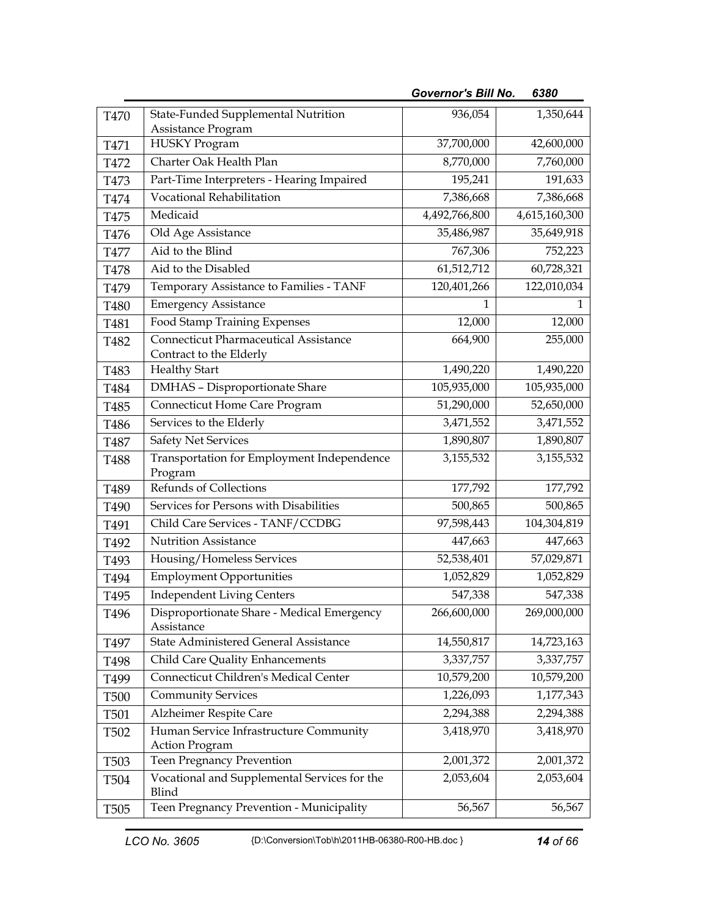| T470             | State-Funded Supplemental Nutrition                              | 936,054       | 1,350,644     |
|------------------|------------------------------------------------------------------|---------------|---------------|
| T471             | Assistance Program<br><b>HUSKY Program</b>                       | 37,700,000    | 42,600,000    |
| T472             | Charter Oak Health Plan                                          | 8,770,000     | 7,760,000     |
| T473             | Part-Time Interpreters - Hearing Impaired                        | 195,241       | 191,633       |
| T474             | Vocational Rehabilitation                                        | 7,386,668     | 7,386,668     |
| T475             | Medicaid                                                         | 4,492,766,800 | 4,615,160,300 |
| T476             | Old Age Assistance                                               | 35,486,987    | 35,649,918    |
| T477             | Aid to the Blind                                                 | 767,306       | 752,223       |
| T478             | Aid to the Disabled                                              | 61,512,712    | 60,728,321    |
| T479             | Temporary Assistance to Families - TANF                          | 120,401,266   | 122,010,034   |
| T480             | <b>Emergency Assistance</b>                                      | 1             | 1             |
| T481             | Food Stamp Training Expenses                                     | 12,000        | 12,000        |
| T482             | Connecticut Pharmaceutical Assistance<br>Contract to the Elderly | 664,900       | 255,000       |
| T483             | <b>Healthy Start</b>                                             | 1,490,220     | 1,490,220     |
| T484             | <b>DMHAS</b> - Disproportionate Share                            | 105,935,000   | 105,935,000   |
| T485             | Connecticut Home Care Program                                    | 51,290,000    | 52,650,000    |
| T486             | Services to the Elderly                                          | 3,471,552     | 3,471,552     |
| T487             | <b>Safety Net Services</b>                                       | 1,890,807     | 1,890,807     |
| T <sub>488</sub> | Transportation for Employment Independence<br>Program            | 3,155,532     | 3,155,532     |
| T <sub>489</sub> | Refunds of Collections                                           | 177,792       | 177,792       |
| T490             | Services for Persons with Disabilities                           | 500,865       | 500,865       |
| T491             | Child Care Services - TANF/CCDBG                                 | 97,598,443    | 104,304,819   |
| T492             | <b>Nutrition Assistance</b>                                      | 447,663       | 447,663       |
| T493             | Housing/Homeless Services                                        | 52,538,401    | 57,029,871    |
| T494             | <b>Employment Opportunities</b>                                  | 1,052,829     | 1,052,829     |
| T495             | <b>Independent Living Centers</b>                                | 547,338       | 547,338       |
| T496             | Disproportionate Share - Medical Emergency<br>Assistance         | 266,600,000   | 269,000,000   |
| T497             | State Administered General Assistance                            | 14,550,817    | 14,723,163    |
| T498             | Child Care Quality Enhancements                                  | 3,337,757     | 3,337,757     |
| T499             | Connecticut Children's Medical Center                            | 10,579,200    | 10,579,200    |
| <b>T500</b>      | <b>Community Services</b>                                        | 1,226,093     | 1,177,343     |
| T501             | Alzheimer Respite Care                                           | 2,294,388     | 2,294,388     |
| T <sub>502</sub> | Human Service Infrastructure Community<br><b>Action Program</b>  | 3,418,970     | 3,418,970     |
| T <sub>503</sub> | Teen Pregnancy Prevention                                        | 2,001,372     | 2,001,372     |
| T504             | Vocational and Supplemental Services for the<br>Blind            | 2,053,604     | 2,053,604     |
| T <sub>505</sub> | Teen Pregnancy Prevention - Municipality                         | 56,567        | 56,567        |

*Governor's Bill No. 6380*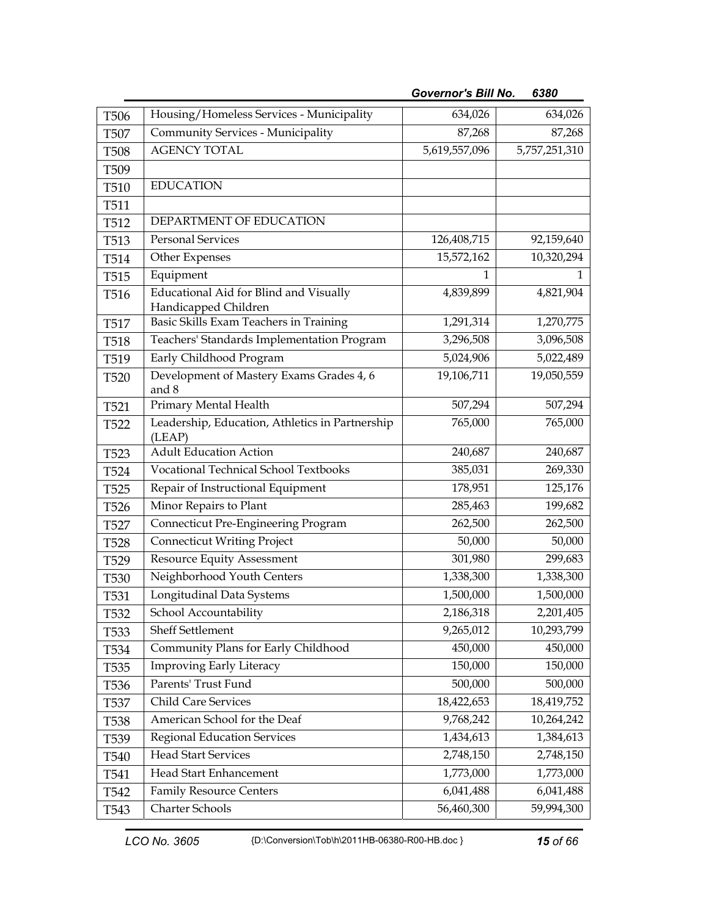| T506             | Housing/Homeless Services - Municipality                       | 634,026       | 634,026       |
|------------------|----------------------------------------------------------------|---------------|---------------|
| <b>T507</b>      | Community Services - Municipality                              | 87,268        | 87,268        |
| <b>T508</b>      | <b>AGENCY TOTAL</b>                                            | 5,619,557,096 | 5,757,251,310 |
| T <sub>509</sub> |                                                                |               |               |
| T510             | <b>EDUCATION</b>                                               |               |               |
| T511             |                                                                |               |               |
| T512             | DEPARTMENT OF EDUCATION                                        |               |               |
| T513             | <b>Personal Services</b>                                       | 126,408,715   | 92,159,640    |
| T514             | Other Expenses                                                 | 15,572,162    | 10,320,294    |
| T515             | Equipment                                                      |               |               |
| T <sub>516</sub> | Educational Aid for Blind and Visually<br>Handicapped Children | 4,839,899     | 4,821,904     |
| T517             | Basic Skills Exam Teachers in Training                         | 1,291,314     | 1,270,775     |
| T518             | Teachers' Standards Implementation Program                     | 3,296,508     | 3,096,508     |
| T519             | Early Childhood Program                                        | 5,024,906     | 5,022,489     |
| T <sub>520</sub> | Development of Mastery Exams Grades 4, 6<br>and 8              | 19,106,711    | 19,050,559    |
| T521             | Primary Mental Health                                          | 507,294       | 507,294       |
| <b>T522</b>      | Leadership, Education, Athletics in Partnership<br>(LEAP)      | 765,000       | 765,000       |
| T523             | <b>Adult Education Action</b>                                  | 240,687       | 240,687       |
| T524             | <b>Vocational Technical School Textbooks</b>                   | 385,031       | 269,330       |
| T <sub>525</sub> | Repair of Instructional Equipment                              | 178,951       | 125,176       |
| T526             | Minor Repairs to Plant                                         | 285,463       | 199,682       |
| T <sub>527</sub> | Connecticut Pre-Engineering Program                            | 262,500       | 262,500       |
| <b>T528</b>      | <b>Connecticut Writing Project</b>                             | 50,000        | 50,000        |
| T529             | Resource Equity Assessment                                     | 301,980       | 299,683       |
| T <sub>530</sub> | Neighborhood Youth Centers                                     | 1,338,300     | 1,338,300     |
| T531             | Longitudinal Data Systems                                      | 1,500,000     | 1,500,000     |
| T532             | School Accountability                                          | 2,186,318     | 2,201,405     |
| T533             | Sheff Settlement                                               | 9,265,012     | 10,293,799    |
| T <sub>534</sub> | Community Plans for Early Childhood                            | 450,000       | 450,000       |
| T535             | <b>Improving Early Literacy</b>                                | 150,000       | 150,000       |
| T <sub>536</sub> | Parents' Trust Fund                                            | 500,000       | 500,000       |
| T <sub>537</sub> | Child Care Services                                            | 18,422,653    | 18,419,752    |
| T <sub>538</sub> | American School for the Deaf                                   | 9,768,242     | 10,264,242    |
| T <sub>539</sub> | <b>Regional Education Services</b>                             | 1,434,613     | 1,384,613     |
| T <sub>540</sub> | <b>Head Start Services</b>                                     | 2,748,150     | 2,748,150     |
| T541             | Head Start Enhancement                                         | 1,773,000     | 1,773,000     |
| T542             | <b>Family Resource Centers</b>                                 | 6,041,488     | 6,041,488     |
| T <sub>543</sub> | Charter Schools                                                | 56,460,300    | 59,994,300    |

*Governor's Bill No. 6380*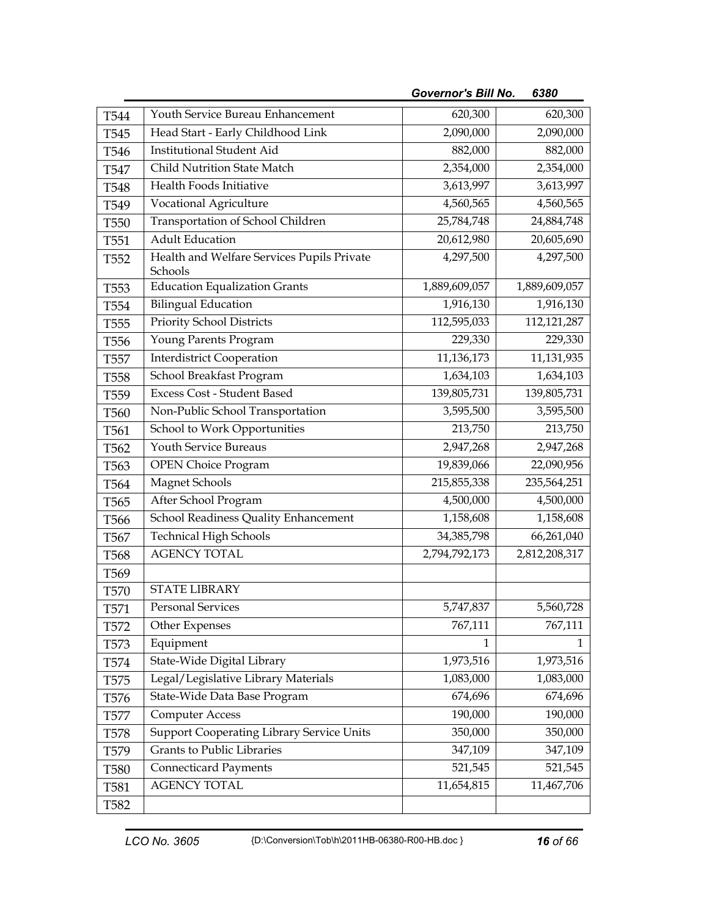| T544             | Youth Service Bureau Enhancement                      | 620,300       | 620,300       |
|------------------|-------------------------------------------------------|---------------|---------------|
| T545             | Head Start - Early Childhood Link                     | 2,090,000     | 2,090,000     |
| T546             | <b>Institutional Student Aid</b>                      | 882,000       | 882,000       |
| T547             | Child Nutrition State Match                           | 2,354,000     | 2,354,000     |
| T548             | Health Foods Initiative                               | 3,613,997     | 3,613,997     |
| T549             | Vocational Agriculture                                | 4,560,565     | 4,560,565     |
| T <sub>550</sub> | Transportation of School Children                     | 25,784,748    | 24,884,748    |
| T <sub>551</sub> | <b>Adult Education</b>                                | 20,612,980    | 20,605,690    |
| T <sub>552</sub> | Health and Welfare Services Pupils Private<br>Schools | 4,297,500     | 4,297,500     |
| T <sub>553</sub> | <b>Education Equalization Grants</b>                  | 1,889,609,057 | 1,889,609,057 |
| T <sub>554</sub> | <b>Bilingual Education</b>                            | 1,916,130     | 1,916,130     |
| T <sub>55</sub>  | Priority School Districts                             | 112,595,033   | 112,121,287   |
| T <sub>556</sub> | Young Parents Program                                 | 229,330       | 229,330       |
| T <sub>557</sub> | <b>Interdistrict Cooperation</b>                      | 11,136,173    | 11,131,935    |
| <b>T558</b>      | School Breakfast Program                              | 1,634,103     | 1,634,103     |
| T <sub>559</sub> | <b>Excess Cost - Student Based</b>                    | 139,805,731   | 139,805,731   |
| T <sub>560</sub> | Non-Public School Transportation                      | 3,595,500     | 3,595,500     |
| T <sub>561</sub> | School to Work Opportunities                          | 213,750       | 213,750       |
| T <sub>562</sub> | Youth Service Bureaus                                 | 2,947,268     | 2,947,268     |
| T <sub>563</sub> | <b>OPEN Choice Program</b>                            | 19,839,066    | 22,090,956    |
| T <sub>564</sub> | <b>Magnet Schools</b>                                 | 215,855,338   | 235,564,251   |
| T <sub>565</sub> | After School Program                                  | 4,500,000     | 4,500,000     |
| T <sub>566</sub> | School Readiness Quality Enhancement                  | 1,158,608     | 1,158,608     |
| T <sub>567</sub> | <b>Technical High Schools</b>                         | 34, 385, 798  | 66,261,040    |
| T <sub>568</sub> | <b>AGENCY TOTAL</b>                                   | 2,794,792,173 | 2,812,208,317 |
| T <sub>569</sub> |                                                       |               |               |
| T570             | <b>STATE LIBRARY</b>                                  |               |               |
| T571             | <b>Personal Services</b>                              | 5,747,837     | 5,560,728     |
| T572             | Other Expenses                                        | 767,111       | 767,111       |
| T573             | Equipment                                             | 1             | 1             |
| T574             | State-Wide Digital Library                            | 1,973,516     | 1,973,516     |
| T575             | Legal/Legislative Library Materials                   | 1,083,000     | 1,083,000     |
| T <sub>576</sub> | State-Wide Data Base Program                          | 674,696       | 674,696       |
| T577             | <b>Computer Access</b>                                | 190,000       | 190,000       |
| T <sub>578</sub> | <b>Support Cooperating Library Service Units</b>      | 350,000       | 350,000       |
| T579             | <b>Grants to Public Libraries</b>                     | 347,109       | 347,109       |
| <b>T580</b>      | <b>Connecticard Payments</b>                          | 521,545       | 521,545       |
| T581             | <b>AGENCY TOTAL</b>                                   | 11,654,815    | 11,467,706    |
| T582             |                                                       |               |               |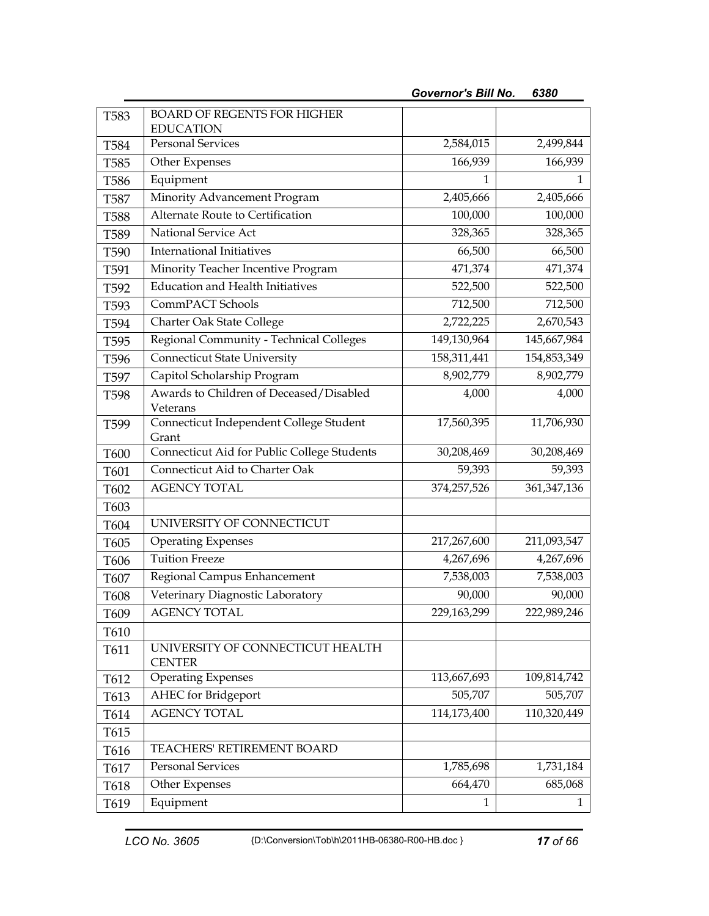| T583             | <b>BOARD OF REGENTS FOR HIGHER</b>                   |              |               |
|------------------|------------------------------------------------------|--------------|---------------|
|                  | <b>EDUCATION</b><br><b>Personal Services</b>         |              |               |
| T584             |                                                      | 2,584,015    | 2,499,844     |
| T585             | Other Expenses                                       | 166,939      | 166,939       |
| T <sub>586</sub> | Equipment                                            | 1            | $\mathbf{1}$  |
| <b>T587</b>      | Minority Advancement Program                         | 2,405,666    | 2,405,666     |
| <b>T588</b>      | Alternate Route to Certification                     | 100,000      | 100,000       |
| T589             | National Service Act                                 | 328,365      | 328,365       |
| T590             | <b>International Initiatives</b>                     | 66,500       | 66,500        |
| T591             | Minority Teacher Incentive Program                   | 471,374      | 471,374       |
| T592             | <b>Education and Health Initiatives</b>              | 522,500      | 522,500       |
| T593             | CommPACT Schools                                     | 712,500      | 712,500       |
| T594             | Charter Oak State College                            | 2,722,225    | 2,670,543     |
| T595             | Regional Community - Technical Colleges              | 149,130,964  | 145,667,984   |
| T596             | <b>Connecticut State University</b>                  | 158,311,441  | 154,853,349   |
| T597             | Capitol Scholarship Program                          | 8,902,779    | 8,902,779     |
| T598             | Awards to Children of Deceased/Disabled              | 4,000        | 4,000         |
|                  | Veterans                                             |              |               |
| T599             | Connecticut Independent College Student              | 17,560,395   | 11,706,930    |
| T600             | Grant<br>Connecticut Aid for Public College Students | 30,208,469   | 30,208,469    |
| T601             | Connecticut Aid to Charter Oak                       | 59,393       | 59,393        |
| T602             | <b>AGENCY TOTAL</b>                                  | 374,257,526  | 361, 347, 136 |
| T603             |                                                      |              |               |
| T604             | UNIVERSITY OF CONNECTICUT                            |              |               |
| T605             | <b>Operating Expenses</b>                            | 217,267,600  | 211,093,547   |
| T606             | <b>Tuition Freeze</b>                                | 4,267,696    | 4,267,696     |
| T607             | Regional Campus Enhancement                          | 7,538,003    | 7,538,003     |
| T608             | Veterinary Diagnostic Laboratory                     | 90,000       | 90,000        |
| T609             | <b>AGENCY TOTAL</b>                                  | 229,163,299  | 222,989,246   |
| T610             |                                                      |              |               |
| T611             | UNIVERSITY OF CONNECTICUT HEALTH                     |              |               |
|                  | <b>CENTER</b>                                        |              |               |
| T612             | <b>Operating Expenses</b>                            | 113,667,693  | 109,814,742   |
| T613             | <b>AHEC</b> for Bridgeport                           | 505,707      | 505,707       |
| T614             | <b>AGENCY TOTAL</b>                                  | 114,173,400  | 110,320,449   |
| T615             |                                                      |              |               |
| T616             | TEACHERS' RETIREMENT BOARD                           |              |               |
| T617             | <b>Personal Services</b>                             | 1,785,698    | 1,731,184     |
| T618             | Other Expenses                                       | 664,470      | 685,068       |
| T619             | Equipment                                            | $\mathbf{1}$ | 1             |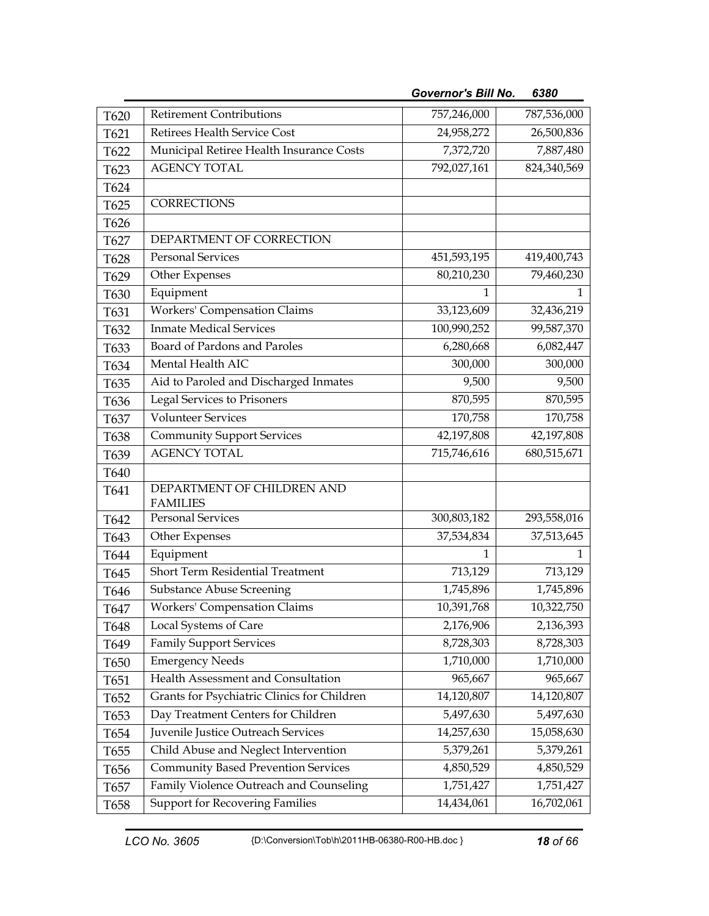| T620 | <b>Retirement Contributions</b>             | 757,246,000 | 787,536,000 |
|------|---------------------------------------------|-------------|-------------|
| T621 | Retirees Health Service Cost                | 24,958,272  | 26,500,836  |
| T622 | Municipal Retiree Health Insurance Costs    | 7,372,720   | 7,887,480   |
| T623 | <b>AGENCY TOTAL</b>                         | 792,027,161 | 824,340,569 |
| T624 |                                             |             |             |
| T625 | <b>CORRECTIONS</b>                          |             |             |
| T626 |                                             |             |             |
| T627 | DEPARTMENT OF CORRECTION                    |             |             |
| T628 | Personal Services                           | 451,593,195 | 419,400,743 |
| T629 | Other Expenses                              | 80,210,230  | 79,460,230  |
| T630 | Equipment                                   | 1           | 1           |
| T631 | <b>Workers' Compensation Claims</b>         | 33,123,609  | 32,436,219  |
| T632 | <b>Inmate Medical Services</b>              | 100,990,252 | 99,587,370  |
| T633 | Board of Pardons and Paroles                | 6,280,668   | 6,082,447   |
| T634 | Mental Health AIC                           | 300,000     | 300,000     |
| T635 | Aid to Paroled and Discharged Inmates       | 9,500       | 9,500       |
| T636 | Legal Services to Prisoners                 | 870,595     | 870,595     |
| T637 | <b>Volunteer Services</b>                   | 170,758     | 170,758     |
| T638 | <b>Community Support Services</b>           | 42,197,808  | 42,197,808  |
| T639 | <b>AGENCY TOTAL</b>                         | 715,746,616 | 680,515,671 |
| T640 |                                             |             |             |
| T641 | DEPARTMENT OF CHILDREN AND                  |             |             |
|      | <b>FAMILIES</b>                             |             |             |
| T642 | <b>Personal Services</b>                    | 300,803,182 | 293,558,016 |
| T643 | Other Expenses                              | 37,534,834  | 37,513,645  |
| T644 | Equipment                                   | 1           | 1           |
| T645 | Short Term Residential Treatment            | 713,129     | 713,129     |
| T646 | <b>Substance Abuse Screening</b>            | 1,745,896   | 1,745,896   |
| T647 | <b>Workers' Compensation Claims</b>         | 10,391,768  | 10,322,750  |
| T648 | Local Systems of Care                       | 2,176,906   | 2,136,393   |
| T649 | <b>Family Support Services</b>              | 8,728,303   | 8,728,303   |
| T650 | <b>Emergency Needs</b>                      | 1,710,000   | 1,710,000   |
| T651 | Health Assessment and Consultation          | 965,667     | 965,667     |
| T652 | Grants for Psychiatric Clinics for Children | 14,120,807  | 14,120,807  |
| T653 | Day Treatment Centers for Children          | 5,497,630   | 5,497,630   |
| T654 | Juvenile Justice Outreach Services          | 14,257,630  | 15,058,630  |
| T655 | Child Abuse and Neglect Intervention        | 5,379,261   | 5,379,261   |
| T656 | <b>Community Based Prevention Services</b>  | 4,850,529   | 4,850,529   |
| T657 | Family Violence Outreach and Counseling     | 1,751,427   | 1,751,427   |
| T658 | <b>Support for Recovering Families</b>      | 14,434,061  | 16,702,061  |

*Governor's Bill No. 6380*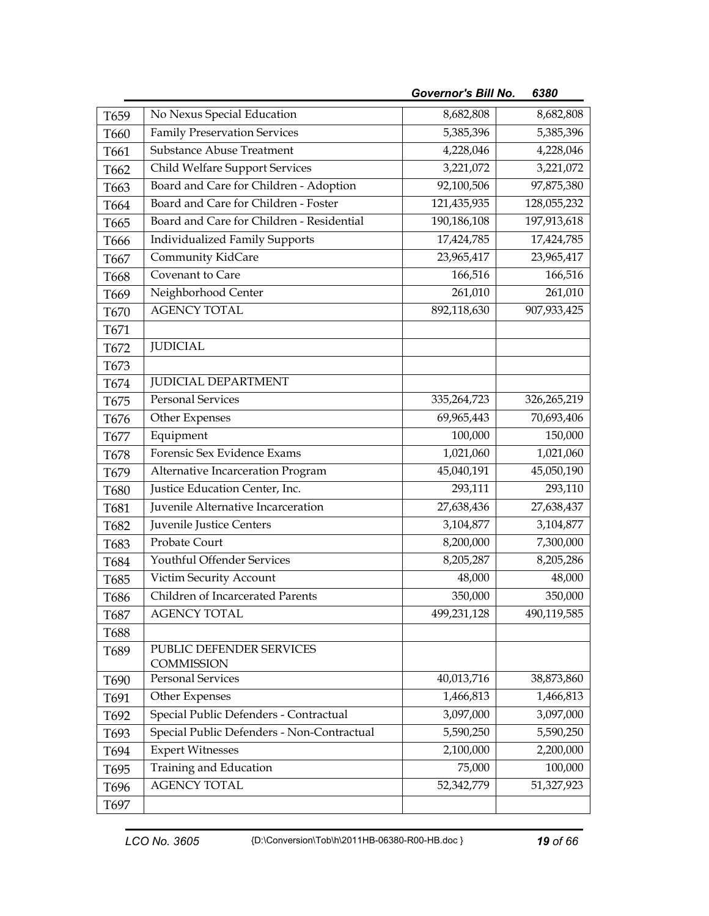|      |                                               | <b>Governor's Bill No.</b> | 6380        |
|------|-----------------------------------------------|----------------------------|-------------|
| T659 | No Nexus Special Education                    | 8,682,808                  | 8,682,808   |
| T660 | <b>Family Preservation Services</b>           | 5,385,396                  | 5,385,396   |
| T661 | <b>Substance Abuse Treatment</b>              | 4,228,046                  | 4,228,046   |
| T662 | <b>Child Welfare Support Services</b>         | 3,221,072                  | 3,221,072   |
| T663 | Board and Care for Children - Adoption        | 92,100,506                 | 97,875,380  |
| T664 | Board and Care for Children - Foster          | 121,435,935                | 128,055,232 |
| T665 | Board and Care for Children - Residential     | 190,186,108                | 197,913,618 |
| T666 | <b>Individualized Family Supports</b>         | 17,424,785                 | 17,424,785  |
| T667 | Community KidCare                             | 23,965,417                 | 23,965,417  |
| T668 | Covenant to Care                              | 166,516                    | 166,516     |
| T669 | Neighborhood Center                           | 261,010                    | 261,010     |
| T670 | <b>AGENCY TOTAL</b>                           | 892,118,630                | 907,933,425 |
| T671 |                                               |                            |             |
| T672 | <b>JUDICIAL</b>                               |                            |             |
| T673 |                                               |                            |             |
| T674 | <b>JUDICIAL DEPARTMENT</b>                    |                            |             |
| T675 | <b>Personal Services</b>                      | 335,264,723                | 326,265,219 |
| T676 | Other Expenses                                | 69,965,443                 | 70,693,406  |
| T677 | Equipment                                     | 100,000                    | 150,000     |
| T678 | Forensic Sex Evidence Exams                   | 1,021,060                  | 1,021,060   |
| T679 | Alternative Incarceration Program             | 45,040,191                 | 45,050,190  |
| T680 | Justice Education Center, Inc.                | 293,111                    | 293,110     |
| T681 | Juvenile Alternative Incarceration            | 27,638,436                 | 27,638,437  |
| T682 | Juvenile Justice Centers                      | 3,104,877                  | 3,104,877   |
| T683 | Probate Court                                 | 8,200,000                  | 7,300,000   |
| T684 | Youthful Offender Services                    | 8,205,287                  | 8,205,286   |
| T685 | Victim Security Account                       | 48,000                     | 48,000      |
| T686 | Children of Incarcerated Parents              | 350,000                    | 350,000     |
| T687 | <b>AGENCY TOTAL</b>                           | 499,231,128                | 490,119,585 |
| T688 |                                               |                            |             |
| T689 | PUBLIC DEFENDER SERVICES<br><b>COMMISSION</b> |                            |             |
| T690 | <b>Personal Services</b>                      | 40,013,716                 | 38,873,860  |
| T691 | Other Expenses                                | 1,466,813                  | 1,466,813   |
| T692 | Special Public Defenders - Contractual        | 3,097,000                  | 3,097,000   |
| T693 | Special Public Defenders - Non-Contractual    | 5,590,250                  | 5,590,250   |
| T694 | <b>Expert Witnesses</b>                       | 2,100,000                  | 2,200,000   |
| T695 | Training and Education                        | 75,000                     | 100,000     |
| T696 | <b>AGENCY TOTAL</b>                           | 52,342,779                 | 51,327,923  |
| T697 |                                               |                            |             |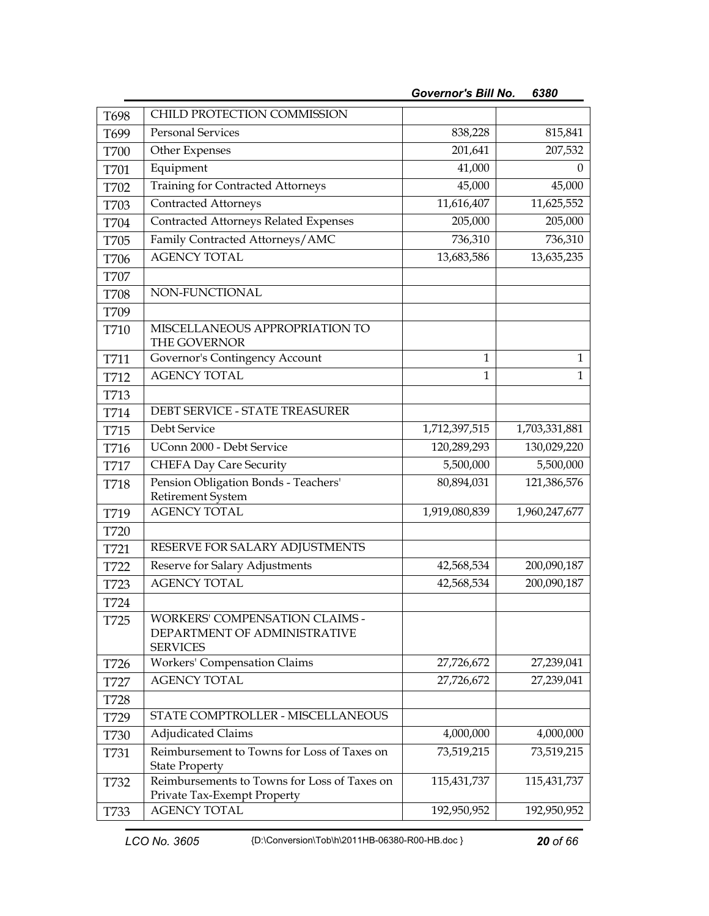| T698        | CHILD PROTECTION COMMISSION                                                       |               |               |
|-------------|-----------------------------------------------------------------------------------|---------------|---------------|
| T699        | <b>Personal Services</b>                                                          | 838,228       | 815,841       |
| <b>T700</b> | Other Expenses                                                                    | 201,641       | 207,532       |
| T701        | Equipment                                                                         | 41,000        | 0             |
| T702        | <b>Training for Contracted Attorneys</b>                                          | 45,000        | 45,000        |
| T703        | <b>Contracted Attorneys</b>                                                       | 11,616,407    | 11,625,552    |
| T704        | Contracted Attorneys Related Expenses                                             | 205,000       | 205,000       |
| T705        | Family Contracted Attorneys/AMC                                                   | 736,310       | 736,310       |
| T706        | <b>AGENCY TOTAL</b>                                                               | 13,683,586    | 13,635,235    |
| T707        |                                                                                   |               |               |
| <b>T708</b> | NON-FUNCTIONAL                                                                    |               |               |
| T709        |                                                                                   |               |               |
| T710        | MISCELLANEOUS APPROPRIATION TO<br>THE GOVERNOR                                    |               |               |
| T711        | Governor's Contingency Account                                                    | $\mathbf{1}$  | $\mathbf{1}$  |
| T712        | <b>AGENCY TOTAL</b>                                                               | $\mathbf{1}$  | $\mathbf{1}$  |
| T713        |                                                                                   |               |               |
| T714        | DEBT SERVICE - STATE TREASURER                                                    |               |               |
| T715        | Debt Service                                                                      | 1,712,397,515 | 1,703,331,881 |
| T716        | UConn 2000 - Debt Service                                                         | 120,289,293   | 130,029,220   |
| <b>T717</b> | <b>CHEFA Day Care Security</b>                                                    | 5,500,000     | 5,500,000     |
| T718        | Pension Obligation Bonds - Teachers'                                              | 80,894,031    | 121,386,576   |
|             | <b>Retirement System</b>                                                          |               |               |
| T719        | <b>AGENCY TOTAL</b>                                                               | 1,919,080,839 | 1,960,247,677 |
| T720        |                                                                                   |               |               |
| T721        | RESERVE FOR SALARY ADJUSTMENTS                                                    |               |               |
| T722        | Reserve for Salary Adjustments                                                    | 42,568,534    | 200,090,187   |
| T723        | <b>AGENCY TOTAL</b>                                                               | 42,568,534    | 200,090,187   |
| T724        |                                                                                   |               |               |
| T725        | WORKERS' COMPENSATION CLAIMS -<br>DEPARTMENT OF ADMINISTRATIVE<br><b>SERVICES</b> |               |               |
| T726        | <b>Workers' Compensation Claims</b>                                               | 27,726,672    | 27,239,041    |
| T727        | <b>AGENCY TOTAL</b>                                                               | 27,726,672    | 27,239,041    |
| T728        |                                                                                   |               |               |
| T729        | STATE COMPTROLLER - MISCELLANEOUS                                                 |               |               |
| T730        | <b>Adjudicated Claims</b>                                                         | 4,000,000     | 4,000,000     |
| T731        | Reimbursement to Towns for Loss of Taxes on                                       | 73,519,215    | 73,519,215    |
|             | <b>State Property</b>                                                             |               |               |
| T732        | Reimbursements to Towns for Loss of Taxes on                                      | 115,431,737   | 115,431,737   |
| T733        | Private Tax-Exempt Property<br><b>AGENCY TOTAL</b>                                | 192,950,952   | 192,950,952   |
|             |                                                                                   |               |               |

*Governor's Bill No. 6380*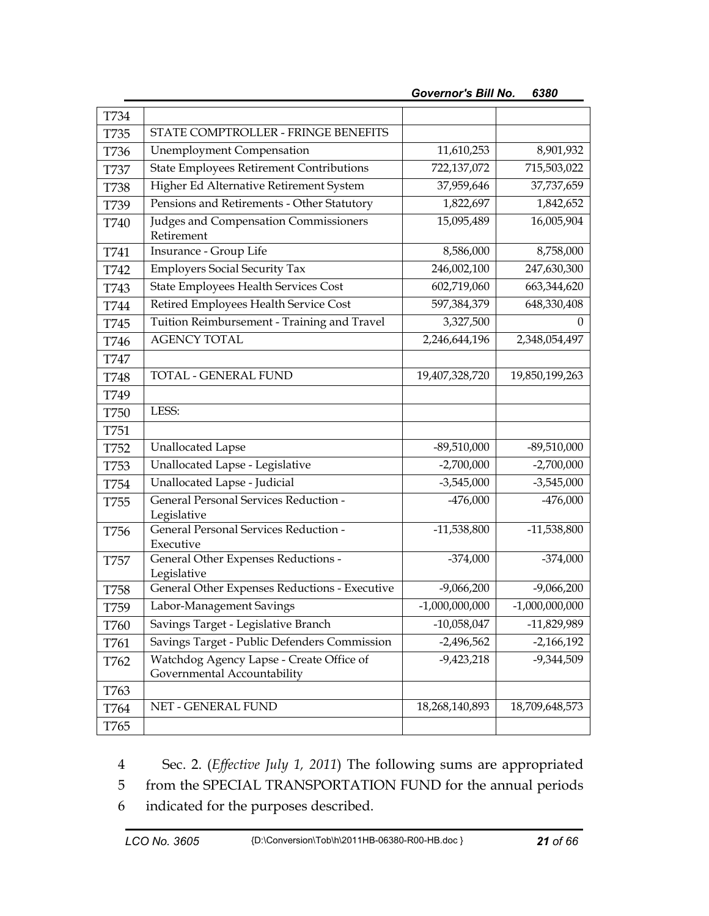| <b>T734</b> |                                                                         |                  |                  |
|-------------|-------------------------------------------------------------------------|------------------|------------------|
| T735        | STATE COMPTROLLER - FRINGE BENEFITS                                     |                  |                  |
| T736        | <b>Unemployment Compensation</b>                                        | 11,610,253       | 8,901,932        |
| <b>T737</b> | <b>State Employees Retirement Contributions</b>                         | 722,137,072      | 715,503,022      |
| <b>T738</b> | Higher Ed Alternative Retirement System                                 | 37,959,646       | 37,737,659       |
| T739        | Pensions and Retirements - Other Statutory                              | 1,822,697        | 1,842,652        |
| T740        | Judges and Compensation Commissioners<br>Retirement                     | 15,095,489       | 16,005,904       |
| T741        | Insurance - Group Life                                                  | 8,586,000        | 8,758,000        |
| T742        | <b>Employers Social Security Tax</b>                                    | 246,002,100      | 247,630,300      |
| T743        | State Employees Health Services Cost                                    | 602,719,060      | 663,344,620      |
| T744        | Retired Employees Health Service Cost                                   | 597,384,379      | 648,330,408      |
| T745        | Tuition Reimbursement - Training and Travel                             | 3,327,500        | 0                |
| T746        | <b>AGENCY TOTAL</b>                                                     | 2,246,644,196    | 2,348,054,497    |
| T747        |                                                                         |                  |                  |
| <b>T748</b> | TOTAL - GENERAL FUND                                                    | 19,407,328,720   | 19,850,199,263   |
| T749        |                                                                         |                  |                  |
| <b>T750</b> | LESS:                                                                   |                  |                  |
| T751        |                                                                         |                  |                  |
| T752        | <b>Unallocated Lapse</b>                                                | $-89,510,000$    | $-89,510,000$    |
| T753        | Unallocated Lapse - Legislative                                         | $-2,700,000$     | $-2,700,000$     |
| T754        | Unallocated Lapse - Judicial                                            | $-3,545,000$     | $-3,545,000$     |
| T755        | <b>General Personal Services Reduction -</b><br>Legislative             | $-476,000$       | $-476,000$       |
| T756        | <b>General Personal Services Reduction -</b><br>Executive               | $-11,538,800$    | $-11,538,800$    |
| T757        | General Other Expenses Reductions -<br>Legislative                      | $-374,000$       | $-374,000$       |
| T758        | General Other Expenses Reductions - Executive                           | $-9,066,200$     | $-9,066,200$     |
| T759        | Labor-Management Savings                                                | $-1,000,000,000$ | $-1,000,000,000$ |
| T760        | Savings Target - Legislative Branch                                     | $-10,058,047$    | -11,829,989      |
| T761        | Savings Target - Public Defenders Commission                            | $-2,496,562$     | $-2,166,192$     |
| T762        | Watchdog Agency Lapse - Create Office of<br>Governmental Accountability | $-9,423,218$     | $-9,344,509$     |
| T763        |                                                                         |                  |                  |
| T764        | NET - GENERAL FUND                                                      | 18,268,140,893   | 18,709,648,573   |
| T765        |                                                                         |                  |                  |

*Governor's Bill No. 6380* 

4 Sec. 2. (*Effective July 1, 2011*) The following sums are appropriated

5 from the SPECIAL TRANSPORTATION FUND for the annual periods

6 indicated for the purposes described.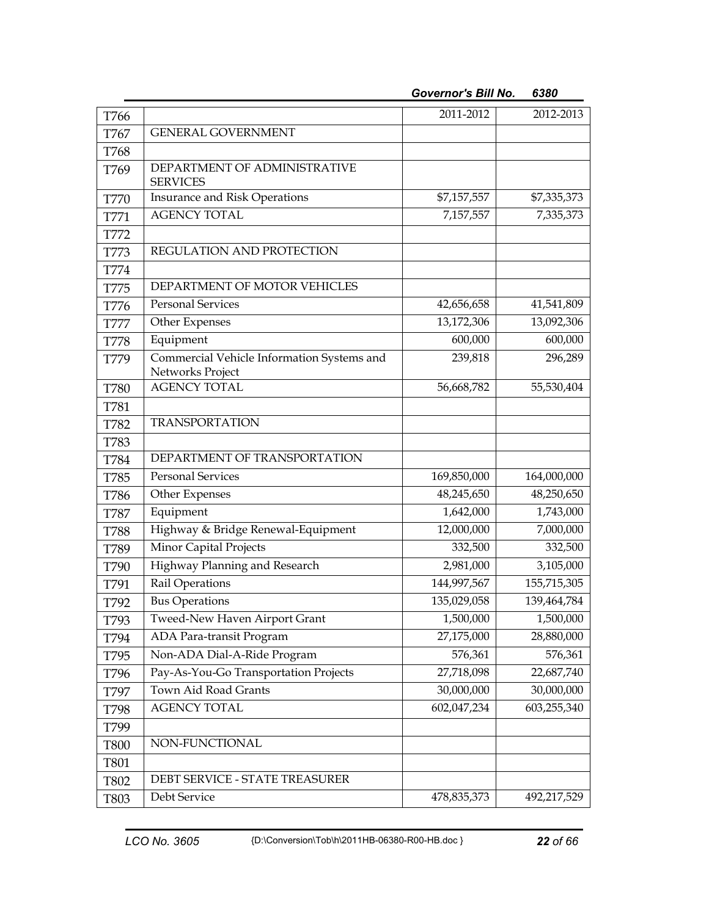| T766        |                                                                | 2011-2012   | 2012-2013   |
|-------------|----------------------------------------------------------------|-------------|-------------|
| T767        | <b>GENERAL GOVERNMENT</b>                                      |             |             |
| T768        |                                                                |             |             |
| T769        | DEPARTMENT OF ADMINISTRATIVE<br><b>SERVICES</b>                |             |             |
| <b>T770</b> | Insurance and Risk Operations                                  | \$7,157,557 | \$7,335,373 |
| T771        | <b>AGENCY TOTAL</b>                                            | 7,157,557   | 7,335,373   |
| T772        |                                                                |             |             |
| T773        | REGULATION AND PROTECTION                                      |             |             |
| T774        |                                                                |             |             |
| T775        | DEPARTMENT OF MOTOR VEHICLES                                   |             |             |
| T776        | <b>Personal Services</b>                                       | 42,656,658  | 41,541,809  |
| T777        | Other Expenses                                                 | 13,172,306  | 13,092,306  |
| <b>T778</b> | Equipment                                                      | 600,000     | 600,000     |
| T779        | Commercial Vehicle Information Systems and<br>Networks Project | 239,818     | 296,289     |
| <b>T780</b> | <b>AGENCY TOTAL</b>                                            | 56,668,782  | 55,530,404  |
| T781        |                                                                |             |             |
| <b>T782</b> | <b>TRANSPORTATION</b>                                          |             |             |
| T783        |                                                                |             |             |
| <b>T784</b> | DEPARTMENT OF TRANSPORTATION                                   |             |             |
| T785        | Personal Services                                              | 169,850,000 | 164,000,000 |
| T786        | Other Expenses                                                 | 48,245,650  | 48,250,650  |
| T787        | Equipment                                                      | 1,642,000   | 1,743,000   |
| <b>T788</b> | Highway & Bridge Renewal-Equipment                             | 12,000,000  | 7,000,000   |
| T789        | Minor Capital Projects                                         | 332,500     | 332,500     |
| T790        | Highway Planning and Research                                  | 2,981,000   | 3,105,000   |
| T791        | Rail Operations                                                | 144,997,567 | 155,715,305 |
| T792        | <b>Bus Operations</b>                                          | 135,029,058 | 139,464,784 |
| T793        | Tweed-New Haven Airport Grant                                  | 1,500,000   | 1,500,000   |
| T794        | ADA Para-transit Program                                       | 27,175,000  | 28,880,000  |
| T795        | Non-ADA Dial-A-Ride Program                                    | 576,361     | 576,361     |
| T796        | Pay-As-You-Go Transportation Projects                          | 27,718,098  | 22,687,740  |
| T797        | Town Aid Road Grants                                           | 30,000,000  | 30,000,000  |
| T798        | <b>AGENCY TOTAL</b>                                            | 602,047,234 | 603,255,340 |
| T799        |                                                                |             |             |
| <b>T800</b> | NON-FUNCTIONAL                                                 |             |             |
| T801        |                                                                |             |             |
| T802        | DEBT SERVICE - STATE TREASURER                                 |             |             |
| T803        | Debt Service                                                   | 478,835,373 | 492,217,529 |

*Governor's Bill No. 6380*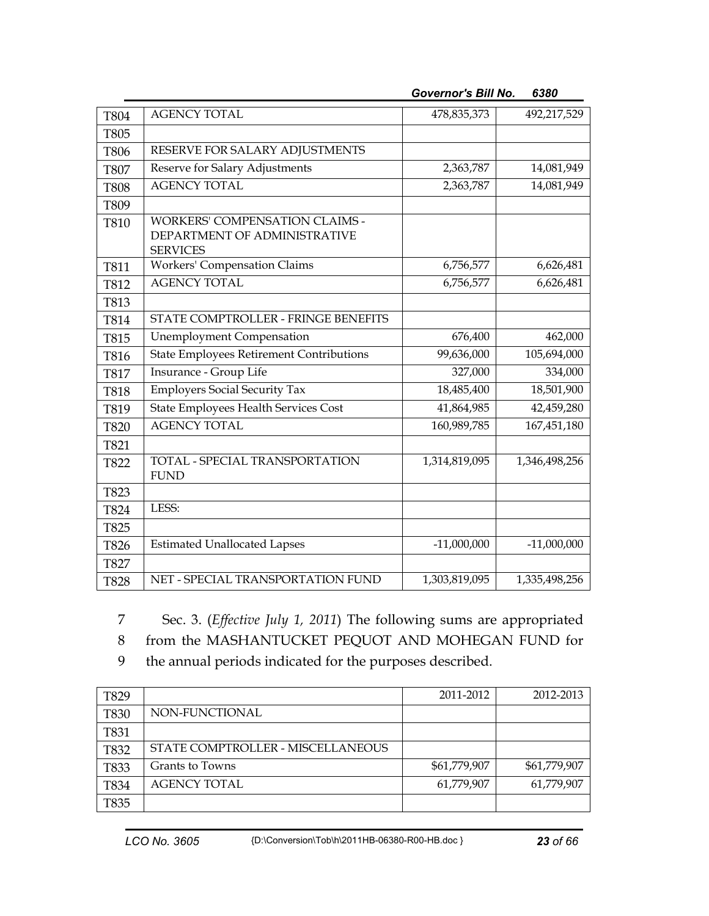| T804        | <b>AGENCY TOTAL</b>                                                                      | 478,835,373   | 492,217,529   |
|-------------|------------------------------------------------------------------------------------------|---------------|---------------|
| T805        |                                                                                          |               |               |
| T806        | RESERVE FOR SALARY ADJUSTMENTS                                                           |               |               |
| <b>T807</b> | Reserve for Salary Adjustments                                                           | 2,363,787     | 14,081,949    |
| <b>T808</b> | <b>AGENCY TOTAL</b>                                                                      | 2,363,787     | 14,081,949    |
| T809        |                                                                                          |               |               |
| <b>T810</b> | <b>WORKERS' COMPENSATION CLAIMS -</b><br>DEPARTMENT OF ADMINISTRATIVE<br><b>SERVICES</b> |               |               |
| T811        | <b>Workers' Compensation Claims</b>                                                      | 6,756,577     | 6,626,481     |
| T812        | <b>AGENCY TOTAL</b>                                                                      | 6,756,577     | 6,626,481     |
| T813        |                                                                                          |               |               |
| T814        | STATE COMPTROLLER - FRINGE BENEFITS                                                      |               |               |
| T815        | <b>Unemployment Compensation</b>                                                         | 676,400       | 462,000       |
| T816        | <b>State Employees Retirement Contributions</b>                                          | 99,636,000    | 105,694,000   |
| T817        | Insurance - Group Life                                                                   | 327,000       | 334,000       |
| <b>T818</b> | <b>Employers Social Security Tax</b>                                                     | 18,485,400    | 18,501,900    |
| T819        | <b>State Employees Health Services Cost</b>                                              | 41,864,985    | 42,459,280    |
| <b>T820</b> | <b>AGENCY TOTAL</b>                                                                      | 160,989,785   | 167,451,180   |
| T821        |                                                                                          |               |               |
| T822        | TOTAL - SPECIAL TRANSPORTATION<br><b>FUND</b>                                            | 1,314,819,095 | 1,346,498,256 |
| T823        |                                                                                          |               |               |
| T824        | LESS:                                                                                    |               |               |
| T825        |                                                                                          |               |               |
| T826        | <b>Estimated Unallocated Lapses</b>                                                      | $-11,000,000$ | $-11,000,000$ |
| T827        |                                                                                          |               |               |
| <b>T828</b> | NET - SPECIAL TRANSPORTATION FUND                                                        | 1,303,819,095 | 1,335,498,256 |

*Governor's Bill No. 6380* 

7 Sec. 3. (*Effective July 1, 2011*) The following sums are appropriated

8 from the MASHANTUCKET PEQUOT AND MOHEGAN FUND for

9 the annual periods indicated for the purposes described.

| T829 |                                   | 2011-2012    | 2012-2013    |
|------|-----------------------------------|--------------|--------------|
| T830 | NON-FUNCTIONAL                    |              |              |
| T831 |                                   |              |              |
| T832 | STATE COMPTROLLER - MISCELLANEOUS |              |              |
| T833 | Grants to Towns                   | \$61,779,907 | \$61,779,907 |
| T834 | AGENCY TOTAL                      | 61,779,907   | 61,779,907   |
| T835 |                                   |              |              |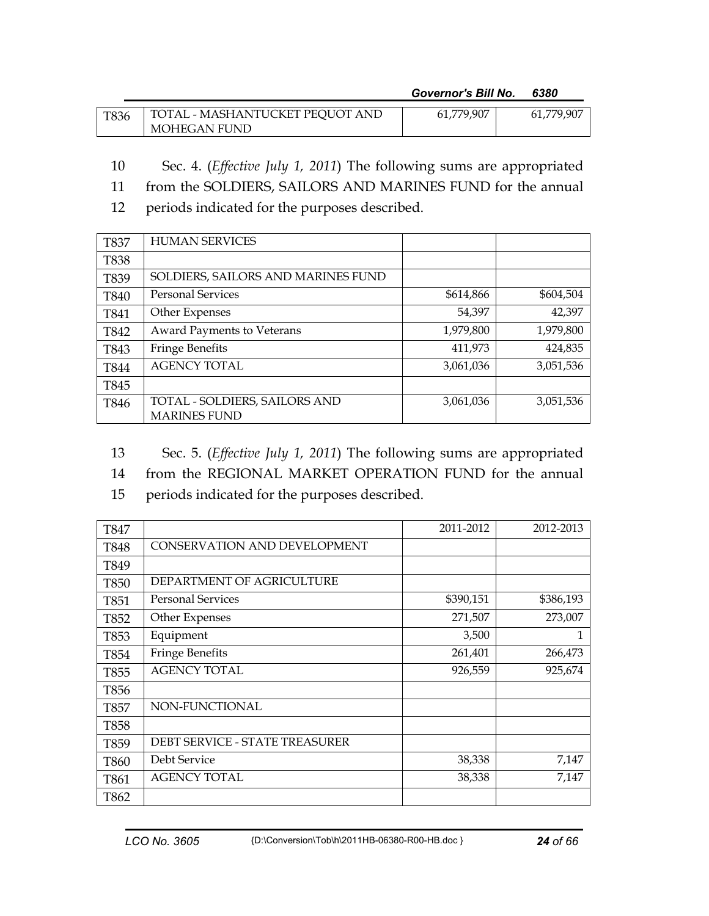*Governor's Bill No. 6380* 

| T836 | TOTAL - MASHANTUCKET PEQUOT AND | 61,779,907 | 61,779,907 |
|------|---------------------------------|------------|------------|
|      | MOHEGAN FUND                    |            |            |

- 10 Sec. 4. (*Effective July 1, 2011*) The following sums are appropriated
- 11 from the SOLDIERS, SAILORS AND MARINES FUND for the annual
- 12 periods indicated for the purposes described.

| <b>T837</b> | <b>HUMAN SERVICES</b>              |           |           |
|-------------|------------------------------------|-----------|-----------|
| <b>T838</b> |                                    |           |           |
| T839        | SOLDIERS, SAILORS AND MARINES FUND |           |           |
| T840        | <b>Personal Services</b>           | \$614,866 | \$604,504 |
| T841        | Other Expenses                     | 54,397    | 42,397    |
| T842        | Award Payments to Veterans         | 1,979,800 | 1,979,800 |
| T843        | <b>Fringe Benefits</b>             | 411,973   | 424,835   |
| <b>T844</b> | <b>AGENCY TOTAL</b>                | 3,061,036 | 3,051,536 |
| T845        |                                    |           |           |
| T846        | TOTAL - SOLDIERS, SAILORS AND      | 3,061,036 | 3,051,536 |
|             | <b>MARINES FUND</b>                |           |           |

- 13 Sec. 5. (*Effective July 1, 2011*) The following sums are appropriated
- 14 from the REGIONAL MARKET OPERATION FUND for the annual
- 15 periods indicated for the purposes described.

| T847        |                                       | 2011-2012 | 2012-2013 |
|-------------|---------------------------------------|-----------|-----------|
| T848        | CONSERVATION AND DEVELOPMENT          |           |           |
| T849        |                                       |           |           |
| <b>T850</b> | DEPARTMENT OF AGRICULTURE             |           |           |
| T851        | <b>Personal Services</b>              | \$390,151 | \$386,193 |
| T852        | Other Expenses                        | 271,507   | 273,007   |
| T853        | Equipment                             | 3,500     | 1         |
| T854        | <b>Fringe Benefits</b>                | 261,401   | 266,473   |
| T855        | <b>AGENCY TOTAL</b>                   | 926,559   | 925,674   |
| T856        |                                       |           |           |
| T857        | NON-FUNCTIONAL                        |           |           |
| T858        |                                       |           |           |
| T859        | <b>DEBT SERVICE - STATE TREASURER</b> |           |           |
| T860        | Debt Service                          | 38,338    | 7,147     |
| T861        | <b>AGENCY TOTAL</b>                   | 38,338    | 7,147     |
| T862        |                                       |           |           |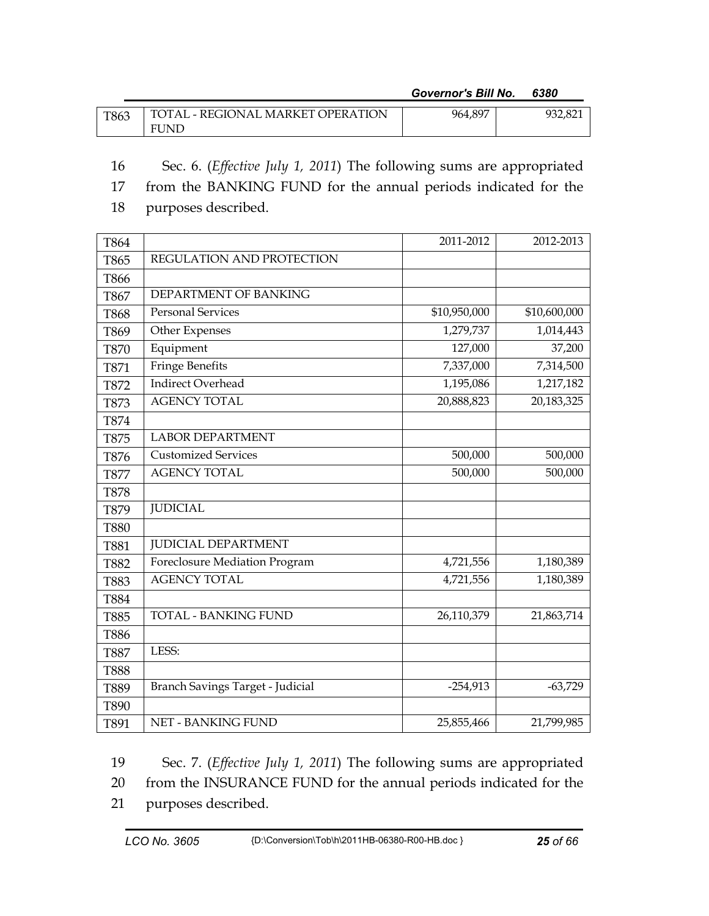## *Governor's Bill No. 6380*

| T863 | TOTAL - REGIONAL MARKET OPERATION | 964,897 | 932.821 |
|------|-----------------------------------|---------|---------|
|      | <b>FUND</b>                       |         |         |

- 16 Sec. 6. (*Effective July 1, 2011*) The following sums are appropriated
- 17 from the BANKING FUND for the annual periods indicated for the
- 18 purposes described.

| T864        |                                  | 2011-2012    | 2012-2013    |
|-------------|----------------------------------|--------------|--------------|
| T865        | REGULATION AND PROTECTION        |              |              |
| T866        |                                  |              |              |
| T867        | DEPARTMENT OF BANKING            |              |              |
| <b>T868</b> | <b>Personal Services</b>         | \$10,950,000 | \$10,600,000 |
| T869        | Other Expenses                   | 1,279,737    | 1,014,443    |
| <b>T870</b> | Equipment                        | 127,000      | 37,200       |
| T871        | <b>Fringe Benefits</b>           | 7,337,000    | 7,314,500    |
| T872        | <b>Indirect Overhead</b>         | 1,195,086    | 1,217,182    |
| T873        | <b>AGENCY TOTAL</b>              | 20,888,823   | 20,183,325   |
| T874        |                                  |              |              |
| T875        | <b>LABOR DEPARTMENT</b>          |              |              |
| T876        | <b>Customized Services</b>       | 500,000      | 500,000      |
| <b>T877</b> | <b>AGENCY TOTAL</b>              | 500,000      | 500,000      |
| <b>T878</b> |                                  |              |              |
| T879        | <b>JUDICIAL</b>                  |              |              |
| <b>T880</b> |                                  |              |              |
| T881        | <b>JUDICIAL DEPARTMENT</b>       |              |              |
| <b>T882</b> | Foreclosure Mediation Program    | 4,721,556    | 1,180,389    |
| T883        | <b>AGENCY TOTAL</b>              | 4,721,556    | 1,180,389    |
| <b>T884</b> |                                  |              |              |
| T885        | <b>TOTAL - BANKING FUND</b>      | 26,110,379   | 21,863,714   |
| <b>T886</b> |                                  |              |              |
| <b>T887</b> | LESS:                            |              |              |
| <b>T888</b> |                                  |              |              |
| T889        | Branch Savings Target - Judicial | $-254,913$   | $-63,729$    |
| T890        |                                  |              |              |
| T891        | <b>NET - BANKING FUND</b>        | 25,855,466   | 21,799,985   |

19 Sec. 7. (*Effective July 1, 2011*) The following sums are appropriated

20 from the INSURANCE FUND for the annual periods indicated for the

21 purposes described.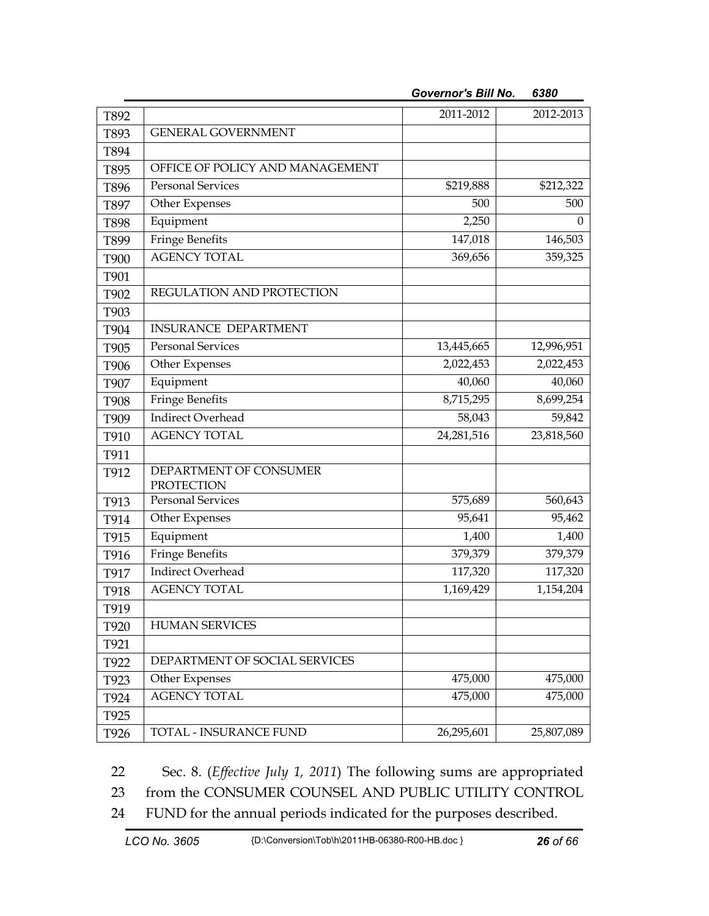| T892        |                                             | 2011-2012  | 2012-2013  |
|-------------|---------------------------------------------|------------|------------|
| T893        | <b>GENERAL GOVERNMENT</b>                   |            |            |
| T894        |                                             |            |            |
| T895        | OFFICE OF POLICY AND MANAGEMENT             |            |            |
| T896        | <b>Personal Services</b>                    | \$219,888  | \$212,322  |
| T897        | Other Expenses                              | 500        | 500        |
| T898        | Equipment                                   | 2,250      | $\theta$   |
| T899        | <b>Fringe Benefits</b>                      | 147,018    | 146,503    |
| <b>T900</b> | <b>AGENCY TOTAL</b>                         | 369,656    | 359,325    |
| T901        |                                             |            |            |
| T902        | REGULATION AND PROTECTION                   |            |            |
| T903        |                                             |            |            |
| T904        | <b>INSURANCE DEPARTMENT</b>                 |            |            |
| T905        | <b>Personal Services</b>                    | 13,445,665 | 12,996,951 |
| T906        | Other Expenses                              | 2,022,453  | 2,022,453  |
| T907        | Equipment                                   | 40,060     | 40,060     |
| T908        | <b>Fringe Benefits</b>                      | 8,715,295  | 8,699,254  |
| T909        | <b>Indirect Overhead</b>                    | 58,043     | 59,842     |
| T910        | <b>AGENCY TOTAL</b>                         | 24,281,516 | 23,818,560 |
| T911        |                                             |            |            |
| T912        | DEPARTMENT OF CONSUMER<br><b>PROTECTION</b> |            |            |
| T913        | <b>Personal Services</b>                    | 575,689    | 560,643    |
| T914        | Other Expenses                              | 95,641     | 95,462     |
| T915        | Equipment                                   | 1,400      | 1,400      |
| T916        | <b>Fringe Benefits</b>                      | 379,379    | 379,379    |
| T917        | <b>Indirect Overhead</b>                    | 117,320    | 117,320    |
| T918        | <b>AGENCY TOTAL</b>                         | 1,169,429  | 1,154,204  |
| T919        |                                             |            |            |
| T920        | <b>HUMAN SERVICES</b>                       |            |            |
| T921        |                                             |            |            |
| T922        | DEPARTMENT OF SOCIAL SERVICES               |            |            |
| T923        | Other Expenses                              | 475,000    | 475,000    |
| T924        | <b>AGENCY TOTAL</b>                         | 475,000    | 475,000    |
| T925        |                                             |            |            |
| T926        | TOTAL - INSURANCE FUND                      | 26,295,601 | 25,807,089 |

*Governor's Bill No. 6380* 

22 Sec. 8. (*Effective July 1, 2011*) The following sums are appropriated

23 from the CONSUMER COUNSEL AND PUBLIC UTILITY CONTROL

24 FUND for the annual periods indicated for the purposes described.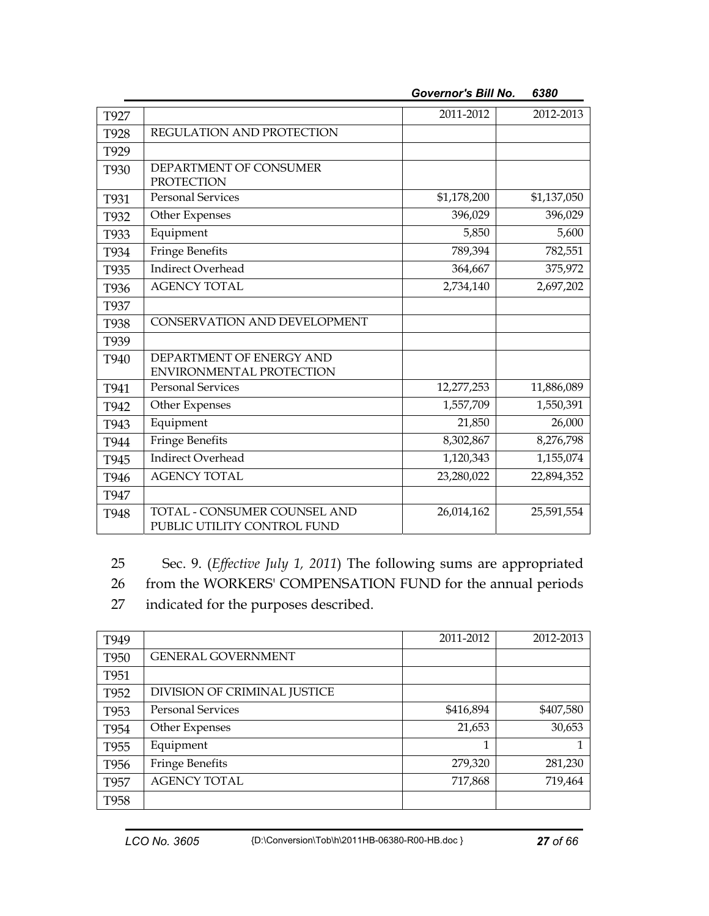| T927 |                                 | 2011-2012   | 2012-2013   |
|------|---------------------------------|-------------|-------------|
| T928 | REGULATION AND PROTECTION       |             |             |
| T929 |                                 |             |             |
| T930 | DEPARTMENT OF CONSUMER          |             |             |
|      | <b>PROTECTION</b>               |             |             |
| T931 | <b>Personal Services</b>        | \$1,178,200 | \$1,137,050 |
| T932 | Other Expenses                  | 396,029     | 396,029     |
| T933 | Equipment                       | 5,850       | 5,600       |
| T934 | <b>Fringe Benefits</b>          | 789,394     | 782,551     |
| T935 | <b>Indirect Overhead</b>        | 364,667     | 375,972     |
| T936 | <b>AGENCY TOTAL</b>             | 2,734,140   | 2,697,202   |
| T937 |                                 |             |             |
| T938 | CONSERVATION AND DEVELOPMENT    |             |             |
| T939 |                                 |             |             |
| T940 | DEPARTMENT OF ENERGY AND        |             |             |
|      | <b>ENVIRONMENTAL PROTECTION</b> |             |             |
| T941 | <b>Personal Services</b>        | 12,277,253  | 11,886,089  |
| T942 | Other Expenses                  | 1,557,709   | 1,550,391   |
| T943 | Equipment                       | 21,850      | 26,000      |
| T944 | <b>Fringe Benefits</b>          | 8,302,867   | 8,276,798   |
| T945 | <b>Indirect Overhead</b>        | 1,120,343   | 1,155,074   |
| T946 | <b>AGENCY TOTAL</b>             | 23,280,022  | 22,894,352  |
| T947 |                                 |             |             |
| T948 | TOTAL - CONSUMER COUNSEL AND    | 26,014,162  | 25,591,554  |
|      | PUBLIC UTILITY CONTROL FUND     |             |             |

*Governor's Bill No. 6380* 

25 Sec. 9. (*Effective July 1, 2011*) The following sums are appropriated

26 from the WORKERS' COMPENSATION FUND for the annual periods

27 indicated for the purposes described.

| T949             |                              | 2011-2012 | 2012-2013 |
|------------------|------------------------------|-----------|-----------|
| T950             | <b>GENERAL GOVERNMENT</b>    |           |           |
| T951             |                              |           |           |
| T952             | DIVISION OF CRIMINAL JUSTICE |           |           |
| T953             | <b>Personal Services</b>     | \$416,894 | \$407,580 |
| T954             | Other Expenses               | 21,653    | 30,653    |
| T955             | Equipment                    | 1         |           |
| T <sub>956</sub> | <b>Fringe Benefits</b>       | 279,320   | 281,230   |
| T957             | <b>AGENCY TOTAL</b>          | 717,868   | 719,464   |
| T <sub>958</sub> |                              |           |           |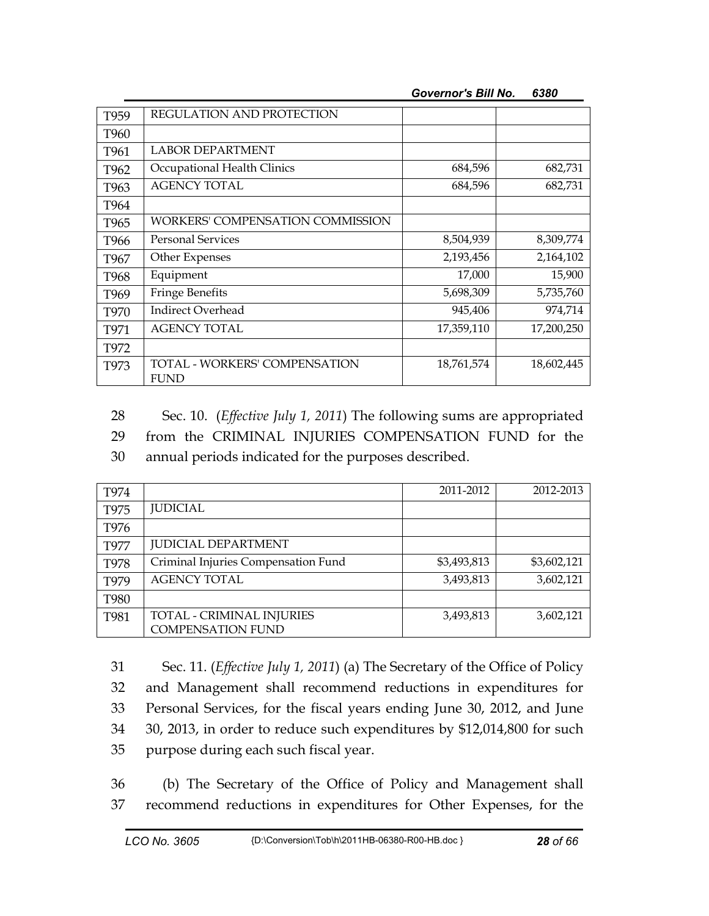| <b>Governor's Bill No.</b> | 6380 |
|----------------------------|------|
|----------------------------|------|

| T959             | REGULATION AND PROTECTION                           |            |            |
|------------------|-----------------------------------------------------|------------|------------|
| T960             |                                                     |            |            |
| T961             | <b>LABOR DEPARTMENT</b>                             |            |            |
| T962             | Occupational Health Clinics                         | 684,596    | 682,731    |
| T963             | <b>AGENCY TOTAL</b>                                 | 684,596    | 682,731    |
| T964             |                                                     |            |            |
| T <sub>965</sub> | WORKERS' COMPENSATION COMMISSION                    |            |            |
| T966             | <b>Personal Services</b>                            | 8,504,939  | 8,309,774  |
| T967             | Other Expenses                                      | 2,193,456  | 2,164,102  |
| T968             | Equipment                                           | 17,000     | 15,900     |
| T <sub>969</sub> | <b>Fringe Benefits</b>                              | 5,698,309  | 5,735,760  |
| T970             | Indirect Overhead                                   | 945,406    | 974,714    |
| T971             | <b>AGENCY TOTAL</b>                                 | 17,359,110 | 17,200,250 |
| T972             |                                                     |            |            |
| T973             | <b>TOTAL - WORKERS' COMPENSATION</b><br><b>FUND</b> | 18,761,574 | 18,602,445 |

28 Sec. 10. (*Effective July 1, 2011*) The following sums are appropriated

29 from the CRIMINAL INJURIES COMPENSATION FUND for the

30 annual periods indicated for the purposes described.

| T974             |                                     | 2011-2012   | 2012-2013   |
|------------------|-------------------------------------|-------------|-------------|
| T975             | <b>JUDICIAL</b>                     |             |             |
| T976             |                                     |             |             |
| T977             | <b>JUDICIAL DEPARTMENT</b>          |             |             |
| T978             | Criminal Injuries Compensation Fund | \$3,493,813 | \$3,602,121 |
| T <sub>979</sub> | <b>AGENCY TOTAL</b>                 | 3,493,813   | 3,602,121   |
| T980             |                                     |             |             |
| T981             | TOTAL - CRIMINAL INJURIES           | 3,493,813   | 3,602,121   |
|                  | <b>COMPENSATION FUND</b>            |             |             |

31 Sec. 11. (*Effective July 1, 2011*) (a) The Secretary of the Office of Policy 32 and Management shall recommend reductions in expenditures for 33 Personal Services, for the fiscal years ending June 30, 2012, and June 34 30, 2013, in order to reduce such expenditures by \$12,014,800 for such 35 purpose during each such fiscal year.

36 (b) The Secretary of the Office of Policy and Management shall 37 recommend reductions in expenditures for Other Expenses, for the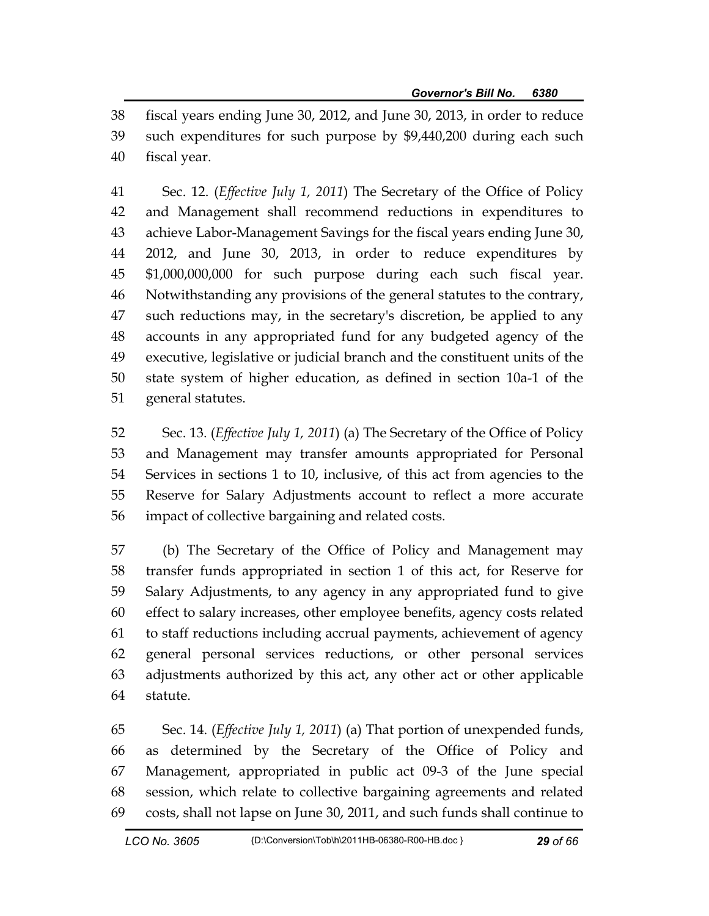38 fiscal years ending June 30, 2012, and June 30, 2013, in order to reduce 39 such expenditures for such purpose by \$9,440,200 during each such 40 fiscal year.

41 Sec. 12. (*Effective July 1, 2011*) The Secretary of the Office of Policy 42 and Management shall recommend reductions in expenditures to 43 achieve Labor-Management Savings for the fiscal years ending June 30, 44 2012, and June 30, 2013, in order to reduce expenditures by 45 \$1,000,000,000 for such purpose during each such fiscal year. 46 Notwithstanding any provisions of the general statutes to the contrary, 47 such reductions may, in the secretary's discretion, be applied to any 48 accounts in any appropriated fund for any budgeted agency of the 49 executive, legislative or judicial branch and the constituent units of the 50 state system of higher education, as defined in section 10a-1 of the 51 general statutes.

52 Sec. 13. (*Effective July 1, 2011*) (a) The Secretary of the Office of Policy 53 and Management may transfer amounts appropriated for Personal 54 Services in sections 1 to 10, inclusive, of this act from agencies to the 55 Reserve for Salary Adjustments account to reflect a more accurate 56 impact of collective bargaining and related costs.

57 (b) The Secretary of the Office of Policy and Management may 58 transfer funds appropriated in section 1 of this act, for Reserve for 59 Salary Adjustments, to any agency in any appropriated fund to give 60 effect to salary increases, other employee benefits, agency costs related 61 to staff reductions including accrual payments, achievement of agency 62 general personal services reductions, or other personal services 63 adjustments authorized by this act, any other act or other applicable 64 statute.

65 Sec. 14. (*Effective July 1, 2011*) (a) That portion of unexpended funds, 66 as determined by the Secretary of the Office of Policy and 67 Management, appropriated in public act 09-3 of the June special 68 session, which relate to collective bargaining agreements and related 69 costs, shall not lapse on June 30, 2011, and such funds shall continue to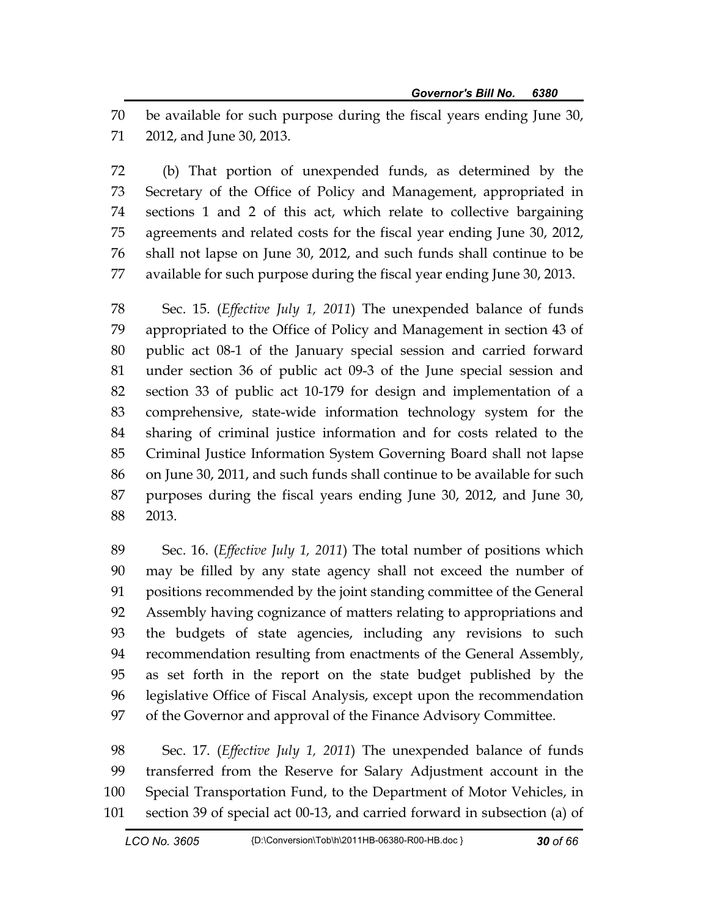70 be available for such purpose during the fiscal years ending June 30, 71 2012, and June 30, 2013.

72 (b) That portion of unexpended funds, as determined by the 73 Secretary of the Office of Policy and Management, appropriated in 74 sections 1 and 2 of this act, which relate to collective bargaining 75 agreements and related costs for the fiscal year ending June 30, 2012, 76 shall not lapse on June 30, 2012, and such funds shall continue to be 77 available for such purpose during the fiscal year ending June 30, 2013.

78 Sec. 15. (*Effective July 1, 2011*) The unexpended balance of funds 79 appropriated to the Office of Policy and Management in section 43 of 80 public act 08-1 of the January special session and carried forward 81 under section 36 of public act 09-3 of the June special session and 82 section 33 of public act 10-179 for design and implementation of a 83 comprehensive, state-wide information technology system for the 84 sharing of criminal justice information and for costs related to the 85 Criminal Justice Information System Governing Board shall not lapse 86 on June 30, 2011, and such funds shall continue to be available for such 87 purposes during the fiscal years ending June 30, 2012, and June 30, 88 2013.

89 Sec. 16. (*Effective July 1, 2011*) The total number of positions which 90 may be filled by any state agency shall not exceed the number of 91 positions recommended by the joint standing committee of the General 92 Assembly having cognizance of matters relating to appropriations and 93 the budgets of state agencies, including any revisions to such 94 recommendation resulting from enactments of the General Assembly, 95 as set forth in the report on the state budget published by the 96 legislative Office of Fiscal Analysis, except upon the recommendation 97 of the Governor and approval of the Finance Advisory Committee.

98 Sec. 17. (*Effective July 1, 2011*) The unexpended balance of funds 99 transferred from the Reserve for Salary Adjustment account in the 100 Special Transportation Fund, to the Department of Motor Vehicles, in 101 section 39 of special act 00-13, and carried forward in subsection (a) of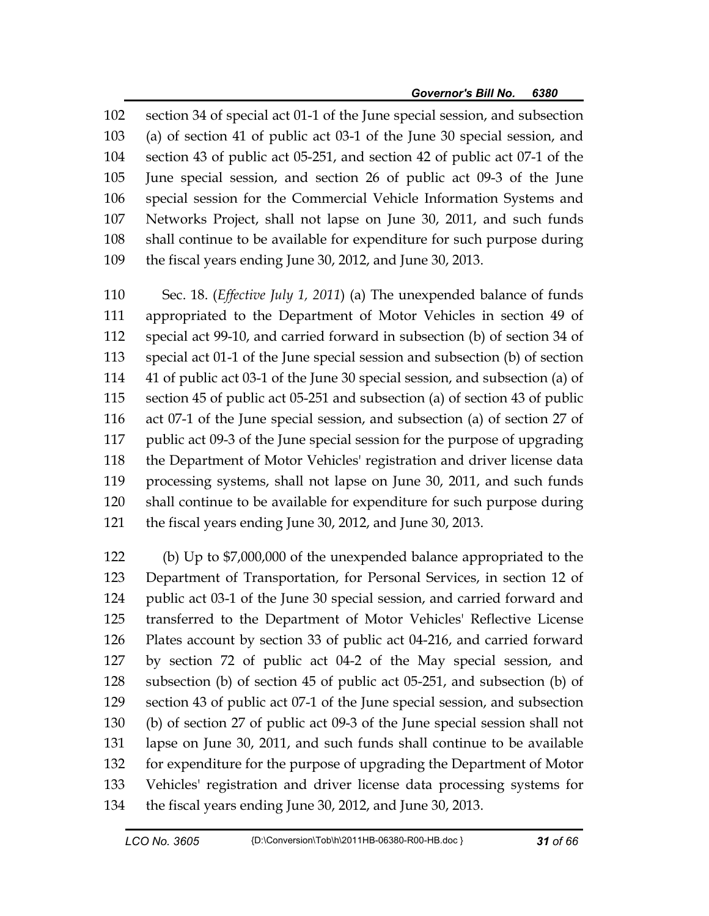102 section 34 of special act 01-1 of the June special session, and subsection 103 (a) of section 41 of public act 03-1 of the June 30 special session, and 104 section 43 of public act 05-251, and section 42 of public act 07-1 of the 105 June special session, and section 26 of public act 09-3 of the June 106 special session for the Commercial Vehicle Information Systems and 107 Networks Project, shall not lapse on June 30, 2011, and such funds 108 shall continue to be available for expenditure for such purpose during 109 the fiscal years ending June 30, 2012, and June 30, 2013.

110 Sec. 18. (*Effective July 1, 2011*) (a) The unexpended balance of funds 111 appropriated to the Department of Motor Vehicles in section 49 of 112 special act 99-10, and carried forward in subsection (b) of section 34 of 113 special act 01-1 of the June special session and subsection (b) of section 114 41 of public act 03-1 of the June 30 special session, and subsection (a) of 115 section 45 of public act 05-251 and subsection (a) of section 43 of public 116 act 07-1 of the June special session, and subsection (a) of section 27 of 117 public act 09-3 of the June special session for the purpose of upgrading 118 the Department of Motor Vehicles' registration and driver license data 119 processing systems, shall not lapse on June 30, 2011, and such funds 120 shall continue to be available for expenditure for such purpose during 121 the fiscal years ending June 30, 2012, and June 30, 2013.

122 (b) Up to \$7,000,000 of the unexpended balance appropriated to the 123 Department of Transportation, for Personal Services, in section 12 of 124 public act 03-1 of the June 30 special session, and carried forward and 125 transferred to the Department of Motor Vehicles' Reflective License 126 Plates account by section 33 of public act 04-216, and carried forward 127 by section 72 of public act 04-2 of the May special session, and 128 subsection (b) of section 45 of public act 05-251, and subsection (b) of 129 section 43 of public act 07-1 of the June special session, and subsection 130 (b) of section 27 of public act 09-3 of the June special session shall not 131 lapse on June 30, 2011, and such funds shall continue to be available 132 for expenditure for the purpose of upgrading the Department of Motor 133 Vehicles' registration and driver license data processing systems for 134 the fiscal years ending June 30, 2012, and June 30, 2013.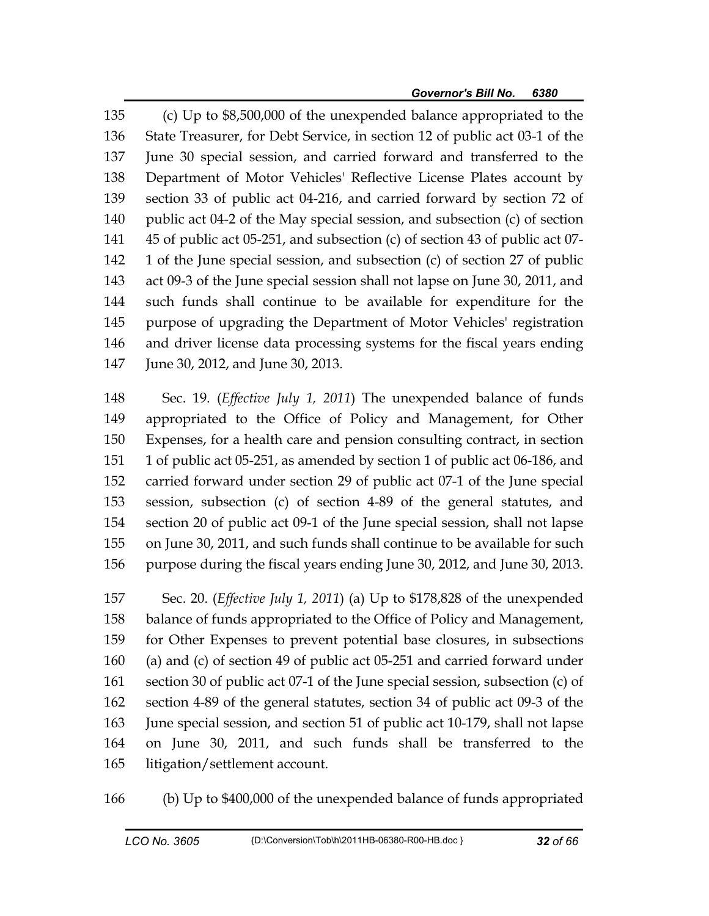135 (c) Up to \$8,500,000 of the unexpended balance appropriated to the 136 State Treasurer, for Debt Service, in section 12 of public act 03-1 of the 137 June 30 special session, and carried forward and transferred to the 138 Department of Motor Vehicles' Reflective License Plates account by 139 section 33 of public act 04-216, and carried forward by section 72 of 140 public act 04-2 of the May special session, and subsection (c) of section 141 45 of public act 05-251, and subsection (c) of section 43 of public act 07- 142 1 of the June special session, and subsection (c) of section 27 of public 143 act 09-3 of the June special session shall not lapse on June 30, 2011, and 144 such funds shall continue to be available for expenditure for the 145 purpose of upgrading the Department of Motor Vehicles' registration 146 and driver license data processing systems for the fiscal years ending 147 June 30, 2012, and June 30, 2013.

148 Sec. 19. (*Effective July 1, 2011*) The unexpended balance of funds 149 appropriated to the Office of Policy and Management, for Other 150 Expenses, for a health care and pension consulting contract, in section 151 1 of public act 05-251, as amended by section 1 of public act 06-186, and 152 carried forward under section 29 of public act 07-1 of the June special 153 session, subsection (c) of section 4-89 of the general statutes, and 154 section 20 of public act 09-1 of the June special session, shall not lapse 155 on June 30, 2011, and such funds shall continue to be available for such 156 purpose during the fiscal years ending June 30, 2012, and June 30, 2013.

157 Sec. 20. (*Effective July 1, 2011*) (a) Up to \$178,828 of the unexpended 158 balance of funds appropriated to the Office of Policy and Management, 159 for Other Expenses to prevent potential base closures, in subsections 160 (a) and (c) of section 49 of public act 05-251 and carried forward under 161 section 30 of public act 07-1 of the June special session, subsection (c) of 162 section 4-89 of the general statutes, section 34 of public act 09-3 of the 163 June special session, and section 51 of public act 10-179, shall not lapse 164 on June 30, 2011, and such funds shall be transferred to the 165 litigation/settlement account.

166 (b) Up to \$400,000 of the unexpended balance of funds appropriated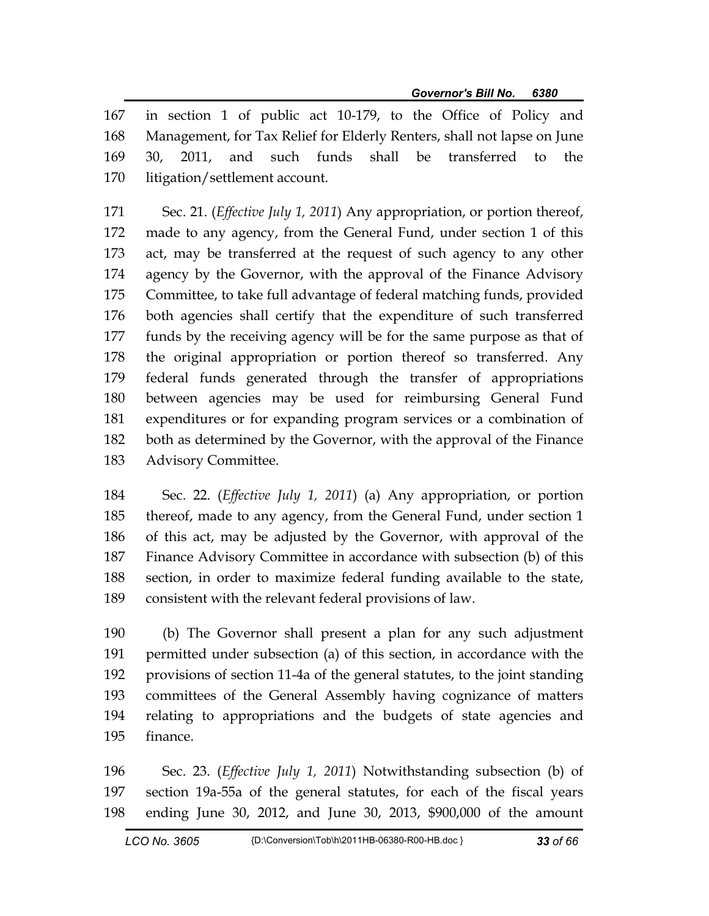167 in section 1 of public act 10-179, to the Office of Policy and 168 Management, for Tax Relief for Elderly Renters, shall not lapse on June 169 30, 2011, and such funds shall be transferred to the 170 litigation/settlement account.

171 Sec. 21. (*Effective July 1, 2011*) Any appropriation, or portion thereof, 172 made to any agency, from the General Fund, under section 1 of this 173 act, may be transferred at the request of such agency to any other 174 agency by the Governor, with the approval of the Finance Advisory 175 Committee, to take full advantage of federal matching funds, provided 176 both agencies shall certify that the expenditure of such transferred 177 funds by the receiving agency will be for the same purpose as that of 178 the original appropriation or portion thereof so transferred. Any 179 federal funds generated through the transfer of appropriations 180 between agencies may be used for reimbursing General Fund 181 expenditures or for expanding program services or a combination of 182 both as determined by the Governor, with the approval of the Finance 183 Advisory Committee.

184 Sec. 22. (*Effective July 1, 2011*) (a) Any appropriation, or portion 185 thereof, made to any agency, from the General Fund, under section 1 186 of this act, may be adjusted by the Governor, with approval of the 187 Finance Advisory Committee in accordance with subsection (b) of this 188 section, in order to maximize federal funding available to the state, 189 consistent with the relevant federal provisions of law.

190 (b) The Governor shall present a plan for any such adjustment 191 permitted under subsection (a) of this section, in accordance with the 192 provisions of section 11-4a of the general statutes, to the joint standing 193 committees of the General Assembly having cognizance of matters 194 relating to appropriations and the budgets of state agencies and 195 finance.

196 Sec. 23. (*Effective July 1, 2011*) Notwithstanding subsection (b) of 197 section 19a-55a of the general statutes, for each of the fiscal years 198 ending June 30, 2012, and June 30, 2013, \$900,000 of the amount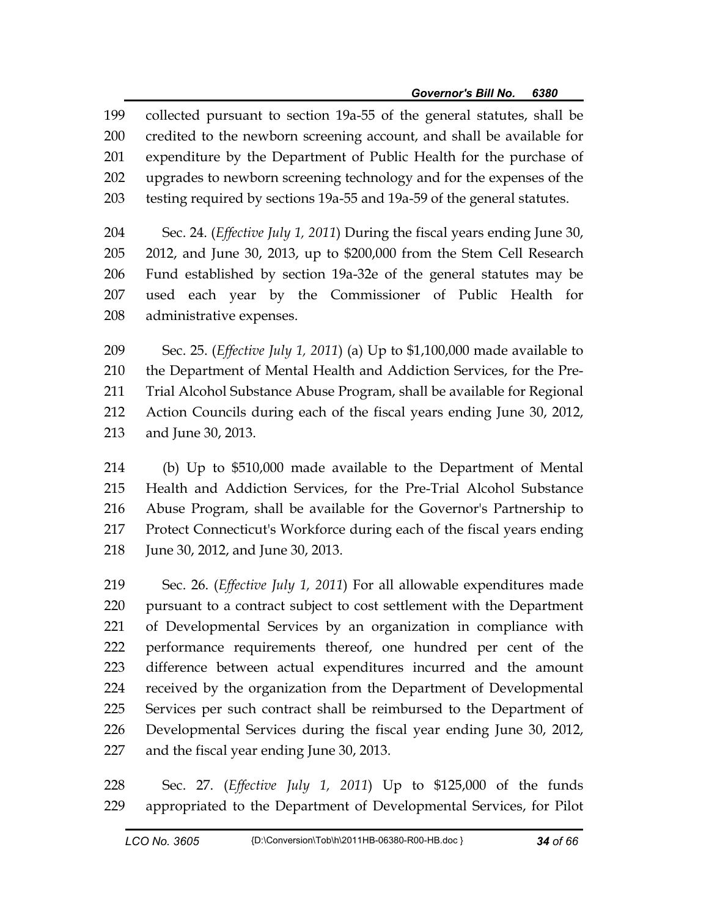199 collected pursuant to section 19a-55 of the general statutes, shall be 200 credited to the newborn screening account, and shall be available for 201 expenditure by the Department of Public Health for the purchase of 202 upgrades to newborn screening technology and for the expenses of the 203 testing required by sections 19a-55 and 19a-59 of the general statutes.

204 Sec. 24. (*Effective July 1, 2011*) During the fiscal years ending June 30, 205 2012, and June 30, 2013, up to \$200,000 from the Stem Cell Research 206 Fund established by section 19a-32e of the general statutes may be 207 used each year by the Commissioner of Public Health for 208 administrative expenses.

209 Sec. 25. (*Effective July 1, 2011*) (a) Up to \$1,100,000 made available to 210 the Department of Mental Health and Addiction Services, for the Pre-211 Trial Alcohol Substance Abuse Program, shall be available for Regional 212 Action Councils during each of the fiscal years ending June 30, 2012, 213 and June 30, 2013.

214 (b) Up to \$510,000 made available to the Department of Mental 215 Health and Addiction Services, for the Pre-Trial Alcohol Substance 216 Abuse Program, shall be available for the Governor's Partnership to 217 Protect Connecticut's Workforce during each of the fiscal years ending 218 June 30, 2012, and June 30, 2013.

219 Sec. 26. (*Effective July 1, 2011*) For all allowable expenditures made 220 pursuant to a contract subject to cost settlement with the Department 221 of Developmental Services by an organization in compliance with 222 performance requirements thereof, one hundred per cent of the 223 difference between actual expenditures incurred and the amount 224 received by the organization from the Department of Developmental 225 Services per such contract shall be reimbursed to the Department of 226 Developmental Services during the fiscal year ending June 30, 2012, 227 and the fiscal year ending June 30, 2013.

228 Sec. 27. (*Effective July 1, 2011*) Up to \$125,000 of the funds 229 appropriated to the Department of Developmental Services, for Pilot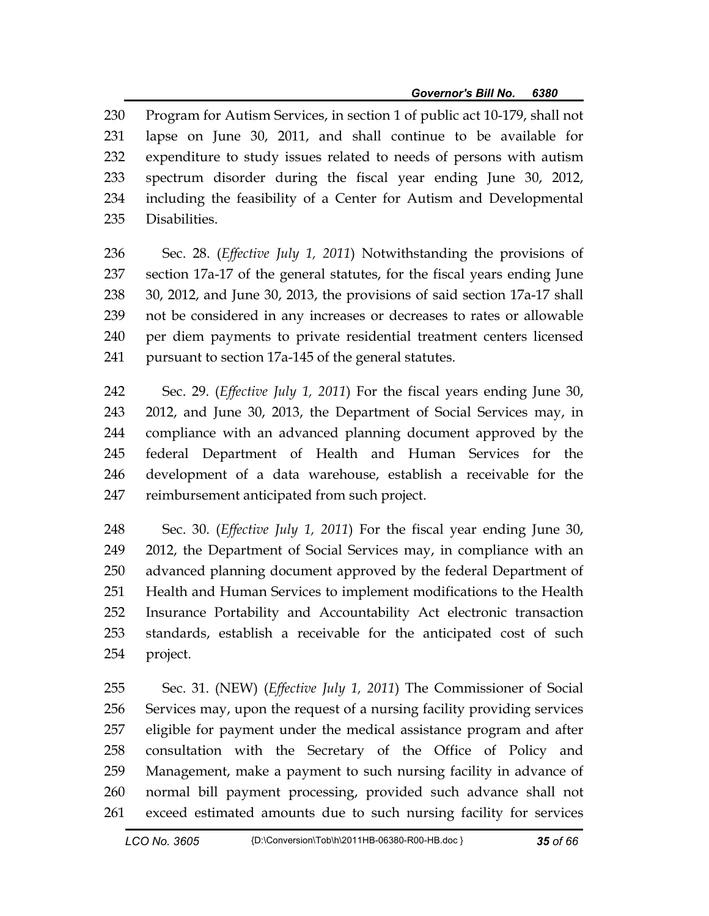230 Program for Autism Services, in section 1 of public act 10-179, shall not 231 lapse on June 30, 2011, and shall continue to be available for 232 expenditure to study issues related to needs of persons with autism 233 spectrum disorder during the fiscal year ending June 30, 2012, 234 including the feasibility of a Center for Autism and Developmental 235 Disabilities.

236 Sec. 28. (*Effective July 1, 2011*) Notwithstanding the provisions of 237 section 17a-17 of the general statutes, for the fiscal years ending June 238 30, 2012, and June 30, 2013, the provisions of said section 17a-17 shall 239 not be considered in any increases or decreases to rates or allowable 240 per diem payments to private residential treatment centers licensed 241 pursuant to section 17a-145 of the general statutes.

242 Sec. 29. (*Effective July 1, 2011*) For the fiscal years ending June 30, 243 2012, and June 30, 2013, the Department of Social Services may, in 244 compliance with an advanced planning document approved by the 245 federal Department of Health and Human Services for the 246 development of a data warehouse, establish a receivable for the 247 reimbursement anticipated from such project.

248 Sec. 30. (*Effective July 1, 2011*) For the fiscal year ending June 30, 249 2012, the Department of Social Services may, in compliance with an 250 advanced planning document approved by the federal Department of 251 Health and Human Services to implement modifications to the Health 252 Insurance Portability and Accountability Act electronic transaction 253 standards, establish a receivable for the anticipated cost of such 254 project.

255 Sec. 31. (NEW) (*Effective July 1, 2011*) The Commissioner of Social 256 Services may, upon the request of a nursing facility providing services 257 eligible for payment under the medical assistance program and after 258 consultation with the Secretary of the Office of Policy and 259 Management, make a payment to such nursing facility in advance of 260 normal bill payment processing, provided such advance shall not 261 exceed estimated amounts due to such nursing facility for services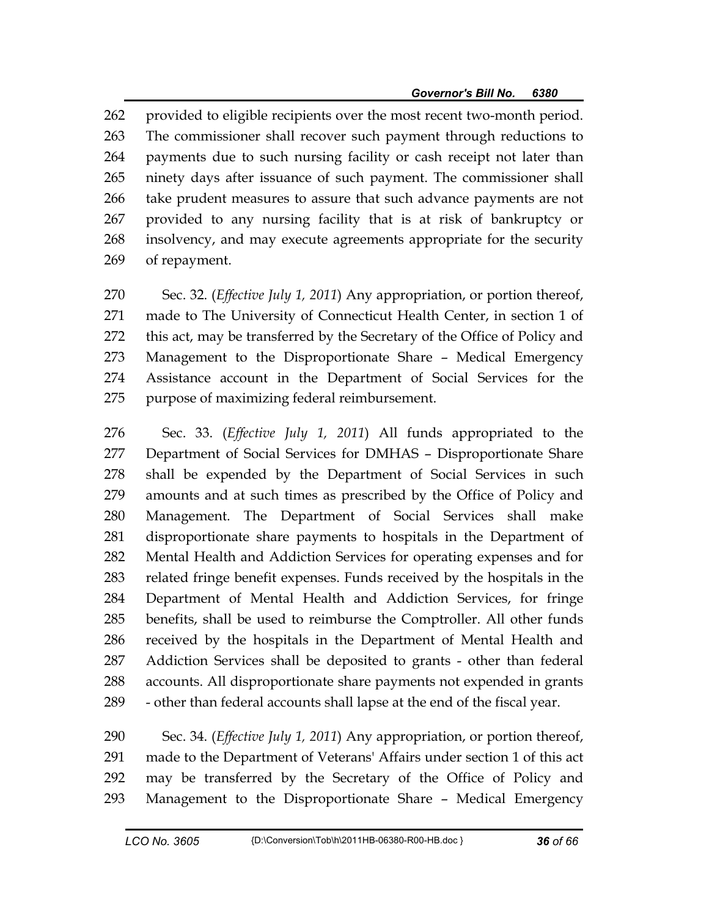262 provided to eligible recipients over the most recent two-month period. 263 The commissioner shall recover such payment through reductions to 264 payments due to such nursing facility or cash receipt not later than 265 ninety days after issuance of such payment. The commissioner shall 266 take prudent measures to assure that such advance payments are not 267 provided to any nursing facility that is at risk of bankruptcy or 268 insolvency, and may execute agreements appropriate for the security 269 of repayment.

270 Sec. 32. (*Effective July 1, 2011*) Any appropriation, or portion thereof, 271 made to The University of Connecticut Health Center, in section 1 of 272 this act, may be transferred by the Secretary of the Office of Policy and 273 Management to the Disproportionate Share – Medical Emergency 274 Assistance account in the Department of Social Services for the 275 purpose of maximizing federal reimbursement.

276 Sec. 33. (*Effective July 1, 2011*) All funds appropriated to the 277 Department of Social Services for DMHAS – Disproportionate Share 278 shall be expended by the Department of Social Services in such 279 amounts and at such times as prescribed by the Office of Policy and 280 Management. The Department of Social Services shall make 281 disproportionate share payments to hospitals in the Department of 282 Mental Health and Addiction Services for operating expenses and for 283 related fringe benefit expenses. Funds received by the hospitals in the 284 Department of Mental Health and Addiction Services, for fringe 285 benefits, shall be used to reimburse the Comptroller. All other funds 286 received by the hospitals in the Department of Mental Health and 287 Addiction Services shall be deposited to grants - other than federal 288 accounts. All disproportionate share payments not expended in grants 289 - other than federal accounts shall lapse at the end of the fiscal year.

290 Sec. 34. (*Effective July 1, 2011*) Any appropriation, or portion thereof, 291 made to the Department of Veterans' Affairs under section 1 of this act 292 may be transferred by the Secretary of the Office of Policy and 293 Management to the Disproportionate Share – Medical Emergency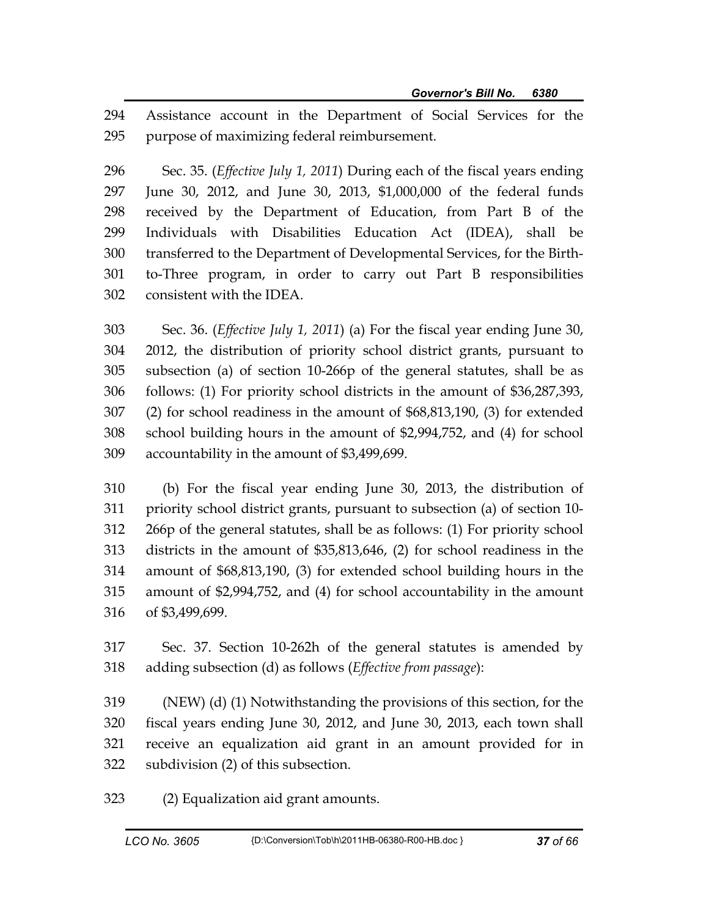294 Assistance account in the Department of Social Services for the 295 purpose of maximizing federal reimbursement.

296 Sec. 35. (*Effective July 1, 2011*) During each of the fiscal years ending 297 June 30, 2012, and June 30, 2013, \$1,000,000 of the federal funds 298 received by the Department of Education, from Part B of the 299 Individuals with Disabilities Education Act (IDEA), shall be 300 transferred to the Department of Developmental Services, for the Birth-301 to-Three program, in order to carry out Part B responsibilities 302 consistent with the IDEA.

303 Sec. 36. (*Effective July 1, 2011*) (a) For the fiscal year ending June 30, 304 2012, the distribution of priority school district grants, pursuant to 305 subsection (a) of section 10-266p of the general statutes, shall be as 306 follows: (1) For priority school districts in the amount of \$36,287,393, 307 (2) for school readiness in the amount of \$68,813,190, (3) for extended 308 school building hours in the amount of \$2,994,752, and (4) for school 309 accountability in the amount of \$3,499,699.

310 (b) For the fiscal year ending June 30, 2013, the distribution of 311 priority school district grants, pursuant to subsection (a) of section 10- 312 266p of the general statutes, shall be as follows: (1) For priority school 313 districts in the amount of \$35,813,646, (2) for school readiness in the 314 amount of \$68,813,190, (3) for extended school building hours in the 315 amount of \$2,994,752, and (4) for school accountability in the amount 316 of \$3,499,699.

317 Sec. 37. Section 10-262h of the general statutes is amended by 318 adding subsection (d) as follows (*Effective from passage*):

319 (NEW) (d) (1) Notwithstanding the provisions of this section, for the 320 fiscal years ending June 30, 2012, and June 30, 2013, each town shall 321 receive an equalization aid grant in an amount provided for in 322 subdivision (2) of this subsection.

323 (2) Equalization aid grant amounts.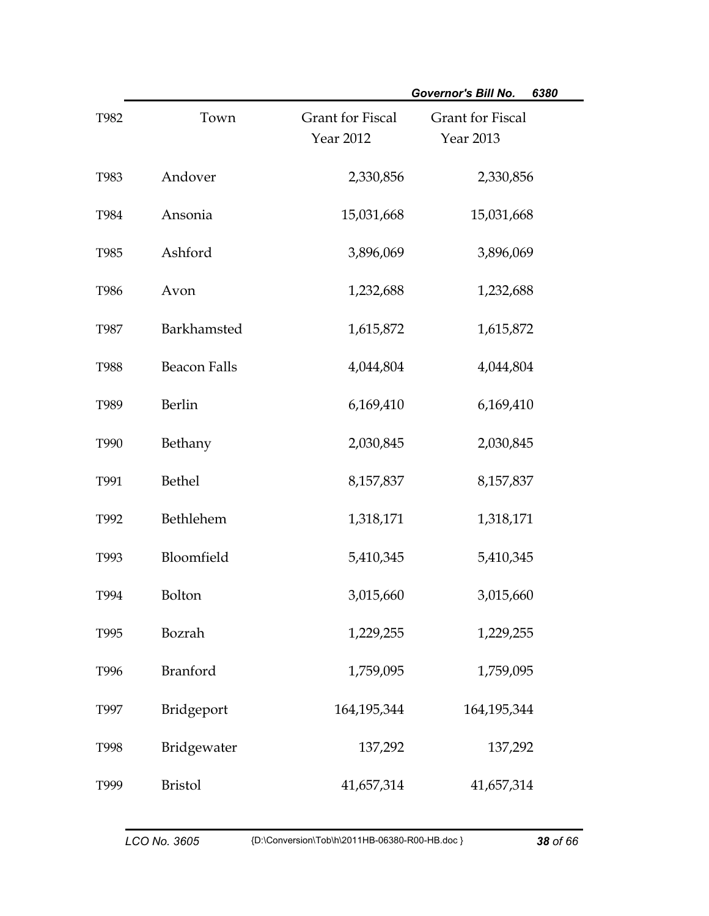|             |                     |                                             | <b>Governor's Bill No.</b><br>6380   |
|-------------|---------------------|---------------------------------------------|--------------------------------------|
| T982        | Town                | <b>Grant for Fiscal</b><br><b>Year 2012</b> | <b>Grant</b> for Fiscal<br>Year 2013 |
| T983        | Andover             | 2,330,856                                   | 2,330,856                            |
| T984        | Ansonia             | 15,031,668                                  | 15,031,668                           |
| T985        | Ashford             | 3,896,069                                   | 3,896,069                            |
| T986        | Avon                | 1,232,688                                   | 1,232,688                            |
| <b>T987</b> | Barkhamsted         | 1,615,872                                   | 1,615,872                            |
| <b>T988</b> | <b>Beacon Falls</b> | 4,044,804                                   | 4,044,804                            |
| T989        | <b>Berlin</b>       | 6,169,410                                   | 6,169,410                            |
| T990        | Bethany             | 2,030,845                                   | 2,030,845                            |
| T991        | <b>Bethel</b>       | 8,157,837                                   | 8,157,837                            |
| T992        | Bethlehem           | 1,318,171                                   | 1,318,171                            |
| T993        | Bloomfield          | 5,410,345                                   | 5,410,345                            |
| T994        | Bolton              | 3,015,660                                   | 3,015,660                            |
| T995        | Bozrah              | 1,229,255                                   | 1,229,255                            |
| T996        | <b>Branford</b>     | 1,759,095                                   | 1,759,095                            |
| T997        | Bridgeport          | 164, 195, 344                               | 164,195,344                          |
| T998        | Bridgewater         | 137,292                                     | 137,292                              |
| T999        | <b>Bristol</b>      | 41,657,314                                  | 41,657,314                           |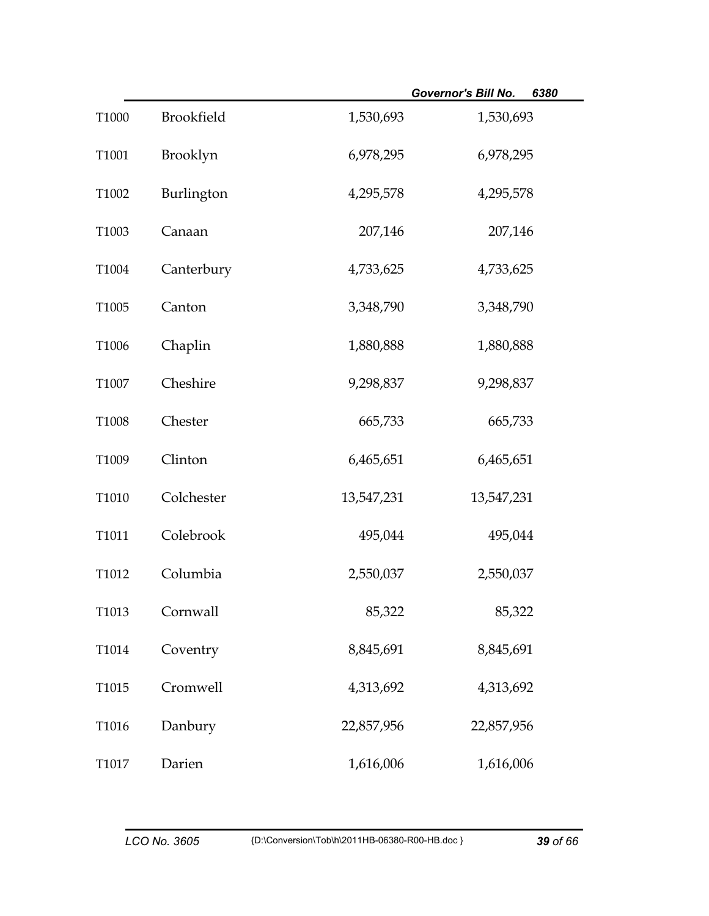|       |                   |            | 6380<br><b>Governor's Bill No.</b> |
|-------|-------------------|------------|------------------------------------|
| T1000 | <b>Brookfield</b> | 1,530,693  | 1,530,693                          |
| T1001 | Brooklyn          | 6,978,295  | 6,978,295                          |
| T1002 | Burlington        | 4,295,578  | 4,295,578                          |
| T1003 | Canaan            | 207,146    | 207,146                            |
| T1004 | Canterbury        | 4,733,625  | 4,733,625                          |
| T1005 | Canton            | 3,348,790  | 3,348,790                          |
| T1006 | Chaplin           | 1,880,888  | 1,880,888                          |
| T1007 | Cheshire          | 9,298,837  | 9,298,837                          |
| T1008 | Chester           | 665,733    | 665,733                            |
| T1009 | Clinton           | 6,465,651  | 6,465,651                          |
| T1010 | Colchester        | 13,547,231 | 13,547,231                         |
| T1011 | Colebrook         | 495,044    | 495,044                            |
| T1012 | Columbia          | 2,550,037  | 2,550,037                          |
| T1013 | Cornwall          | 85,322     | 85,322                             |
| T1014 | Coventry          | 8,845,691  | 8,845,691                          |
| T1015 | Cromwell          | 4,313,692  | 4,313,692                          |
| T1016 | Danbury           | 22,857,956 | 22,857,956                         |
| T1017 | Darien            | 1,616,006  | 1,616,006                          |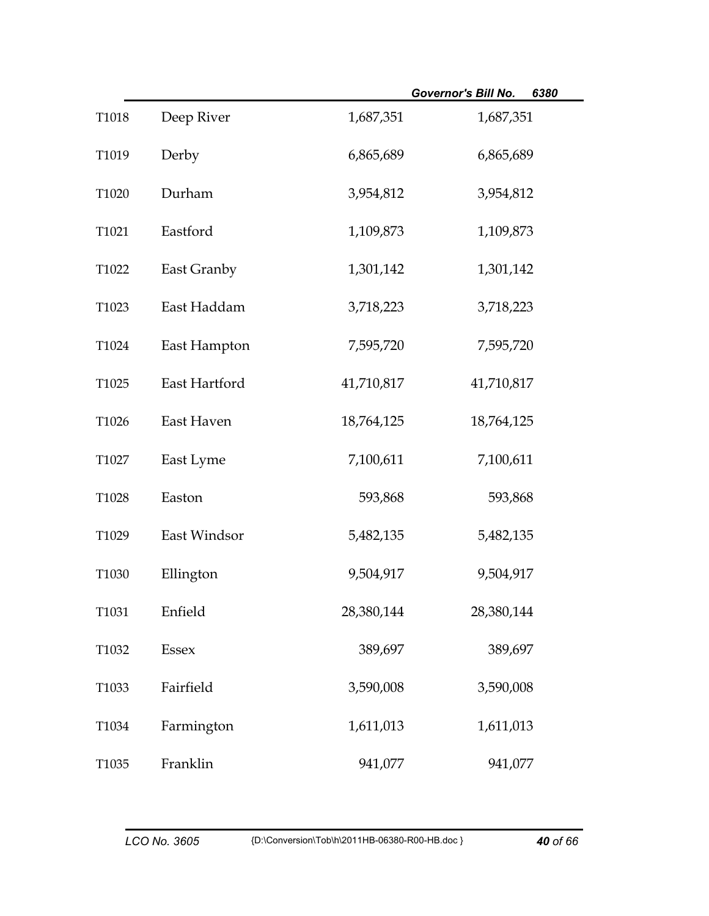|       |               |            | 6380<br>Governor's Bill No. |
|-------|---------------|------------|-----------------------------|
| T1018 | Deep River    | 1,687,351  | 1,687,351                   |
| T1019 | Derby         | 6,865,689  | 6,865,689                   |
| T1020 | Durham        | 3,954,812  | 3,954,812                   |
| T1021 | Eastford      | 1,109,873  | 1,109,873                   |
| T1022 | East Granby   | 1,301,142  | 1,301,142                   |
| T1023 | East Haddam   | 3,718,223  | 3,718,223                   |
| T1024 | East Hampton  | 7,595,720  | 7,595,720                   |
| T1025 | East Hartford | 41,710,817 | 41,710,817                  |
| T1026 | East Haven    | 18,764,125 | 18,764,125                  |
| T1027 | East Lyme     | 7,100,611  | 7,100,611                   |
| T1028 | Easton        | 593,868    | 593,868                     |
| T1029 | East Windsor  | 5,482,135  | 5,482,135                   |
| T1030 | Ellington     | 9,504,917  | 9,504,917                   |
| T1031 | Enfield       | 28,380,144 | 28,380,144                  |
| T1032 | Essex         | 389,697    | 389,697                     |
| T1033 | Fairfield     | 3,590,008  | 3,590,008                   |
| T1034 | Farmington    | 1,611,013  | 1,611,013                   |
| T1035 | Franklin      | 941,077    | 941,077                     |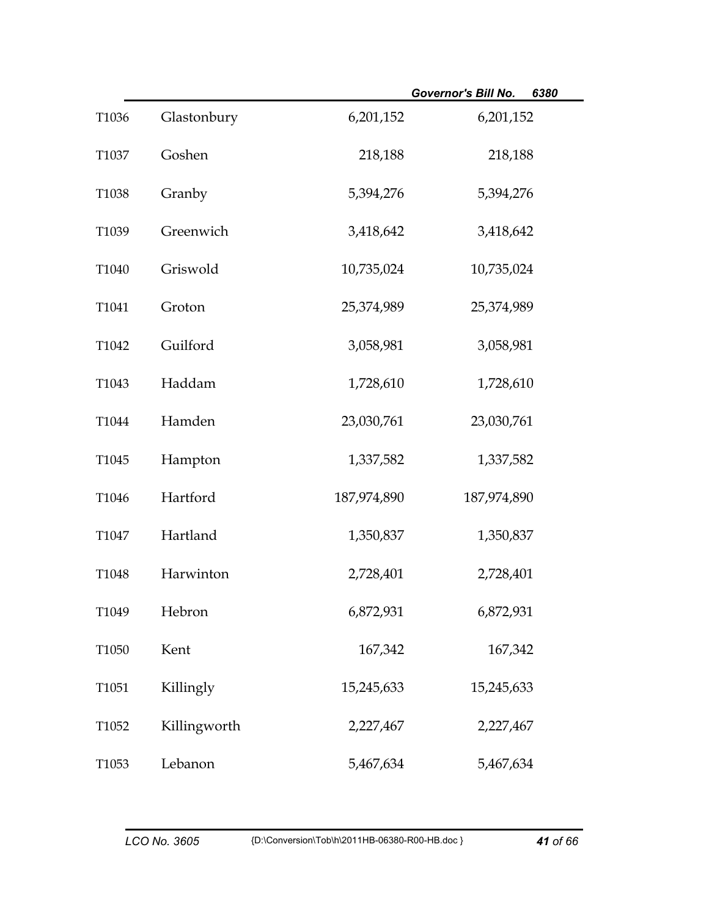|       |              |             | 6380<br><b>Governor's Bill No.</b> |
|-------|--------------|-------------|------------------------------------|
| T1036 | Glastonbury  | 6,201,152   | 6,201,152                          |
| T1037 | Goshen       | 218,188     | 218,188                            |
| T1038 | Granby       | 5,394,276   | 5,394,276                          |
| T1039 | Greenwich    | 3,418,642   | 3,418,642                          |
| T1040 | Griswold     | 10,735,024  | 10,735,024                         |
| T1041 | Groton       | 25,374,989  | 25,374,989                         |
| T1042 | Guilford     | 3,058,981   | 3,058,981                          |
| T1043 | Haddam       | 1,728,610   | 1,728,610                          |
| T1044 | Hamden       | 23,030,761  | 23,030,761                         |
| T1045 | Hampton      | 1,337,582   | 1,337,582                          |
| T1046 | Hartford     | 187,974,890 | 187,974,890                        |
| T1047 | Hartland     | 1,350,837   | 1,350,837                          |
| T1048 | Harwinton    | 2,728,401   | 2,728,401                          |
| T1049 | Hebron       | 6,872,931   | 6,872,931                          |
| T1050 | Kent         | 167,342     | 167,342                            |
| T1051 | Killingly    | 15,245,633  | 15,245,633                         |
| T1052 | Killingworth | 2,227,467   | 2,227,467                          |
| T1053 | Lebanon      | 5,467,634   | 5,467,634                          |

÷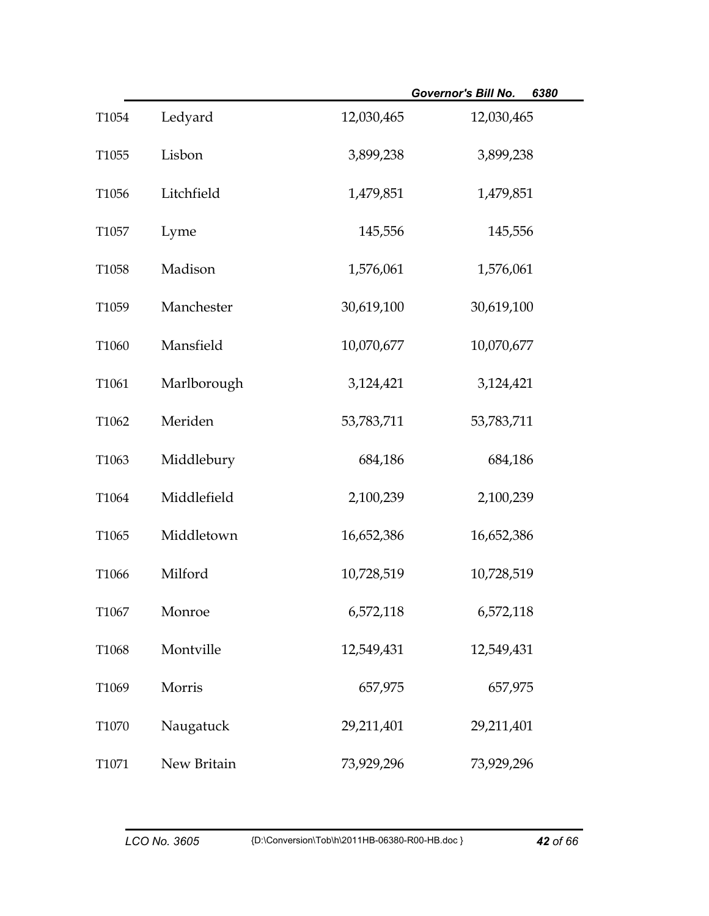|       |             |            | <b>Governor's Bill No.</b><br>6380 |
|-------|-------------|------------|------------------------------------|
| T1054 | Ledyard     | 12,030,465 | 12,030,465                         |
| T1055 | Lisbon      | 3,899,238  | 3,899,238                          |
| T1056 | Litchfield  | 1,479,851  | 1,479,851                          |
| T1057 | Lyme        | 145,556    | 145,556                            |
| T1058 | Madison     | 1,576,061  | 1,576,061                          |
| T1059 | Manchester  | 30,619,100 | 30,619,100                         |
| T1060 | Mansfield   | 10,070,677 | 10,070,677                         |
| T1061 | Marlborough | 3,124,421  | 3,124,421                          |
| T1062 | Meriden     | 53,783,711 | 53,783,711                         |
| T1063 | Middlebury  | 684,186    | 684,186                            |
| T1064 | Middlefield | 2,100,239  | 2,100,239                          |
| T1065 | Middletown  | 16,652,386 | 16,652,386                         |
| T1066 | Milford     | 10,728,519 | 10,728,519                         |
| T1067 | Monroe      | 6,572,118  | 6,572,118                          |
| T1068 | Montville   | 12,549,431 | 12,549,431                         |
| T1069 | Morris      | 657,975    | 657,975                            |
| T1070 | Naugatuck   | 29,211,401 | 29,211,401                         |
| T1071 | New Britain | 73,929,296 | 73,929,296                         |

÷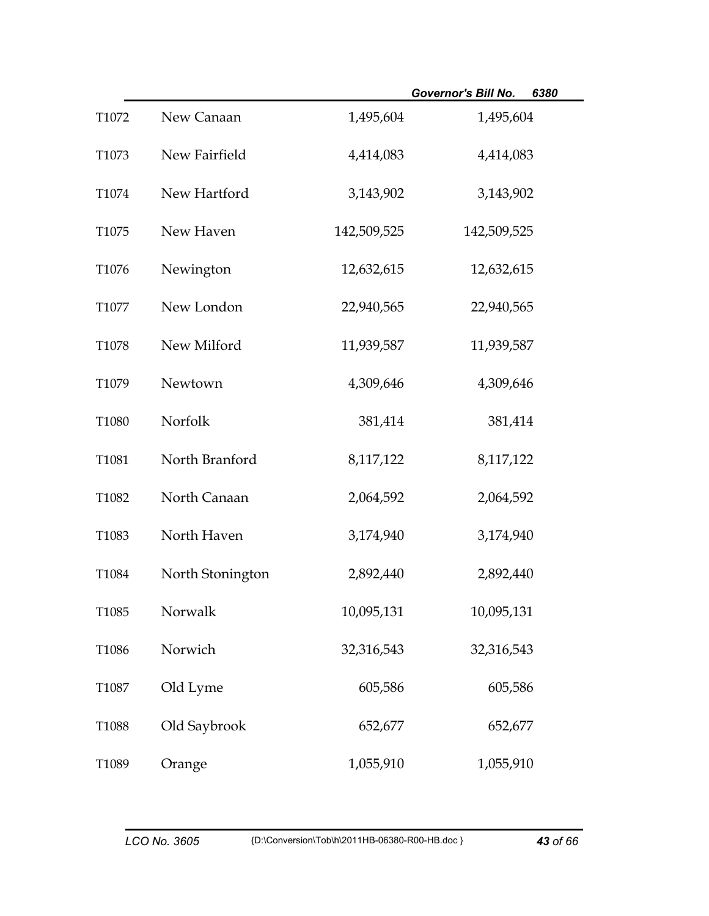|       |                  |             | <b>Governor's Bill No.</b><br>6380 |
|-------|------------------|-------------|------------------------------------|
| T1072 | New Canaan       | 1,495,604   | 1,495,604                          |
| T1073 | New Fairfield    | 4,414,083   | 4,414,083                          |
| T1074 | New Hartford     | 3,143,902   | 3,143,902                          |
| T1075 | New Haven        | 142,509,525 | 142,509,525                        |
| T1076 | Newington        | 12,632,615  | 12,632,615                         |
| T1077 | New London       | 22,940,565  | 22,940,565                         |
| T1078 | New Milford      | 11,939,587  | 11,939,587                         |
| T1079 | Newtown          | 4,309,646   | 4,309,646                          |
| T1080 | Norfolk          | 381,414     | 381,414                            |
| T1081 | North Branford   | 8,117,122   | 8,117,122                          |
| T1082 | North Canaan     | 2,064,592   | 2,064,592                          |
| T1083 | North Haven      | 3,174,940   | 3,174,940                          |
| T1084 | North Stonington | 2,892,440   | 2,892,440                          |
| T1085 | Norwalk          | 10,095,131  | 10,095,131                         |
| T1086 | Norwich          | 32,316,543  | 32,316,543                         |
| T1087 | Old Lyme         | 605,586     | 605,586                            |
| T1088 | Old Saybrook     | 652,677     | 652,677                            |
| T1089 | Orange           | 1,055,910   | 1,055,910                          |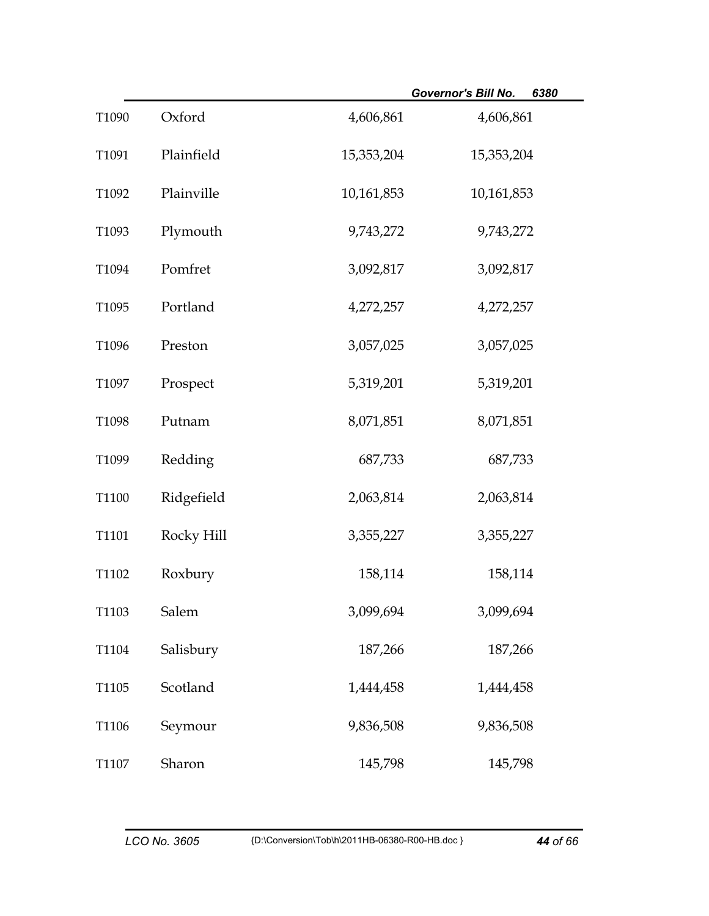|       |            |            | Governor's Bill No.<br>6380 |
|-------|------------|------------|-----------------------------|
| T1090 | Oxford     | 4,606,861  | 4,606,861                   |
| T1091 | Plainfield | 15,353,204 | 15,353,204                  |
| T1092 | Plainville | 10,161,853 | 10,161,853                  |
| T1093 | Plymouth   | 9,743,272  | 9,743,272                   |
| T1094 | Pomfret    | 3,092,817  | 3,092,817                   |
| T1095 | Portland   | 4,272,257  | 4,272,257                   |
| T1096 | Preston    | 3,057,025  | 3,057,025                   |
| T1097 | Prospect   | 5,319,201  | 5,319,201                   |
| T1098 | Putnam     | 8,071,851  | 8,071,851                   |
| T1099 | Redding    | 687,733    | 687,733                     |
| T1100 | Ridgefield | 2,063,814  | 2,063,814                   |
| T1101 | Rocky Hill | 3,355,227  | 3,355,227                   |
| T1102 | Roxbury    | 158,114    | 158,114                     |
| T1103 | Salem      | 3,099,694  | 3,099,694                   |
| T1104 | Salisbury  | 187,266    | 187,266                     |
| T1105 | Scotland   | 1,444,458  | 1,444,458                   |
| T1106 | Seymour    | 9,836,508  | 9,836,508                   |
| T1107 | Sharon     | 145,798    | 145,798                     |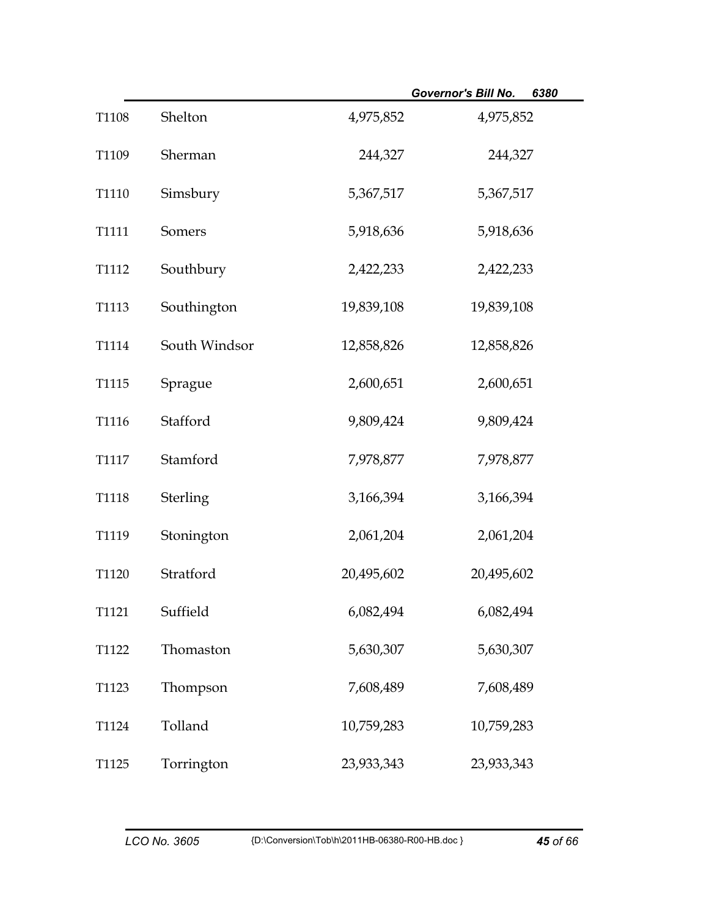|       |                 |            | Governor's Bill No.<br>6380 |
|-------|-----------------|------------|-----------------------------|
| T1108 | Shelton         | 4,975,852  | 4,975,852                   |
| T1109 | Sherman         | 244,327    | 244,327                     |
| T1110 | Simsbury        | 5,367,517  | 5,367,517                   |
| T1111 | Somers          | 5,918,636  | 5,918,636                   |
| T1112 | Southbury       | 2,422,233  | 2,422,233                   |
| T1113 | Southington     | 19,839,108 | 19,839,108                  |
| T1114 | South Windsor   | 12,858,826 | 12,858,826                  |
| T1115 | Sprague         | 2,600,651  | 2,600,651                   |
| T1116 | Stafford        | 9,809,424  | 9,809,424                   |
| T1117 | Stamford        | 7,978,877  | 7,978,877                   |
| T1118 | <b>Sterling</b> | 3,166,394  | 3,166,394                   |
| T1119 | Stonington      | 2,061,204  | 2,061,204                   |
| T1120 | Stratford       | 20,495,602 | 20,495,602                  |
| T1121 | Suffield        | 6,082,494  | 6,082,494                   |
| T1122 | Thomaston       | 5,630,307  | 5,630,307                   |
| T1123 | Thompson        | 7,608,489  | 7,608,489                   |
| T1124 | Tolland         | 10,759,283 | 10,759,283                  |
| T1125 | Torrington      | 23,933,343 | 23,933,343                  |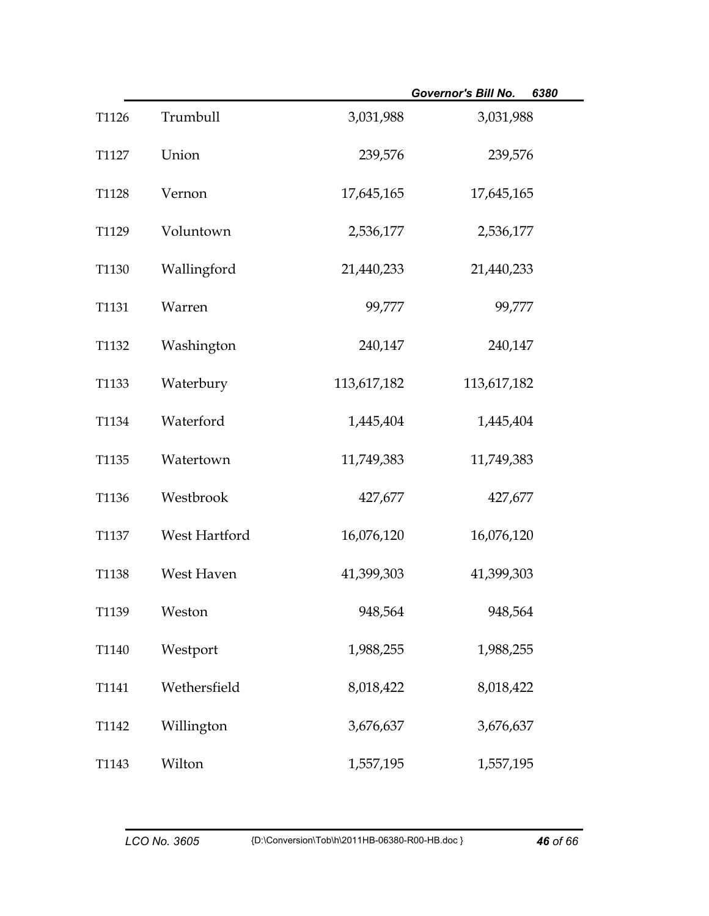|       |               |             | <b>Governor's Bill No.</b> | 6380 |
|-------|---------------|-------------|----------------------------|------|
| T1126 | Trumbull      | 3,031,988   | 3,031,988                  |      |
| T1127 | Union         | 239,576     | 239,576                    |      |
| T1128 | Vernon        | 17,645,165  | 17,645,165                 |      |
| T1129 | Voluntown     | 2,536,177   | 2,536,177                  |      |
| T1130 | Wallingford   | 21,440,233  | 21,440,233                 |      |
| T1131 | Warren        | 99,777      | 99,777                     |      |
| T1132 | Washington    | 240,147     | 240,147                    |      |
| T1133 | Waterbury     | 113,617,182 | 113,617,182                |      |
| T1134 | Waterford     | 1,445,404   | 1,445,404                  |      |
| T1135 | Watertown     | 11,749,383  | 11,749,383                 |      |
| T1136 | Westbrook     | 427,677     | 427,677                    |      |
| T1137 | West Hartford | 16,076,120  | 16,076,120                 |      |
| T1138 | West Haven    | 41,399,303  | 41,399,303                 |      |
| T1139 | Weston        | 948,564     | 948,564                    |      |
| T1140 | Westport      | 1,988,255   | 1,988,255                  |      |
| T1141 | Wethersfield  | 8,018,422   | 8,018,422                  |      |
| T1142 | Willington    | 3,676,637   | 3,676,637                  |      |
| T1143 | Wilton        | 1,557,195   | 1,557,195                  |      |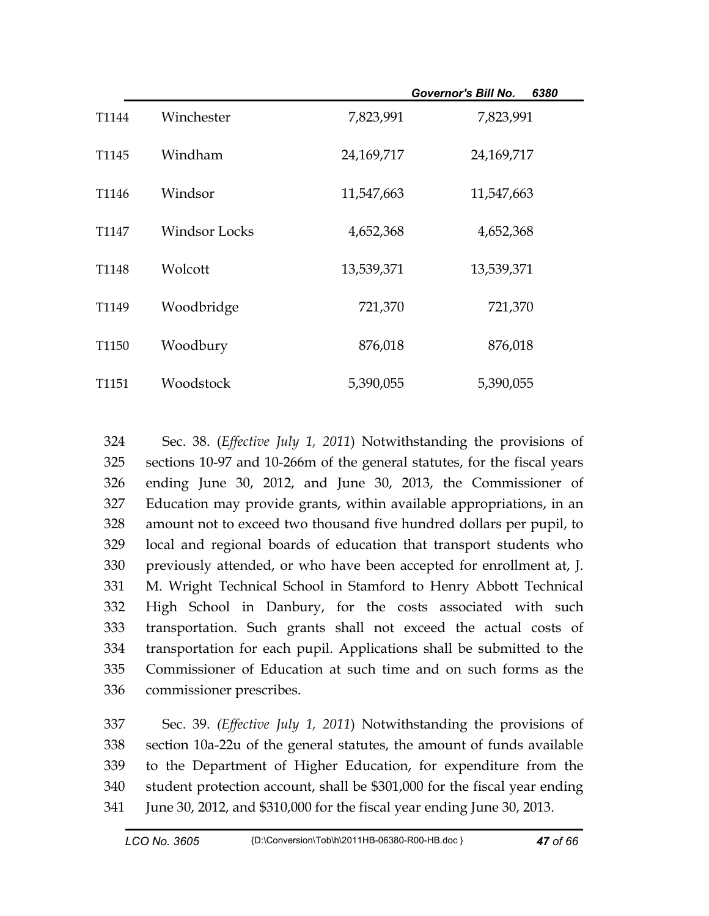|                   |                      |            | <b>Governor's Bill No.</b><br>6380 |  |
|-------------------|----------------------|------------|------------------------------------|--|
| T1144             | Winchester           | 7,823,991  | 7,823,991                          |  |
| T <sub>1145</sub> | Windham              | 24,169,717 | 24,169,717                         |  |
| T <sub>1146</sub> | Windsor              | 11,547,663 | 11,547,663                         |  |
| T <sub>1147</sub> | <b>Windsor Locks</b> | 4,652,368  | 4,652,368                          |  |
| T <sub>1148</sub> | Wolcott              | 13,539,371 | 13,539,371                         |  |
| T1149             | Woodbridge           | 721,370    | 721,370                            |  |
| T1150             | Woodbury             | 876,018    | 876,018                            |  |
| T <sub>1151</sub> | Woodstock            | 5,390,055  | 5,390,055                          |  |

324 Sec. 38. (*Effective July 1, 2011*) Notwithstanding the provisions of 325 sections 10-97 and 10-266m of the general statutes, for the fiscal years 326 ending June 30, 2012, and June 30, 2013, the Commissioner of 327 Education may provide grants, within available appropriations, in an 328 amount not to exceed two thousand five hundred dollars per pupil, to 329 local and regional boards of education that transport students who 330 previously attended, or who have been accepted for enrollment at, J. 331 M. Wright Technical School in Stamford to Henry Abbott Technical 332 High School in Danbury, for the costs associated with such 333 transportation. Such grants shall not exceed the actual costs of 334 transportation for each pupil. Applications shall be submitted to the 335 Commissioner of Education at such time and on such forms as the 336 commissioner prescribes.

337 Sec. 39. *(Effective July 1, 2011*) Notwithstanding the provisions of 338 section 10a-22u of the general statutes, the amount of funds available 339 to the Department of Higher Education, for expenditure from the 340 student protection account, shall be \$301,000 for the fiscal year ending 341 June 30, 2012, and \$310,000 for the fiscal year ending June 30, 2013.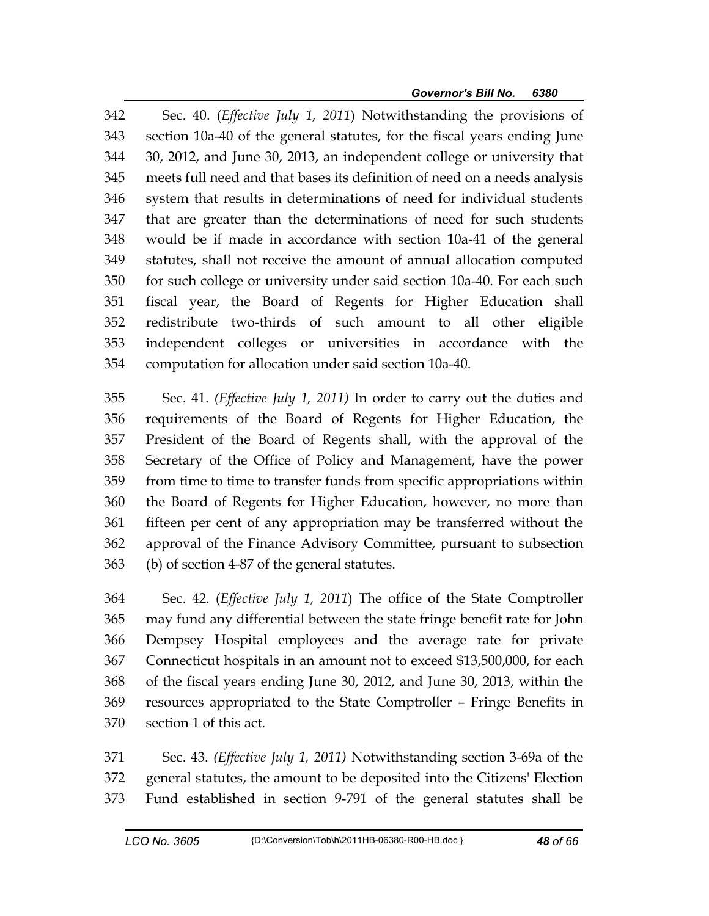342 Sec. 40. (*Effective July 1, 2011*) Notwithstanding the provisions of 343 section 10a-40 of the general statutes, for the fiscal years ending June 344 30, 2012, and June 30, 2013, an independent college or university that 345 meets full need and that bases its definition of need on a needs analysis 346 system that results in determinations of need for individual students 347 that are greater than the determinations of need for such students 348 would be if made in accordance with section 10a-41 of the general 349 statutes, shall not receive the amount of annual allocation computed 350 for such college or university under said section 10a-40. For each such 351 fiscal year, the Board of Regents for Higher Education shall 352 redistribute two-thirds of such amount to all other eligible 353 independent colleges or universities in accordance with the 354 computation for allocation under said section 10a-40.

355 Sec. 41. *(Effective July 1, 2011)* In order to carry out the duties and 356 requirements of the Board of Regents for Higher Education, the 357 President of the Board of Regents shall, with the approval of the 358 Secretary of the Office of Policy and Management, have the power 359 from time to time to transfer funds from specific appropriations within 360 the Board of Regents for Higher Education, however, no more than 361 fifteen per cent of any appropriation may be transferred without the 362 approval of the Finance Advisory Committee, pursuant to subsection 363 (b) of section 4-87 of the general statutes.

364 Sec. 42. (*Effective July 1, 2011*) The office of the State Comptroller 365 may fund any differential between the state fringe benefit rate for John 366 Dempsey Hospital employees and the average rate for private 367 Connecticut hospitals in an amount not to exceed \$13,500,000, for each 368 of the fiscal years ending June 30, 2012, and June 30, 2013, within the 369 resources appropriated to the State Comptroller – Fringe Benefits in 370 section 1 of this act.

371 Sec. 43. *(Effective July 1, 2011)* Notwithstanding section 3-69a of the 372 general statutes, the amount to be deposited into the Citizens' Election 373 Fund established in section 9-791 of the general statutes shall be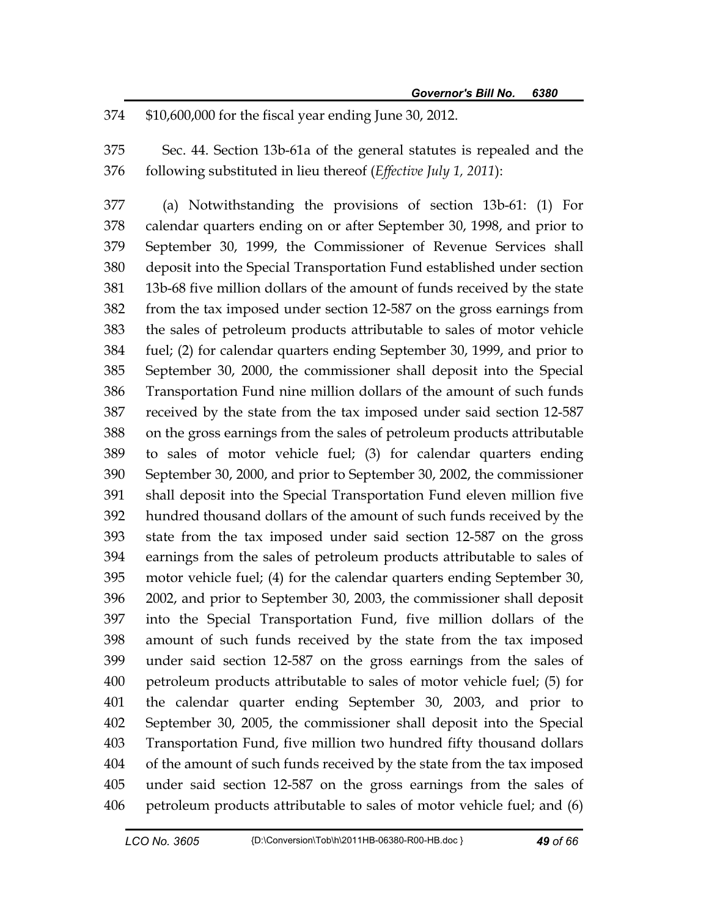374 \$10,600,000 for the fiscal year ending June 30, 2012.

375 Sec. 44. Section 13b-61a of the general statutes is repealed and the 376 following substituted in lieu thereof (*Effective July 1, 2011*):

377 (a) Notwithstanding the provisions of section 13b-61: (1) For 378 calendar quarters ending on or after September 30, 1998, and prior to 379 September 30, 1999, the Commissioner of Revenue Services shall 380 deposit into the Special Transportation Fund established under section 381 13b-68 five million dollars of the amount of funds received by the state 382 from the tax imposed under section 12-587 on the gross earnings from 383 the sales of petroleum products attributable to sales of motor vehicle 384 fuel; (2) for calendar quarters ending September 30, 1999, and prior to 385 September 30, 2000, the commissioner shall deposit into the Special 386 Transportation Fund nine million dollars of the amount of such funds 387 received by the state from the tax imposed under said section 12-587 388 on the gross earnings from the sales of petroleum products attributable 389 to sales of motor vehicle fuel; (3) for calendar quarters ending 390 September 30, 2000, and prior to September 30, 2002, the commissioner 391 shall deposit into the Special Transportation Fund eleven million five 392 hundred thousand dollars of the amount of such funds received by the 393 state from the tax imposed under said section 12-587 on the gross 394 earnings from the sales of petroleum products attributable to sales of 395 motor vehicle fuel; (4) for the calendar quarters ending September 30, 396 2002, and prior to September 30, 2003, the commissioner shall deposit 397 into the Special Transportation Fund, five million dollars of the 398 amount of such funds received by the state from the tax imposed 399 under said section 12-587 on the gross earnings from the sales of 400 petroleum products attributable to sales of motor vehicle fuel; (5) for 401 the calendar quarter ending September 30, 2003, and prior to 402 September 30, 2005, the commissioner shall deposit into the Special 403 Transportation Fund, five million two hundred fifty thousand dollars 404 of the amount of such funds received by the state from the tax imposed 405 under said section 12-587 on the gross earnings from the sales of 406 petroleum products attributable to sales of motor vehicle fuel; and (6)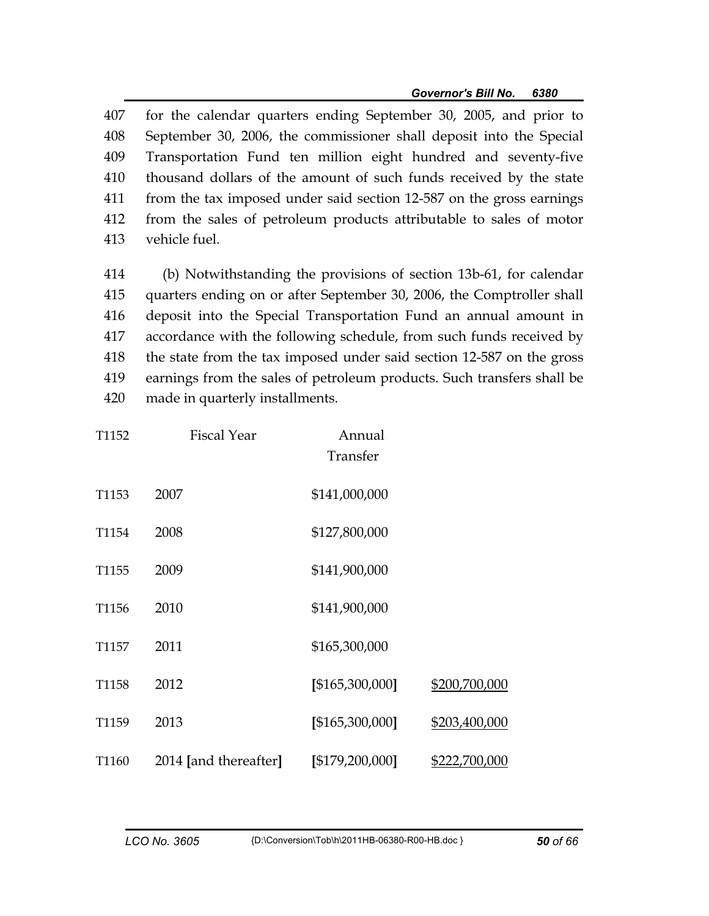407 for the calendar quarters ending September 30, 2005, and prior to 408 September 30, 2006, the commissioner shall deposit into the Special 409 Transportation Fund ten million eight hundred and seventy-five 410 thousand dollars of the amount of such funds received by the state 411 from the tax imposed under said section 12-587 on the gross earnings 412 from the sales of petroleum products attributable to sales of motor 413 vehicle fuel.

414 (b) Notwithstanding the provisions of section 13b-61, for calendar 415 quarters ending on or after September 30, 2006, the Comptroller shall 416 deposit into the Special Transportation Fund an annual amount in 417 accordance with the following schedule, from such funds received by 418 the state from the tax imposed under said section 12-587 on the gross 419 earnings from the sales of petroleum products. Such transfers shall be 420 made in quarterly installments.

| T1152 | <b>Fiscal Year</b>    | Annual<br>Transfer |               |
|-------|-----------------------|--------------------|---------------|
| T1153 | 2007                  | \$141,000,000      |               |
| T1154 | 2008                  | \$127,800,000      |               |
| T1155 | 2009                  | \$141,900,000      |               |
| T1156 | 2010                  | \$141,900,000      |               |
| T1157 | 2011                  | \$165,300,000      |               |
| T1158 | 2012                  | [\$165,300,000]    | \$200,700,000 |
| T1159 | 2013                  | [\$165,300,000]    | \$203,400,000 |
| T1160 | 2014 [and thereafter] | [\$179,200,000]    | \$222,700,000 |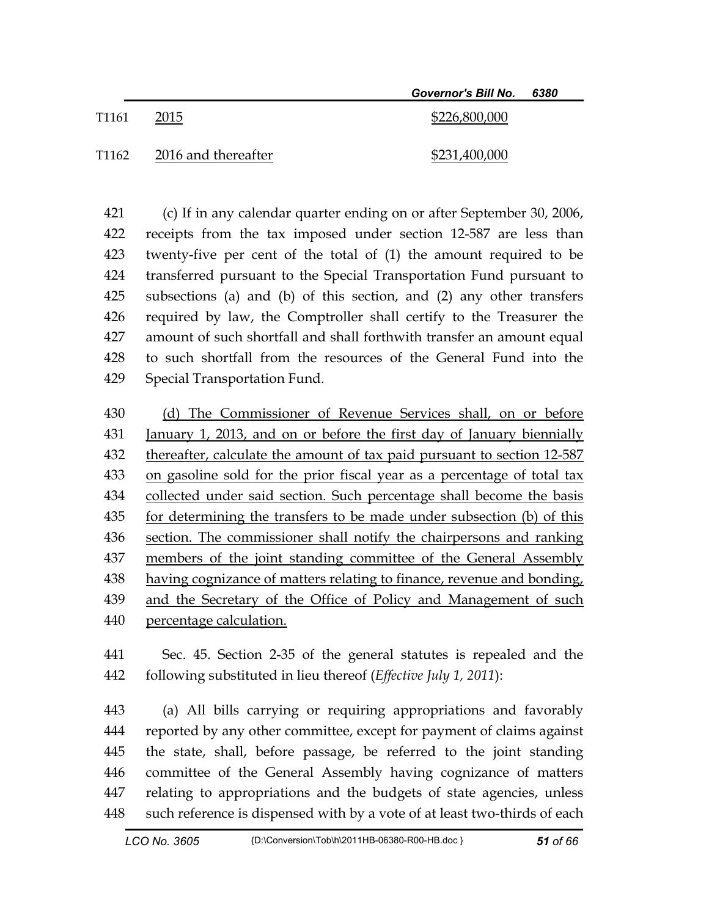|                   |                     | Governor's Bill No. 6380 |  |
|-------------------|---------------------|--------------------------|--|
| T1161             | 2015                | \$226,800,000            |  |
| T <sub>1162</sub> | 2016 and thereafter | \$231,400,000            |  |

421 (c) If in any calendar quarter ending on or after September 30, 2006, 422 receipts from the tax imposed under section 12-587 are less than 423 twenty-five per cent of the total of (1) the amount required to be 424 transferred pursuant to the Special Transportation Fund pursuant to 425 subsections (a) and (b) of this section, and (2) any other transfers 426 required by law, the Comptroller shall certify to the Treasurer the 427 amount of such shortfall and shall forthwith transfer an amount equal 428 to such shortfall from the resources of the General Fund into the 429 Special Transportation Fund.

430 (d) The Commissioner of Revenue Services shall, on or before 431 January 1, 2013, and on or before the first day of January biennially 432 thereafter, calculate the amount of tax paid pursuant to section 12-587 433 on gasoline sold for the prior fiscal year as a percentage of total tax 434 collected under said section. Such percentage shall become the basis 435 for determining the transfers to be made under subsection (b) of this 436 section. The commissioner shall notify the chairpersons and ranking 437 members of the joint standing committee of the General Assembly 438 having cognizance of matters relating to finance, revenue and bonding, 439 and the Secretary of the Office of Policy and Management of such 440 percentage calculation.

441 Sec. 45. Section 2-35 of the general statutes is repealed and the 442 following substituted in lieu thereof (*Effective July 1, 2011*):

443 (a) All bills carrying or requiring appropriations and favorably 444 reported by any other committee, except for payment of claims against 445 the state, shall, before passage, be referred to the joint standing 446 committee of the General Assembly having cognizance of matters 447 relating to appropriations and the budgets of state agencies, unless 448 such reference is dispensed with by a vote of at least two-thirds of each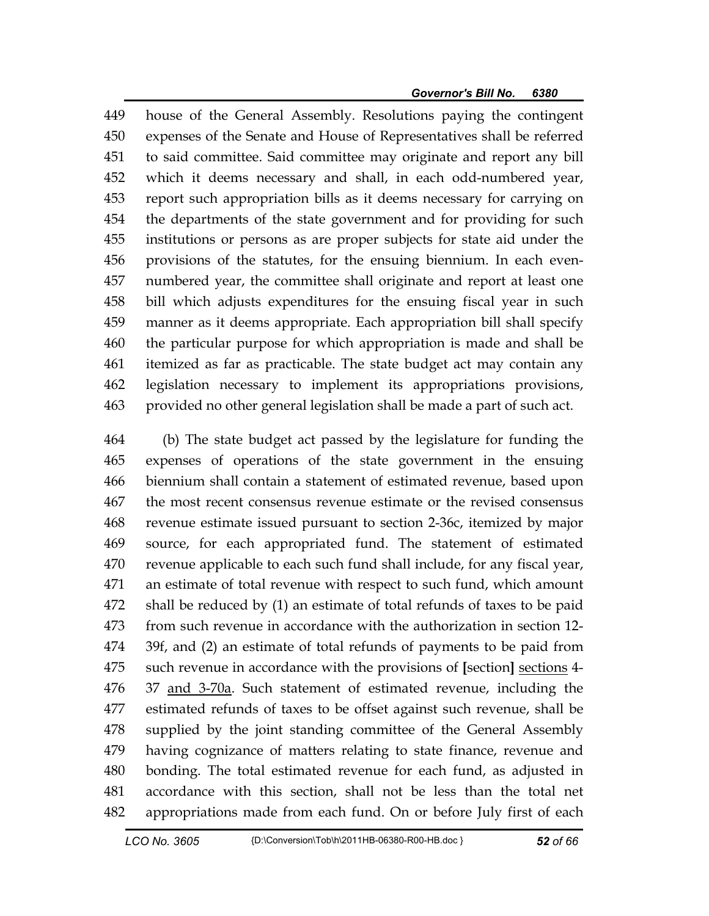449 house of the General Assembly. Resolutions paying the contingent 450 expenses of the Senate and House of Representatives shall be referred 451 to said committee. Said committee may originate and report any bill 452 which it deems necessary and shall, in each odd-numbered year, 453 report such appropriation bills as it deems necessary for carrying on 454 the departments of the state government and for providing for such 455 institutions or persons as are proper subjects for state aid under the 456 provisions of the statutes, for the ensuing biennium. In each even-457 numbered year, the committee shall originate and report at least one 458 bill which adjusts expenditures for the ensuing fiscal year in such 459 manner as it deems appropriate. Each appropriation bill shall specify 460 the particular purpose for which appropriation is made and shall be 461 itemized as far as practicable. The state budget act may contain any 462 legislation necessary to implement its appropriations provisions, 463 provided no other general legislation shall be made a part of such act.

464 (b) The state budget act passed by the legislature for funding the 465 expenses of operations of the state government in the ensuing 466 biennium shall contain a statement of estimated revenue, based upon 467 the most recent consensus revenue estimate or the revised consensus 468 revenue estimate issued pursuant to section 2-36c, itemized by major 469 source, for each appropriated fund. The statement of estimated 470 revenue applicable to each such fund shall include, for any fiscal year, 471 an estimate of total revenue with respect to such fund, which amount 472 shall be reduced by (1) an estimate of total refunds of taxes to be paid 473 from such revenue in accordance with the authorization in section 12- 474 39f, and (2) an estimate of total refunds of payments to be paid from 475 such revenue in accordance with the provisions of **[**section**]** sections 4- 476 37 and 3-70a. Such statement of estimated revenue, including the 477 estimated refunds of taxes to be offset against such revenue, shall be 478 supplied by the joint standing committee of the General Assembly 479 having cognizance of matters relating to state finance, revenue and 480 bonding. The total estimated revenue for each fund, as adjusted in 481 accordance with this section, shall not be less than the total net 482 appropriations made from each fund. On or before July first of each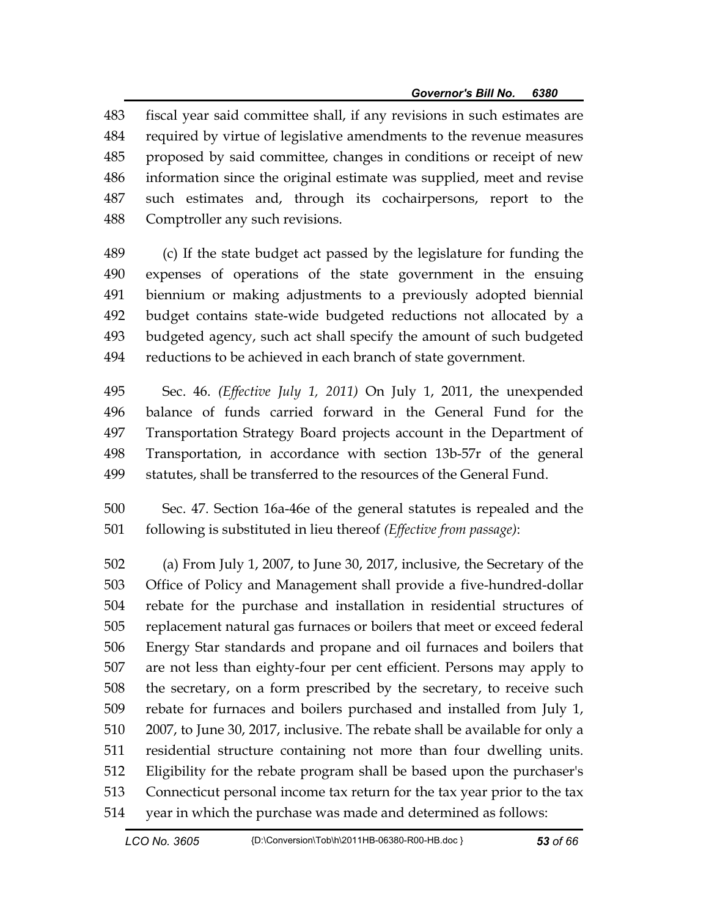483 fiscal year said committee shall, if any revisions in such estimates are 484 required by virtue of legislative amendments to the revenue measures 485 proposed by said committee, changes in conditions or receipt of new 486 information since the original estimate was supplied, meet and revise 487 such estimates and, through its cochairpersons, report to the 488 Comptroller any such revisions.

489 (c) If the state budget act passed by the legislature for funding the 490 expenses of operations of the state government in the ensuing 491 biennium or making adjustments to a previously adopted biennial 492 budget contains state-wide budgeted reductions not allocated by a 493 budgeted agency, such act shall specify the amount of such budgeted 494 reductions to be achieved in each branch of state government.

495 Sec. 46. *(Effective July 1, 2011)* On July 1, 2011, the unexpended 496 balance of funds carried forward in the General Fund for the 497 Transportation Strategy Board projects account in the Department of 498 Transportation, in accordance with section 13b-57r of the general 499 statutes, shall be transferred to the resources of the General Fund.

500 Sec. 47. Section 16a-46e of the general statutes is repealed and the 501 following is substituted in lieu thereof *(Effective from passage)*:

502 (a) From July 1, 2007, to June 30, 2017, inclusive, the Secretary of the 503 Office of Policy and Management shall provide a five-hundred-dollar 504 rebate for the purchase and installation in residential structures of 505 replacement natural gas furnaces or boilers that meet or exceed federal 506 Energy Star standards and propane and oil furnaces and boilers that 507 are not less than eighty-four per cent efficient. Persons may apply to 508 the secretary, on a form prescribed by the secretary, to receive such 509 rebate for furnaces and boilers purchased and installed from July 1, 510 2007, to June 30, 2017, inclusive. The rebate shall be available for only a 511 residential structure containing not more than four dwelling units. 512 Eligibility for the rebate program shall be based upon the purchaser's 513 Connecticut personal income tax return for the tax year prior to the tax 514 year in which the purchase was made and determined as follows: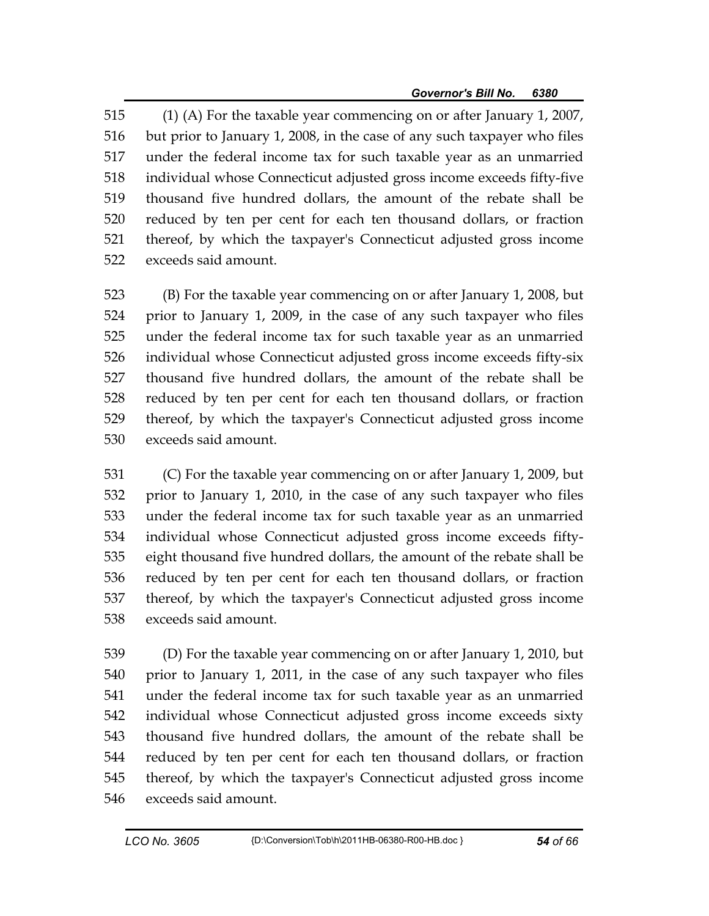515 (1) (A) For the taxable year commencing on or after January 1, 2007, 516 but prior to January 1, 2008, in the case of any such taxpayer who files 517 under the federal income tax for such taxable year as an unmarried 518 individual whose Connecticut adjusted gross income exceeds fifty-five 519 thousand five hundred dollars, the amount of the rebate shall be 520 reduced by ten per cent for each ten thousand dollars, or fraction 521 thereof, by which the taxpayer's Connecticut adjusted gross income 522 exceeds said amount.

523 (B) For the taxable year commencing on or after January 1, 2008, but 524 prior to January 1, 2009, in the case of any such taxpayer who files 525 under the federal income tax for such taxable year as an unmarried 526 individual whose Connecticut adjusted gross income exceeds fifty-six 527 thousand five hundred dollars, the amount of the rebate shall be 528 reduced by ten per cent for each ten thousand dollars, or fraction 529 thereof, by which the taxpayer's Connecticut adjusted gross income 530 exceeds said amount.

531 (C) For the taxable year commencing on or after January 1, 2009, but 532 prior to January 1, 2010, in the case of any such taxpayer who files 533 under the federal income tax for such taxable year as an unmarried 534 individual whose Connecticut adjusted gross income exceeds fifty-535 eight thousand five hundred dollars, the amount of the rebate shall be 536 reduced by ten per cent for each ten thousand dollars, or fraction 537 thereof, by which the taxpayer's Connecticut adjusted gross income 538 exceeds said amount.

539 (D) For the taxable year commencing on or after January 1, 2010, but 540 prior to January 1, 2011, in the case of any such taxpayer who files 541 under the federal income tax for such taxable year as an unmarried 542 individual whose Connecticut adjusted gross income exceeds sixty 543 thousand five hundred dollars, the amount of the rebate shall be 544 reduced by ten per cent for each ten thousand dollars, or fraction 545 thereof, by which the taxpayer's Connecticut adjusted gross income 546 exceeds said amount.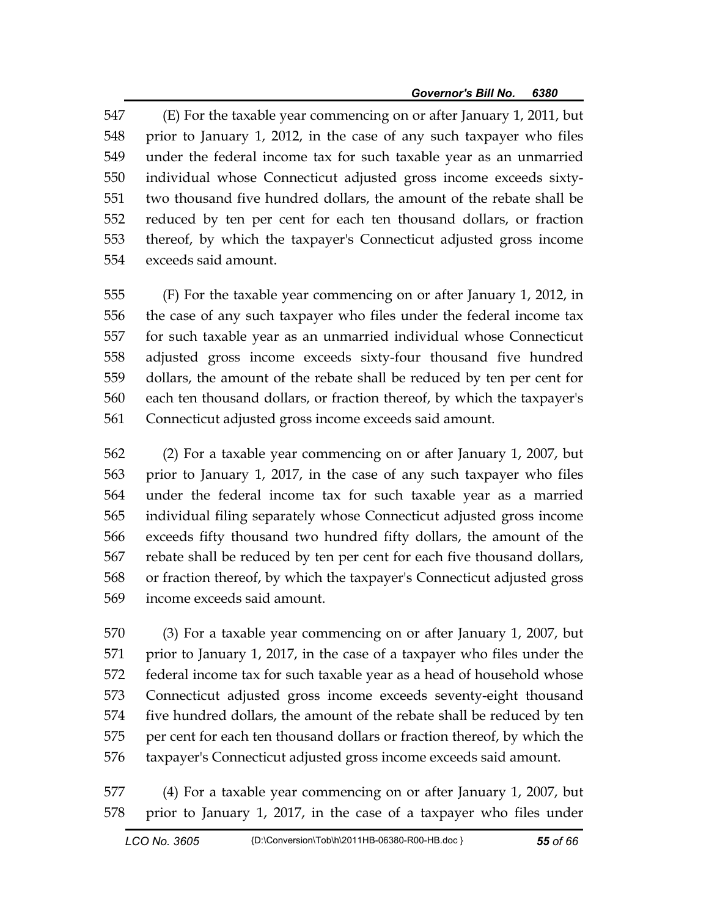547 (E) For the taxable year commencing on or after January 1, 2011, but 548 prior to January 1, 2012, in the case of any such taxpayer who files 549 under the federal income tax for such taxable year as an unmarried 550 individual whose Connecticut adjusted gross income exceeds sixty-551 two thousand five hundred dollars, the amount of the rebate shall be 552 reduced by ten per cent for each ten thousand dollars, or fraction 553 thereof, by which the taxpayer's Connecticut adjusted gross income 554 exceeds said amount.

555 (F) For the taxable year commencing on or after January 1, 2012, in 556 the case of any such taxpayer who files under the federal income tax 557 for such taxable year as an unmarried individual whose Connecticut 558 adjusted gross income exceeds sixty-four thousand five hundred 559 dollars, the amount of the rebate shall be reduced by ten per cent for 560 each ten thousand dollars, or fraction thereof, by which the taxpayer's 561 Connecticut adjusted gross income exceeds said amount.

562 (2) For a taxable year commencing on or after January 1, 2007, but 563 prior to January 1, 2017, in the case of any such taxpayer who files 564 under the federal income tax for such taxable year as a married 565 individual filing separately whose Connecticut adjusted gross income 566 exceeds fifty thousand two hundred fifty dollars, the amount of the 567 rebate shall be reduced by ten per cent for each five thousand dollars, 568 or fraction thereof, by which the taxpayer's Connecticut adjusted gross 569 income exceeds said amount.

570 (3) For a taxable year commencing on or after January 1, 2007, but 571 prior to January 1, 2017, in the case of a taxpayer who files under the 572 federal income tax for such taxable year as a head of household whose 573 Connecticut adjusted gross income exceeds seventy-eight thousand 574 five hundred dollars, the amount of the rebate shall be reduced by ten 575 per cent for each ten thousand dollars or fraction thereof, by which the 576 taxpayer's Connecticut adjusted gross income exceeds said amount.

577 (4) For a taxable year commencing on or after January 1, 2007, but 578 prior to January 1, 2017, in the case of a taxpayer who files under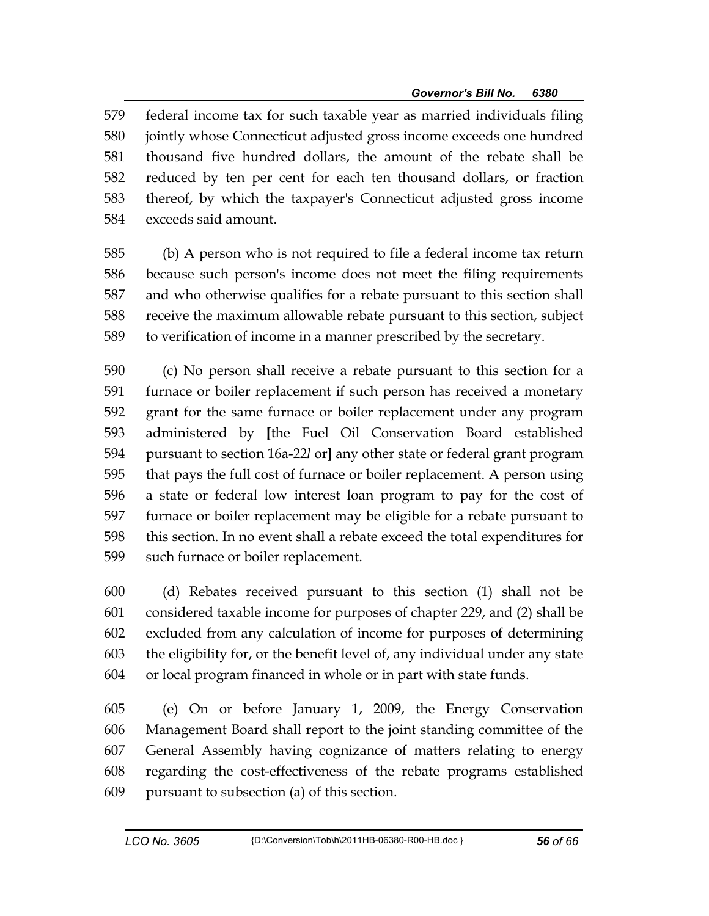579 federal income tax for such taxable year as married individuals filing 580 jointly whose Connecticut adjusted gross income exceeds one hundred 581 thousand five hundred dollars, the amount of the rebate shall be 582 reduced by ten per cent for each ten thousand dollars, or fraction 583 thereof, by which the taxpayer's Connecticut adjusted gross income 584 exceeds said amount.

585 (b) A person who is not required to file a federal income tax return 586 because such person's income does not meet the filing requirements 587 and who otherwise qualifies for a rebate pursuant to this section shall 588 receive the maximum allowable rebate pursuant to this section, subject 589 to verification of income in a manner prescribed by the secretary.

590 (c) No person shall receive a rebate pursuant to this section for a 591 furnace or boiler replacement if such person has received a monetary 592 grant for the same furnace or boiler replacement under any program 593 administered by **[**the Fuel Oil Conservation Board established 594 pursuant to section 16a-22*l* or**]** any other state or federal grant program 595 that pays the full cost of furnace or boiler replacement. A person using 596 a state or federal low interest loan program to pay for the cost of 597 furnace or boiler replacement may be eligible for a rebate pursuant to 598 this section. In no event shall a rebate exceed the total expenditures for 599 such furnace or boiler replacement.

600 (d) Rebates received pursuant to this section (1) shall not be 601 considered taxable income for purposes of chapter 229, and (2) shall be 602 excluded from any calculation of income for purposes of determining 603 the eligibility for, or the benefit level of, any individual under any state 604 or local program financed in whole or in part with state funds.

605 (e) On or before January 1, 2009, the Energy Conservation 606 Management Board shall report to the joint standing committee of the 607 General Assembly having cognizance of matters relating to energy 608 regarding the cost-effectiveness of the rebate programs established 609 pursuant to subsection (a) of this section.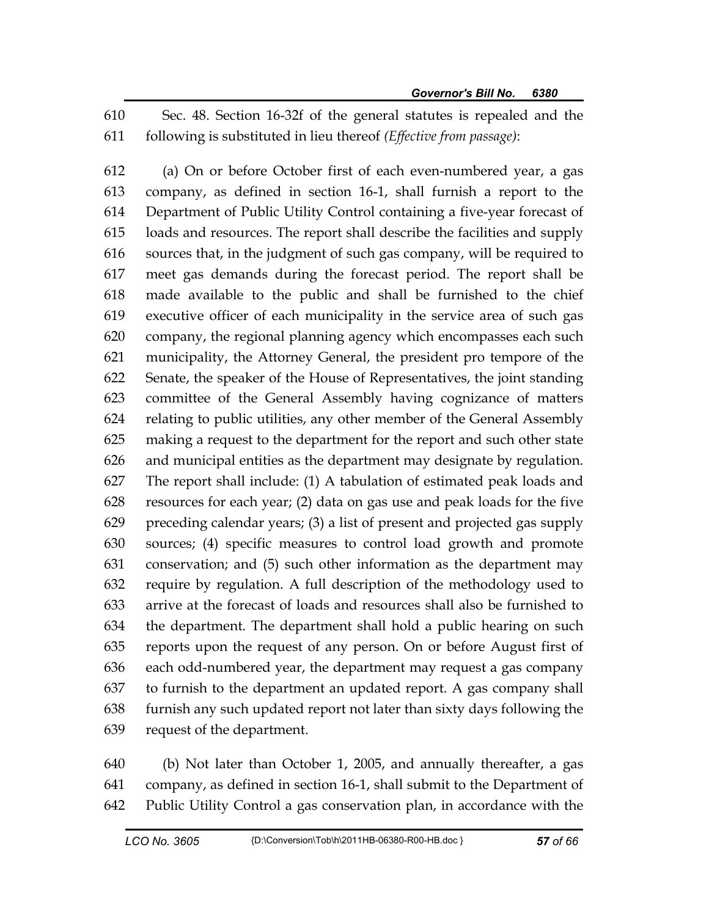610 Sec. 48. Section 16-32f of the general statutes is repealed and the 611 following is substituted in lieu thereof *(Effective from passage)*:

612 (a) On or before October first of each even-numbered year, a gas 613 company, as defined in section 16-1, shall furnish a report to the 614 Department of Public Utility Control containing a five-year forecast of 615 loads and resources. The report shall describe the facilities and supply 616 sources that, in the judgment of such gas company, will be required to 617 meet gas demands during the forecast period. The report shall be 618 made available to the public and shall be furnished to the chief 619 executive officer of each municipality in the service area of such gas 620 company, the regional planning agency which encompasses each such 621 municipality, the Attorney General, the president pro tempore of the 622 Senate, the speaker of the House of Representatives, the joint standing 623 committee of the General Assembly having cognizance of matters 624 relating to public utilities, any other member of the General Assembly 625 making a request to the department for the report and such other state 626 and municipal entities as the department may designate by regulation. 627 The report shall include: (1) A tabulation of estimated peak loads and 628 resources for each year; (2) data on gas use and peak loads for the five 629 preceding calendar years; (3) a list of present and projected gas supply 630 sources; (4) specific measures to control load growth and promote 631 conservation; and (5) such other information as the department may 632 require by regulation. A full description of the methodology used to 633 arrive at the forecast of loads and resources shall also be furnished to 634 the department. The department shall hold a public hearing on such 635 reports upon the request of any person. On or before August first of 636 each odd-numbered year, the department may request a gas company 637 to furnish to the department an updated report. A gas company shall 638 furnish any such updated report not later than sixty days following the 639 request of the department.

640 (b) Not later than October 1, 2005, and annually thereafter, a gas 641 company, as defined in section 16-1, shall submit to the Department of 642 Public Utility Control a gas conservation plan, in accordance with the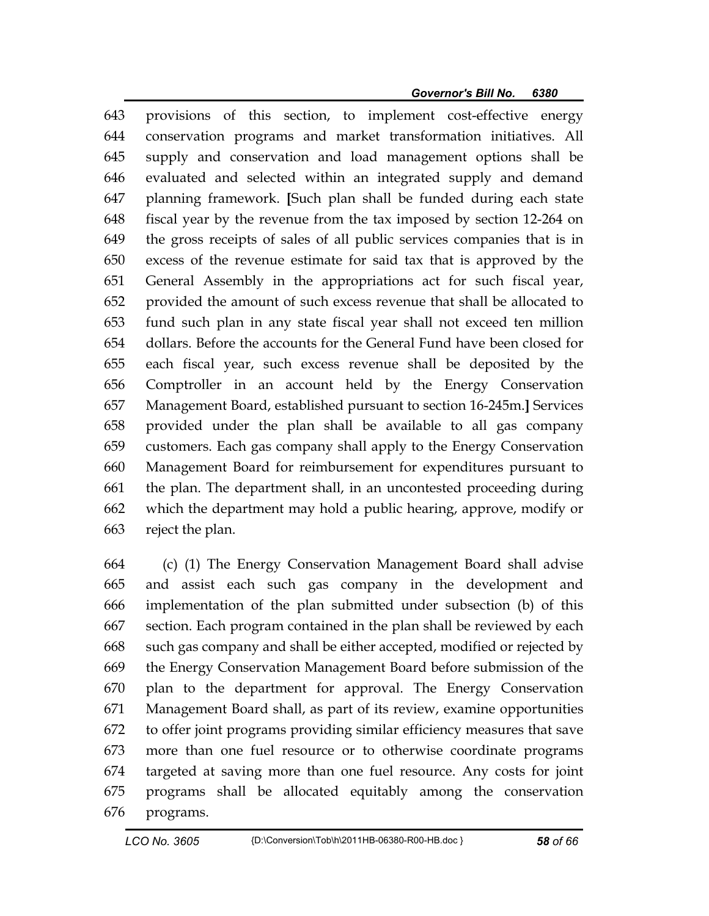643 provisions of this section, to implement cost-effective energy 644 conservation programs and market transformation initiatives. All 645 supply and conservation and load management options shall be 646 evaluated and selected within an integrated supply and demand 647 planning framework. **[**Such plan shall be funded during each state 648 fiscal year by the revenue from the tax imposed by section 12-264 on 649 the gross receipts of sales of all public services companies that is in 650 excess of the revenue estimate for said tax that is approved by the 651 General Assembly in the appropriations act for such fiscal year, 652 provided the amount of such excess revenue that shall be allocated to 653 fund such plan in any state fiscal year shall not exceed ten million 654 dollars. Before the accounts for the General Fund have been closed for 655 each fiscal year, such excess revenue shall be deposited by the 656 Comptroller in an account held by the Energy Conservation 657 Management Board, established pursuant to section 16-245m.**]** Services 658 provided under the plan shall be available to all gas company 659 customers. Each gas company shall apply to the Energy Conservation 660 Management Board for reimbursement for expenditures pursuant to 661 the plan. The department shall, in an uncontested proceeding during 662 which the department may hold a public hearing, approve, modify or 663 reject the plan.

664 (c) (1) The Energy Conservation Management Board shall advise 665 and assist each such gas company in the development and 666 implementation of the plan submitted under subsection (b) of this 667 section. Each program contained in the plan shall be reviewed by each 668 such gas company and shall be either accepted, modified or rejected by 669 the Energy Conservation Management Board before submission of the 670 plan to the department for approval. The Energy Conservation 671 Management Board shall, as part of its review, examine opportunities 672 to offer joint programs providing similar efficiency measures that save 673 more than one fuel resource or to otherwise coordinate programs 674 targeted at saving more than one fuel resource. Any costs for joint 675 programs shall be allocated equitably among the conservation 676 programs.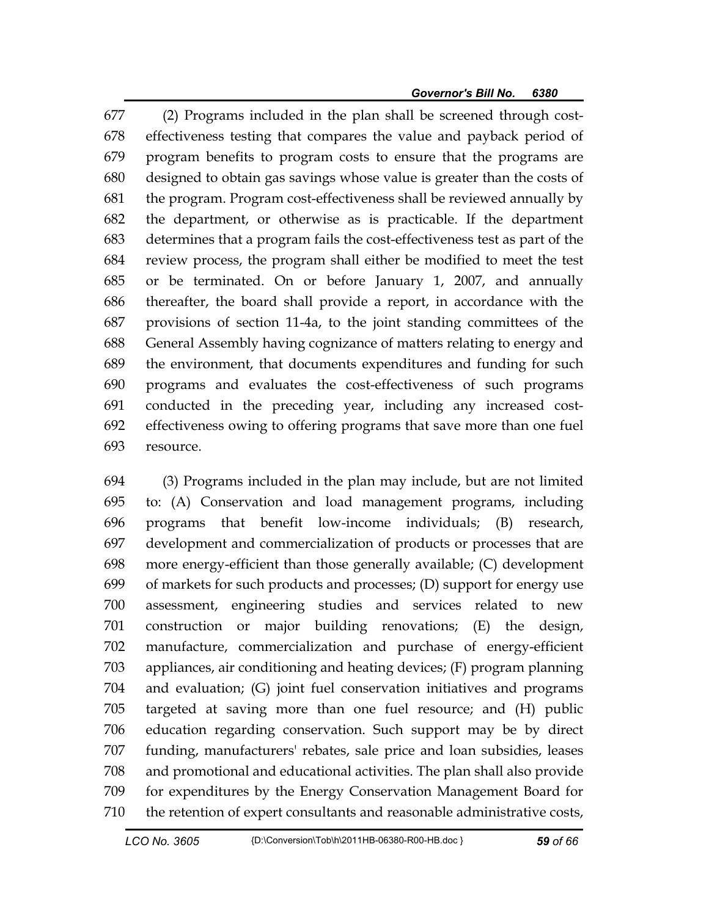677 (2) Programs included in the plan shall be screened through cost-678 effectiveness testing that compares the value and payback period of 679 program benefits to program costs to ensure that the programs are 680 designed to obtain gas savings whose value is greater than the costs of 681 the program. Program cost-effectiveness shall be reviewed annually by 682 the department, or otherwise as is practicable. If the department 683 determines that a program fails the cost-effectiveness test as part of the 684 review process, the program shall either be modified to meet the test 685 or be terminated. On or before January 1, 2007, and annually 686 thereafter, the board shall provide a report, in accordance with the 687 provisions of section 11-4a, to the joint standing committees of the 688 General Assembly having cognizance of matters relating to energy and 689 the environment, that documents expenditures and funding for such 690 programs and evaluates the cost-effectiveness of such programs 691 conducted in the preceding year, including any increased cost-692 effectiveness owing to offering programs that save more than one fuel 693 resource.

694 (3) Programs included in the plan may include, but are not limited 695 to: (A) Conservation and load management programs, including 696 programs that benefit low-income individuals; (B) research, 697 development and commercialization of products or processes that are 698 more energy-efficient than those generally available; (C) development 699 of markets for such products and processes; (D) support for energy use 700 assessment, engineering studies and services related to new 701 construction or major building renovations; (E) the design, 702 manufacture, commercialization and purchase of energy-efficient 703 appliances, air conditioning and heating devices; (F) program planning 704 and evaluation; (G) joint fuel conservation initiatives and programs 705 targeted at saving more than one fuel resource; and (H) public 706 education regarding conservation. Such support may be by direct 707 funding, manufacturers' rebates, sale price and loan subsidies, leases 708 and promotional and educational activities. The plan shall also provide 709 for expenditures by the Energy Conservation Management Board for 710 the retention of expert consultants and reasonable administrative costs,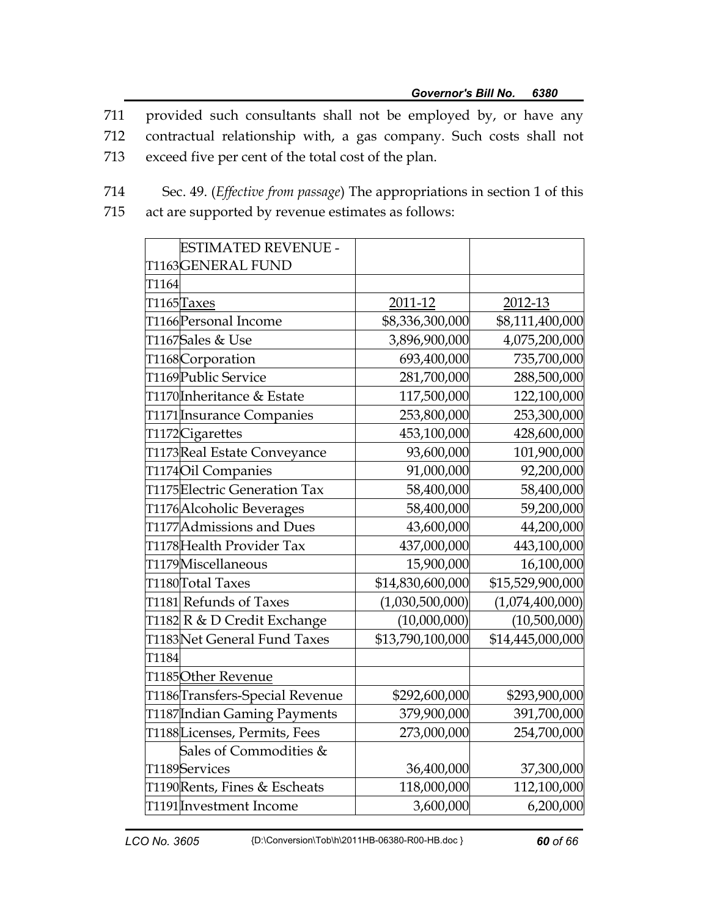711 provided such consultants shall not be employed by, or have any

- 712 contractual relationship with, a gas company. Such costs shall not
- 713 exceed five per cent of the total cost of the plan.
- 714 Sec. 49. (*Effective from passage*) The appropriations in section 1 of this 715 act are supported by revenue estimates as follows:

| <b>ESTIMATED REVENUE -</b>                  |                  |                  |
|---------------------------------------------|------------------|------------------|
| T1163GENERAL FUND                           |                  |                  |
| T <sub>1164</sub>                           |                  |                  |
| T1165Taxes                                  | 2011-12          | 2012-13          |
| T1166 Personal Income                       | \$8,336,300,000  | \$8,111,400,000  |
| T1167Sales & Use                            | 3,896,900,000    | 4,075,200,000    |
| T1168Corporation                            | 693,400,000      | 735,700,000      |
| T1169 Public Service                        | 281,700,000      | 288,500,000      |
| T1170 <mark>Inheritance &amp; Estate</mark> | 117,500,000      | 122,100,000      |
| T1171 Insurance Companies                   | 253,800,000      | 253,300,000      |
| T1172Cigarettes                             | 453,100,000      | 428,600,000      |
| T1173Real Estate Conveyance                 | 93,600,000       | 101,900,000      |
| T1174Oil Companies                          | 91,000,000       | 92,200,000       |
| T1175Electric Generation Tax                | 58,400,000       | 58,400,000       |
| T1176 Alcoholic Beverages                   | 58,400,000       | 59,200,000       |
| T1177 Admissions and Dues                   | 43,600,000       | 44,200,000       |
| T1178 Health Provider Tax                   | 437,000,000      | 443,100,000      |
| T1179Miscellaneous                          | 15,900,000       | 16,100,000       |
| T1180Total Taxes                            | \$14,830,600,000 | \$15,529,900,000 |
| T1181 Refunds of Taxes                      | (1,030,500,000)  | (1,074,400,000)  |
| T1182 R & D Credit Exchange                 | (10,000,000)     | (10,500,000)     |
| T1183 Net General Fund Taxes                | \$13,790,100,000 | \$14,445,000,000 |
| T1184                                       |                  |                  |
| T1185Other Revenue                          |                  |                  |
| T1186 Transfers-Special Revenue             | \$292,600,000    | \$293,900,000    |
| T1187 Indian Gaming Payments                | 379,900,000      | 391,700,000      |
| T1188Licenses, Permits, Fees                | 273,000,000      | 254,700,000      |
| Sales of Commodities &                      |                  |                  |
| T1189Services                               | 36,400,000       | 37,300,000       |
| T1190Rents, Fines & Escheats                | 118,000,000      | 112,100,000      |
| T1191 Investment Income                     | 3,600,000        | 6,200,000        |
|                                             |                  |                  |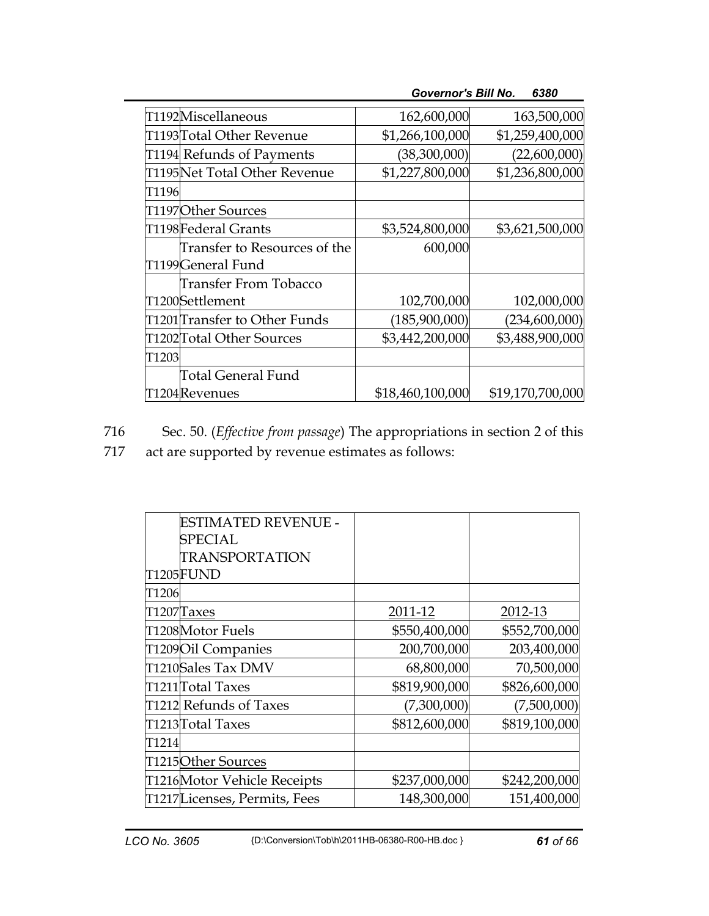|        | T1192Miscellaneous                                | 162,600,000      | 163,500,000      |
|--------|---------------------------------------------------|------------------|------------------|
|        | T1193 Total Other Revenue                         | \$1,266,100,000  | \$1,259,400,000  |
|        | T1194 Refunds of Payments                         | (38,300,000)     | (22,600,000)     |
|        | T1195Net Total Other Revenue                      | \$1,227,800,000  | \$1,236,800,000  |
| T1196  |                                                   |                  |                  |
|        | T1197Other Sources                                |                  |                  |
|        | T1198Federal Grants                               | \$3,524,800,000  | \$3,621,500,000  |
|        | Transfer to Resources of the<br>T1199General Fund | 600,000          |                  |
|        | Transfer From Tobacco<br>T1200Settlement          | 102,700,000      | 102,000,000      |
|        | T1201 Transfer to Other Funds                     | (185,900,000)    | (234,600,000)    |
|        | T1202Total Other Sources                          | \$3,442,200,000  | \$3,488,900,000  |
| T1203l |                                                   |                  |                  |
|        | Total General Fund                                |                  |                  |
|        | T1204Revenues                                     | \$18,460,100,000 | \$19,170,700,000 |
|        |                                                   |                  |                  |

*Governor's Bill No. 6380* 

716 Sec. 50. (*Effective from passage*) The appropriations in section 2 of this

717 act are supported by revenue estimates as follows:

|        | ESTIMATED REVENUE -           |               |               |
|--------|-------------------------------|---------------|---------------|
|        | SPECIAL                       |               |               |
|        | TRANSPORTATION                |               |               |
|        | <b>T1205FUND</b>              |               |               |
| T1206  |                               |               |               |
|        | T1207Taxes                    | 2011-12       | 2012-13       |
|        | T1208Motor Fuels              | \$550,400,000 | \$552,700,000 |
|        | T1209 Oil Companies           | 200,700,000   | 203,400,000   |
|        | T1210Sales Tax DMV            | 68,800,000    | 70,500,000    |
|        | T1211Total Taxes              | \$819,900,000 | \$826,600,000 |
|        | T1212 Refunds of Taxes        | (7,300,000)   | (7,500,000)   |
|        | T1213Total Taxes              | \$812,600,000 | \$819,100,000 |
| T1214l |                               |               |               |
|        | T1215Other Sources            |               |               |
|        | T1216Motor Vehicle Receipts   | \$237,000,000 | \$242,200,000 |
|        | T1217 Licenses, Permits, Fees | 148,300,000   | 151,400,000   |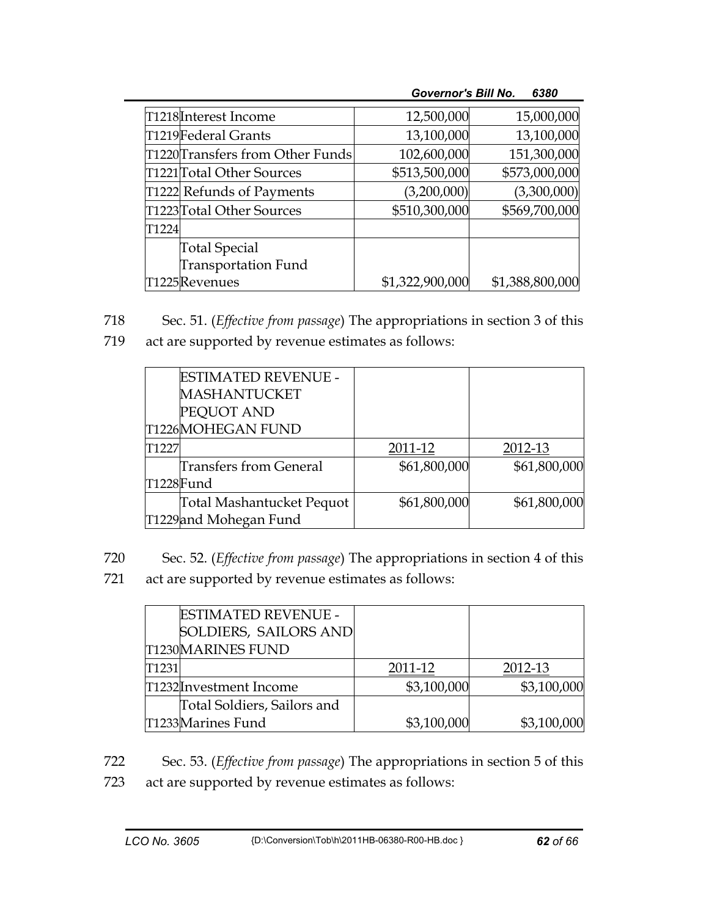|                                  | <b>Governor's Bill No.</b> | 6380            |
|----------------------------------|----------------------------|-----------------|
| T1218 Interest Income            | 12,500,000                 | 15,000,000      |
| T1219Federal Grants              | 13,100,000                 | 13,100,000      |
| T1220 Transfers from Other Funds | 102,600,000                | 151,300,000     |
| T1221 Total Other Sources        | \$513,500,000              | \$573,000,000   |
| T1222 Refunds of Payments        | (3,200,000)                | (3,300,000)     |
| T1223 Total Other Sources        | \$510,300,000              | \$569,700,000   |
| T1224                            |                            |                 |
| Total Special                    |                            |                 |
| <b>Transportation Fund</b>       |                            |                 |
| T1225 Revenues                   | \$1,322,900,000            | \$1,388,800,000 |

718 Sec. 51. (*Effective from passage*) The appropriations in section 3 of this

719 act are supported by revenue estimates as follows:

|           | <b>ESTIMATED REVENUE -</b> |              |              |
|-----------|----------------------------|--------------|--------------|
|           | <b>MASHANTUCKET</b>        |              |              |
|           | PEQUOT AND                 |              |              |
|           | T1226MOHEGAN FUND          |              |              |
| T1227     |                            | 2011-12      | 2012-13      |
|           | Transfers from General     | \$61,800,000 | \$61,800,000 |
| T1228Fund |                            |              |              |
|           | Total Mashantucket Pequot  | \$61,800,000 | \$61,800,000 |
|           | T1229 and Mohegan Fund     |              |              |

720 Sec. 52. (*Effective from passage*) The appropriations in section 4 of this

721 act are supported by revenue estimates as follows:

|       | <b>ESTIMATED REVENUE -</b>  |             |             |
|-------|-----------------------------|-------------|-------------|
|       | SOLDIERS, SAILORS AND       |             |             |
|       | <b>T1230MARINES FUND</b>    |             |             |
| T1231 |                             | 2011-12     | 2012-13     |
|       | T1232Investment Income      | \$3,100,000 | \$3,100,000 |
|       | Total Soldiers, Sailors and |             |             |
|       | T1233Marines Fund           | \$3,100,000 | \$3,100,000 |

722 Sec. 53. (*Effective from passage*) The appropriations in section 5 of this 723 act are supported by revenue estimates as follows: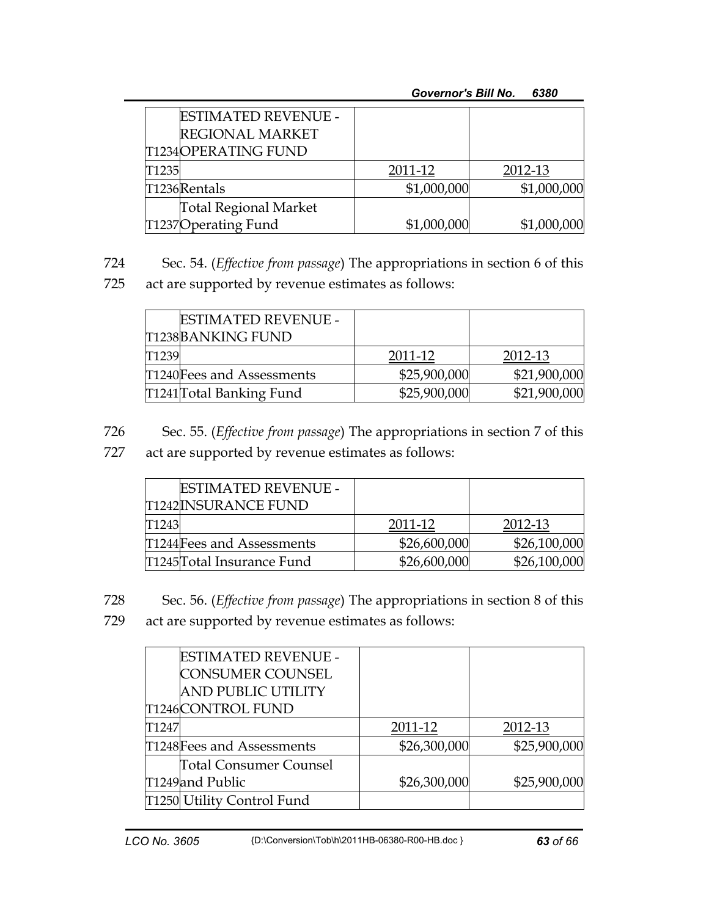|       | <b>ESTIMATED REVENUE -</b><br><b>REGIONAL MARKET</b><br><b>T1234OPERATING FUND</b> |             |             |
|-------|------------------------------------------------------------------------------------|-------------|-------------|
| T1235 |                                                                                    | 2011-12     | 2012-13     |
|       | T1236Rentals                                                                       | \$1,000,000 | \$1,000,000 |
|       | <b>Total Regional Market</b>                                                       |             |             |
|       | T1237Operating Fund                                                                | \$1,000,000 | \$1,000,000 |

724 Sec. 54. (*Effective from passage*) The appropriations in section 6 of this

725 act are supported by revenue estimates as follows:

|        | <b>ESTIMATED REVENUE -</b> |              |              |
|--------|----------------------------|--------------|--------------|
|        | <b>T1238BANKING FUND</b>   |              |              |
| T1239l |                            | 2011-12      | 2012-13      |
|        | T1240 Fees and Assessments | \$25,900,000 | \$21,900,000 |
|        | T1241 Total Banking Fund   | \$25,900,000 | \$21,900,000 |

726 Sec. 55. (*Effective from passage*) The appropriations in section 7 of this

727 act are supported by revenue estimates as follows:

|        | <b>ESTIMATED REVENUE -</b><br><b>T1242INSURANCE FUND</b> |              |              |
|--------|----------------------------------------------------------|--------------|--------------|
| T1243I |                                                          | 2011-12      | 2012-13      |
|        | T1244 Fees and Assessments                               | \$26,600,000 | \$26,100,000 |
|        | T1245Total Insurance Fund                                | \$26,600,000 | \$26,100,000 |

728 Sec. 56. (*Effective from passage*) The appropriations in section 8 of this 729 act are supported by revenue estimates as follows:

|       | T1250 Utility Control Fund |              |              |
|-------|----------------------------|--------------|--------------|
|       | T1249 and Public           | \$26,300,000 | \$25,900,000 |
|       | Total Consumer Counsel     |              |              |
|       | T1248 Fees and Assessments | \$26,300,000 | \$25,900,000 |
| T1247 |                            | 2011-12      | 2012-13      |
|       | <b>T1246CONTROL FUND</b>   |              |              |
|       | <b>AND PUBLIC UTILITY</b>  |              |              |
|       | <b>CONSUMER COUNSEL</b>    |              |              |
|       | ESTIMATED REVENUE -        |              |              |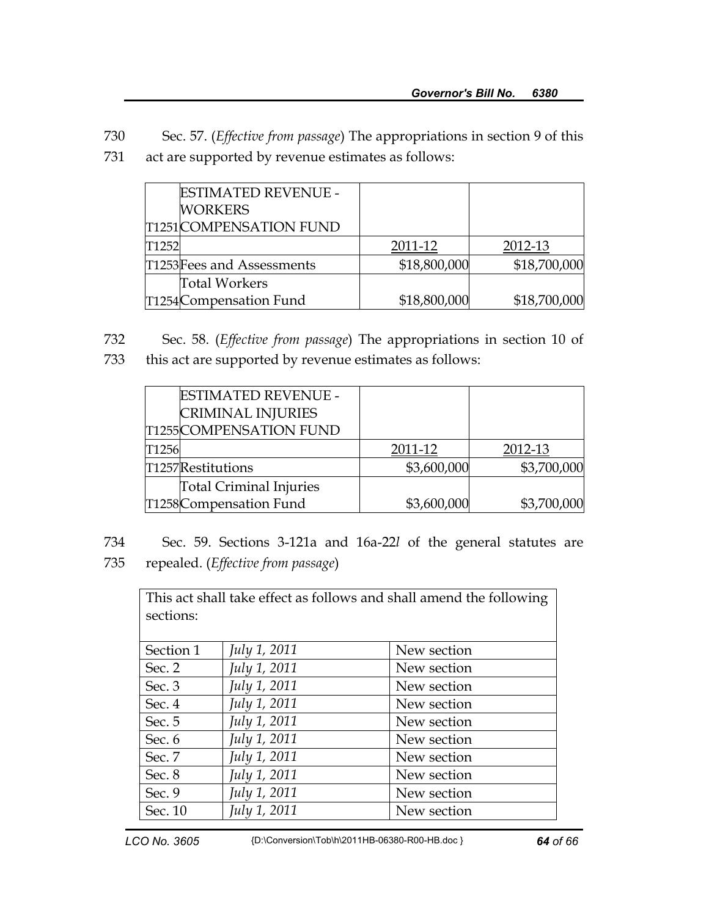730 Sec. 57. (*Effective from passage*) The appropriations in section 9 of this 731 act are supported by revenue estimates as follows:

|       | <b>ESTIMATED REVENUE -</b> |              |              |
|-------|----------------------------|--------------|--------------|
|       | <b>WORKERS</b>             |              |              |
|       | T1251 COMPENSATION FUND    |              |              |
| T1252 |                            | 2011-12      | 2012-13      |
|       | T1253Fees and Assessments  | \$18,800,000 | \$18,700,000 |
|       | <b>Total Workers</b>       |              |              |
|       | T1254 Compensation Fund    | \$18,800,000 | \$18,700,000 |

732 Sec. 58. (*Effective from passage*) The appropriations in section 10 of 733 this act are supported by revenue estimates as follows:

| <b>ESTIMATED REVENUE -</b>     |             |             |
|--------------------------------|-------------|-------------|
| <b>CRIMINAL INJURIES</b>       |             |             |
| <b>T1255COMPENSATION FUND</b>  |             |             |
| T1256                          | 2011-12     | 2012-13     |
| T1257Restitutions              | \$3,600,000 | \$3,700,000 |
| <b>Total Criminal Injuries</b> |             |             |
| T1258Compensation Fund         | \$3,600,000 | \$3,700,000 |

734 Sec. 59. Sections 3-121a and 16a-22*l* of the general statutes are 735 repealed. (*Effective from passage*)

| This act shall take effect as follows and shall amend the following |              |             |  |
|---------------------------------------------------------------------|--------------|-------------|--|
| sections:                                                           |              |             |  |
|                                                                     |              |             |  |
| Section 1                                                           | July 1, 2011 | New section |  |
| Sec. $2$                                                            | July 1, 2011 | New section |  |
| Sec. 3                                                              | July 1, 2011 | New section |  |
| Sec. 4                                                              | July 1, 2011 | New section |  |
| Sec. 5                                                              | July 1, 2011 | New section |  |
| Sec. 6                                                              | July 1, 2011 | New section |  |
| Sec. 7                                                              | July 1, 2011 | New section |  |
| Sec. 8                                                              | July 1, 2011 | New section |  |
| Sec. 9                                                              | July 1, 2011 | New section |  |
| Sec. 10                                                             | July 1, 2011 | New section |  |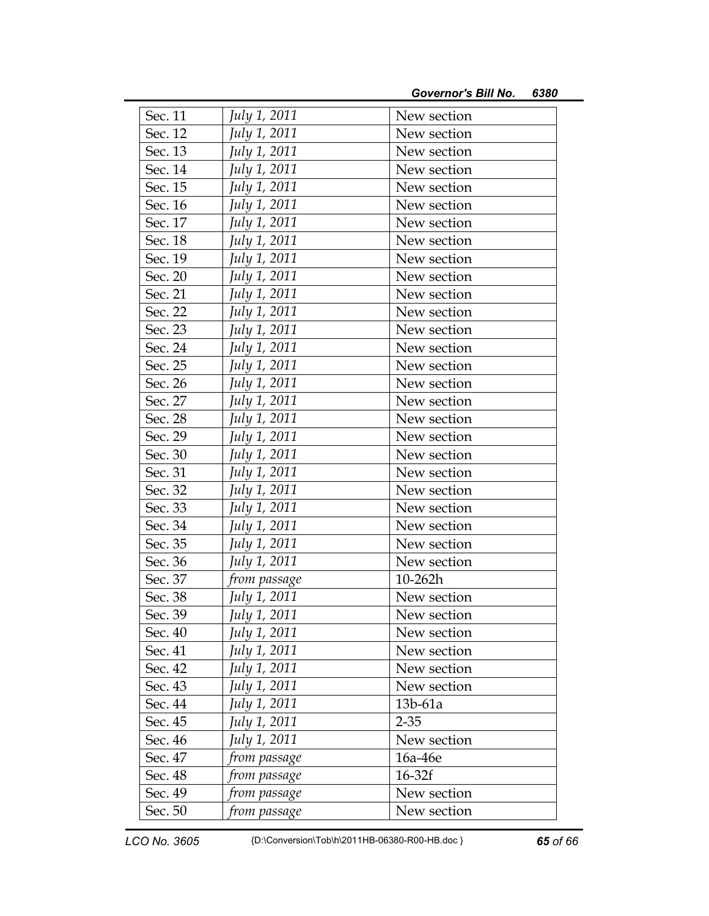| Sec. 11 | July 1, 2011 | New section |
|---------|--------------|-------------|
| Sec. 12 | July 1, 2011 | New section |
| Sec. 13 | July 1, 2011 | New section |
| Sec. 14 | July 1, 2011 | New section |
| Sec. 15 | July 1, 2011 | New section |
| Sec. 16 | July 1, 2011 | New section |
| Sec. 17 | July 1, 2011 | New section |
| Sec. 18 | July 1, 2011 | New section |
| Sec. 19 | July 1, 2011 | New section |
| Sec. 20 | July 1, 2011 | New section |
| Sec. 21 | July 1, 2011 | New section |
| Sec. 22 | July 1, 2011 | New section |
| Sec. 23 | July 1, 2011 | New section |
| Sec. 24 | July 1, 2011 | New section |
| Sec. 25 | July 1, 2011 | New section |
| Sec. 26 | July 1, 2011 | New section |
| Sec. 27 | July 1, 2011 | New section |
| Sec. 28 | July 1, 2011 | New section |
| Sec. 29 | July 1, 2011 | New section |
| Sec. 30 | July 1, 2011 | New section |
| Sec. 31 | July 1, 2011 | New section |
| Sec. 32 | July 1, 2011 | New section |
| Sec. 33 | July 1, 2011 | New section |
| Sec. 34 | July 1, 2011 | New section |
| Sec. 35 | July 1, 2011 | New section |
| Sec. 36 | July 1, 2011 | New section |
| Sec. 37 | from passage | $10 - 262h$ |
| Sec. 38 | July 1, 2011 | New section |
| Sec. 39 | July 1, 2011 | New section |
| Sec. 40 | July 1, 2011 | New section |
| Sec. 41 | July 1, 2011 | New section |
| Sec. 42 | July 1, 2011 | New section |
| Sec. 43 | July 1, 2011 | New section |
| Sec. 44 | July 1, 2011 | 13b-61a     |
| Sec. 45 | July 1, 2011 | $2 - 35$    |
| Sec. 46 | July 1, 2011 | New section |
| Sec. 47 | from passage | 16a-46e     |
| Sec. 48 | from passage | $16-32f$    |
| Sec. 49 | from passage | New section |
| Sec. 50 | from passage | New section |